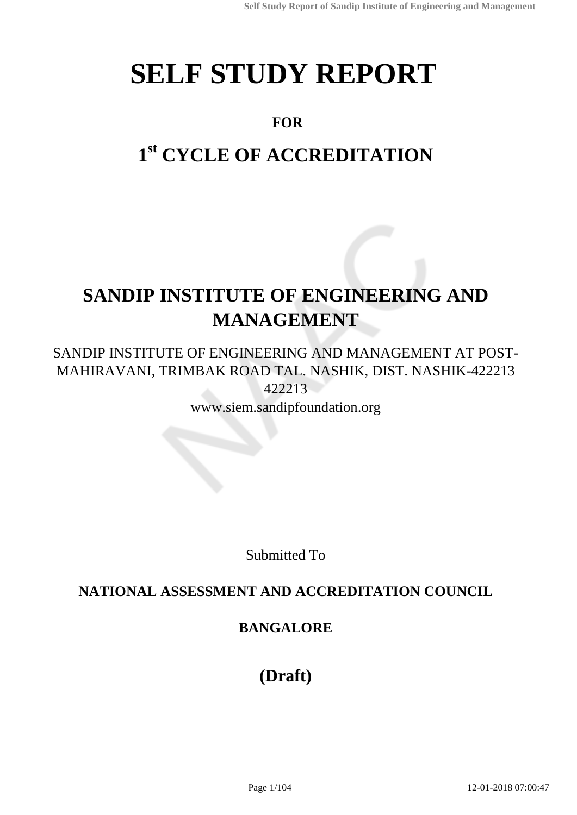# **SELF STUDY REPORT**

## **FOR**

## **1 st CYCLE OF ACCREDITATION**

## **SANDIP INSTITUTE OF ENGINEERING AND MANAGEMENT**

SANDIP INSTITUTE OF ENGINEERING AND MANAGEMENT AT POST-MAHIRAVANI, TRIMBAK ROAD TAL. NASHIK, DIST. NASHIK-422213 422213 www.siem.sandipfoundation.org

Submitted To

## **NATIONAL ASSESSMENT AND ACCREDITATION COUNCIL**

## **BANGALORE**

## **(Draft)**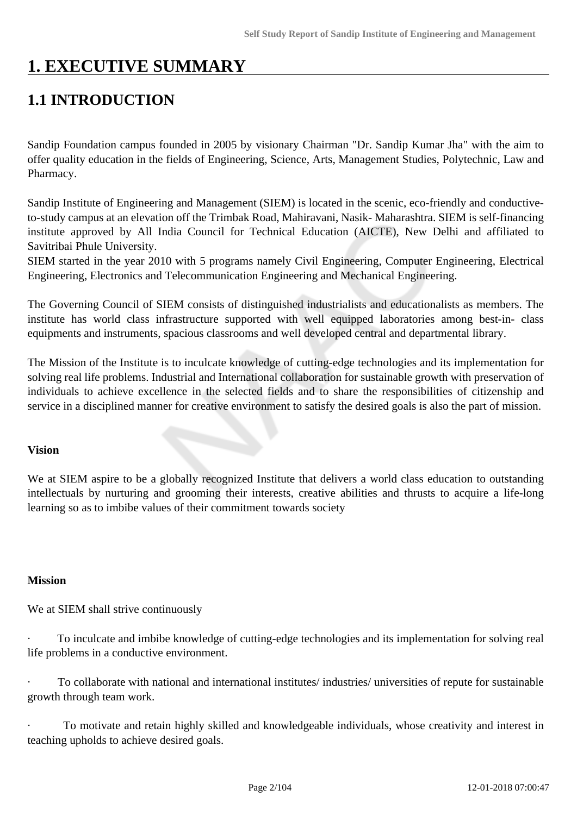## **1. EXECUTIVE SUMMARY**

## **1.1 INTRODUCTION**

Sandip Foundation campus founded in 2005 by visionary Chairman "Dr. Sandip Kumar Jha" with the aim to offer quality education in the fields of Engineering, Science, Arts, Management Studies, Polytechnic, Law and Pharmacy.

Sandip Institute of Engineering and Management (SIEM) is located in the scenic, eco-friendly and conductiveto-study campus at an elevation off the Trimbak Road, Mahiravani, Nasik- Maharashtra. SIEM is self-financing institute approved by All India Council for Technical Education (AICTE), New Delhi and affiliated to Savitribai Phule University.

SIEM started in the year 2010 with 5 programs namely Civil Engineering, Computer Engineering, Electrical Engineering, Electronics and Telecommunication Engineering and Mechanical Engineering.

The Governing Council of SIEM consists of distinguished industrialists and educationalists as members. The institute has world class infrastructure supported with well equipped laboratories among best-in- class equipments and instruments, spacious classrooms and well developed central and departmental library.

The Mission of the Institute is to inculcate knowledge of cutting-edge technologies and its implementation for solving real life problems. Industrial and International collaboration for sustainable growth with preservation of individuals to achieve excellence in the selected fields and to share the responsibilities of citizenship and service in a disciplined manner for creative environment to satisfy the desired goals is also the part of mission.

#### **Vision**

We at SIEM aspire to be a globally recognized Institute that delivers a world class education to outstanding intellectuals by nurturing and grooming their interests, creative abilities and thrusts to acquire a life-long learning so as to imbibe values of their commitment towards society

#### **Mission**

We at SIEM shall strive continuously

To inculcate and imbibe knowledge of cutting-edge technologies and its implementation for solving real life problems in a conductive environment.

· To collaborate with national and international institutes/ industries/ universities of repute for sustainable growth through team work.

To motivate and retain highly skilled and knowledgeable individuals, whose creativity and interest in teaching upholds to achieve desired goals.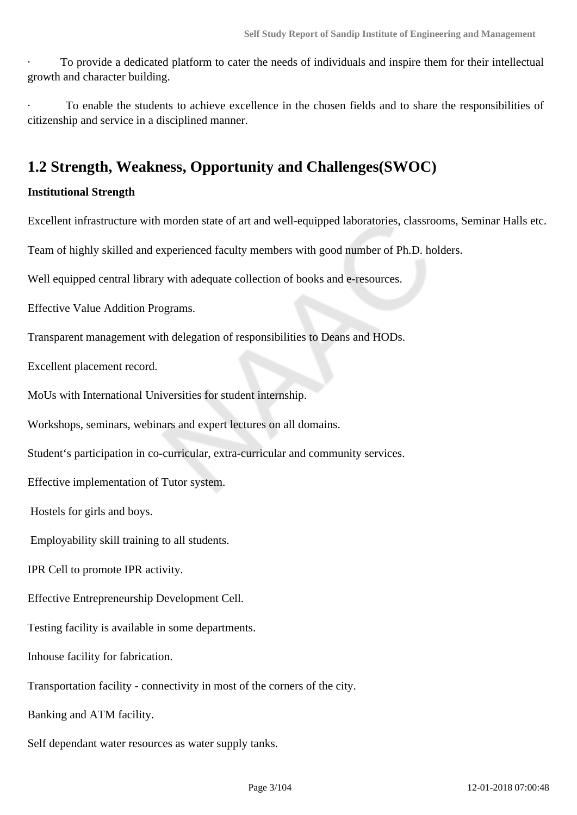· To provide a dedicated platform to cater the needs of individuals and inspire them for their intellectual growth and character building.

· To enable the students to achieve excellence in the chosen fields and to share the responsibilities of citizenship and service in a disciplined manner.

### **1.2 Strength, Weakness, Opportunity and Challenges(SWOC)**

#### **Institutional Strength**

Excellent infrastructure with morden state of art and well-equipped laboratories, classrooms, Seminar Halls etc.

Team of highly skilled and experienced faculty members with good number of Ph.D. holders.

Well equipped central library with adequate collection of books and e-resources.

Effective Value Addition Programs.

Transparent management with delegation of responsibilities to Deans and HODs.

Excellent placement record.

MoUs with International Universities for student internship.

Workshops, seminars, webinars and expert lectures on all domains.

Student's participation in co-curricular, extra-curricular and community services.

Effective implementation of Tutor system.

Hostels for girls and boys.

Employability skill training to all students.

IPR Cell to promote IPR activity.

Effective Entrepreneurship Development Cell.

Testing facility is available in some departments.

Inhouse facility for fabrication.

Transportation facility - connectivity in most of the corners of the city.

Banking and ATM facility.

Self dependant water resources as water supply tanks.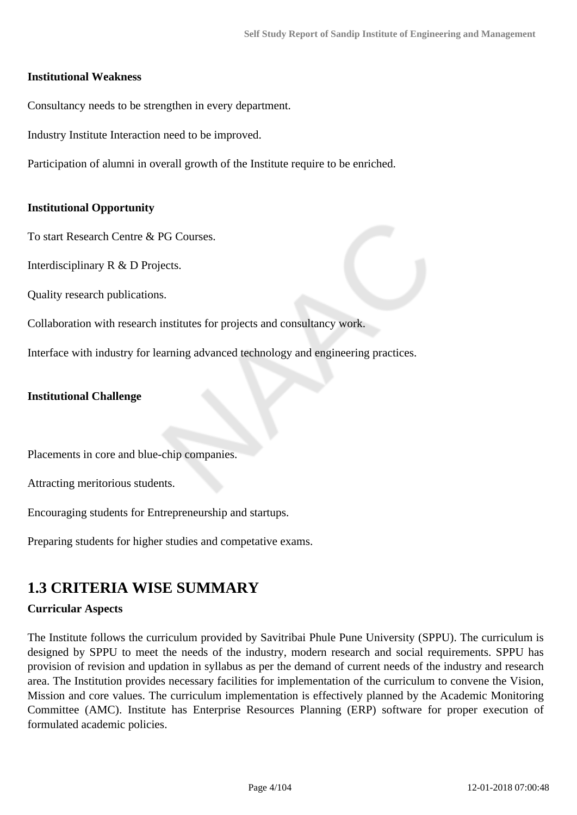#### **Institutional Weakness**

Consultancy needs to be strengthen in every department.

Industry Institute Interaction need to be improved.

Participation of alumni in overall growth of the Institute require to be enriched.

#### **Institutional Opportunity**

To start Research Centre & PG Courses.

Interdisciplinary R & D Projects.

Quality research publications.

Collaboration with research institutes for projects and consultancy work.

Interface with industry for learning advanced technology and engineering practices.

#### **Institutional Challenge**

Placements in core and blue-chip companies.

Attracting meritorious students.

Encouraging students for Entrepreneurship and startups.

Preparing students for higher studies and competative exams.

### **1.3 CRITERIA WISE SUMMARY**

#### **Curricular Aspects**

The Institute follows the curriculum provided by Savitribai Phule Pune University (SPPU). The curriculum is designed by SPPU to meet the needs of the industry, modern research and social requirements. SPPU has provision of revision and updation in syllabus as per the demand of current needs of the industry and research area. The Institution provides necessary facilities for implementation of the curriculum to convene the Vision, Mission and core values. The curriculum implementation is effectively planned by the Academic Monitoring Committee (AMC). Institute has Enterprise Resources Planning (ERP) software for proper execution of formulated academic policies.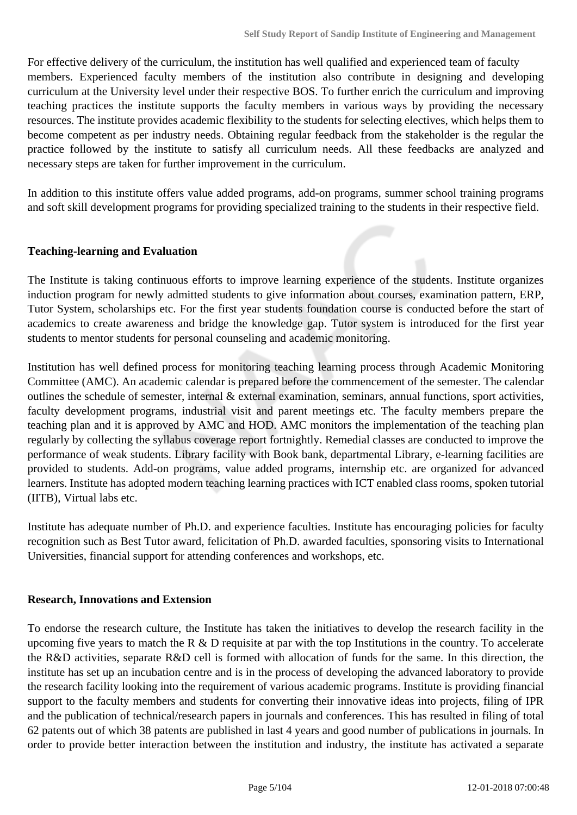For effective delivery of the curriculum, the institution has well qualified and experienced team of faculty members. Experienced faculty members of the institution also contribute in designing and developing curriculum at the University level under their respective BOS. To further enrich the curriculum and improving teaching practices the institute supports the faculty members in various ways by providing the necessary resources. The institute provides academic flexibility to the students for selecting electives, which helps them to become competent as per industry needs. Obtaining regular feedback from the stakeholder is the regular the practice followed by the institute to satisfy all curriculum needs. All these feedbacks are analyzed and necessary steps are taken for further improvement in the curriculum.

In addition to this institute offers value added programs, add-on programs, summer school training programs and soft skill development programs for providing specialized training to the students in their respective field.

#### **Teaching-learning and Evaluation**

The Institute is taking continuous efforts to improve learning experience of the students. Institute organizes induction program for newly admitted students to give information about courses, examination pattern, ERP, Tutor System, scholarships etc. For the first year students foundation course is conducted before the start of academics to create awareness and bridge the knowledge gap. Tutor system is introduced for the first year students to mentor students for personal counseling and academic monitoring.

Institution has well defined process for monitoring teaching learning process through Academic Monitoring Committee (AMC). An academic calendar is prepared before the commencement of the semester. The calendar outlines the schedule of semester, internal  $\&$  external examination, seminars, annual functions, sport activities, faculty development programs, industrial visit and parent meetings etc. The faculty members prepare the teaching plan and it is approved by AMC and HOD. AMC monitors the implementation of the teaching plan regularly by collecting the syllabus coverage report fortnightly. Remedial classes are conducted to improve the performance of weak students. Library facility with Book bank, departmental Library, e-learning facilities are provided to students. Add-on programs, value added programs, internship etc. are organized for advanced learners. Institute has adopted modern teaching learning practices with ICT enabled class rooms, spoken tutorial (IITB), Virtual labs etc.

Institute has adequate number of Ph.D. and experience faculties. Institute has encouraging policies for faculty recognition such as Best Tutor award, felicitation of Ph.D. awarded faculties, sponsoring visits to International Universities, financial support for attending conferences and workshops, etc.

#### **Research, Innovations and Extension**

To endorse the research culture, the Institute has taken the initiatives to develop the research facility in the upcoming five years to match the R  $\&$  D requisite at par with the top Institutions in the country. To accelerate the R&D activities, separate R&D cell is formed with allocation of funds for the same. In this direction, the institute has set up an incubation centre and is in the process of developing the advanced laboratory to provide the research facility looking into the requirement of various academic programs. Institute is providing financial support to the faculty members and students for converting their innovative ideas into projects, filing of IPR and the publication of technical/research papers in journals and conferences. This has resulted in filing of total 62 patents out of which 38 patents are published in last 4 years and good number of publications in journals. In order to provide better interaction between the institution and industry, the institute has activated a separate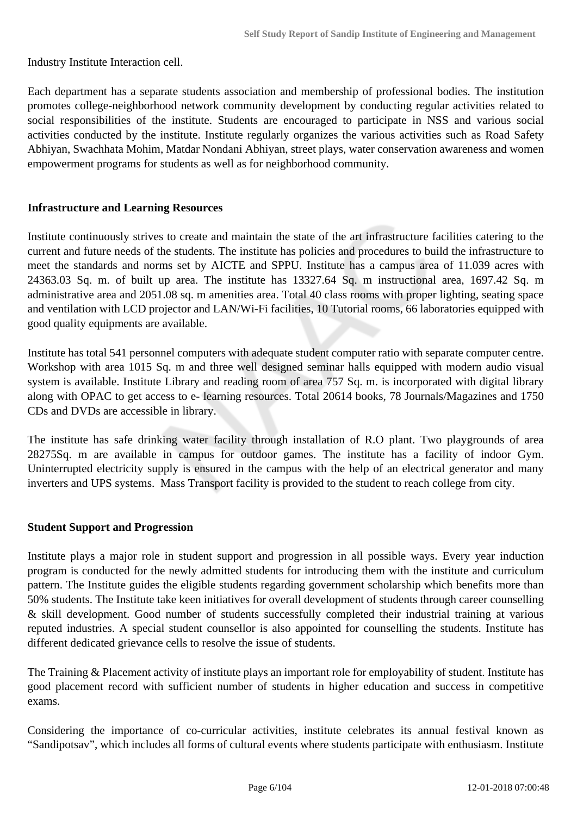Industry Institute Interaction cell.

Each department has a separate students association and membership of professional bodies. The institution promotes college-neighborhood network community development by conducting regular activities related to social responsibilities of the institute. Students are encouraged to participate in NSS and various social activities conducted by the institute. Institute regularly organizes the various activities such as Road Safety Abhiyan, Swachhata Mohim, Matdar Nondani Abhiyan, street plays, water conservation awareness and women empowerment programs for students as well as for neighborhood community.

#### **Infrastructure and Learning Resources**

Institute continuously strives to create and maintain the state of the art infrastructure facilities catering to the current and future needs of the students. The institute has policies and procedures to build the infrastructure to meet the standards and norms set by AICTE and SPPU. Institute has a campus area of 11.039 acres with 24363.03 Sq. m. of built up area. The institute has 13327.64 Sq. m instructional area, 1697.42 Sq. m administrative area and 2051.08 sq. m amenities area. Total 40 class rooms with proper lighting, seating space and ventilation with LCD projector and LAN/Wi-Fi facilities, 10 Tutorial rooms, 66 laboratories equipped with good quality equipments are available.

Institute has total 541 personnel computers with adequate student computer ratio with separate computer centre. Workshop with area 1015 Sq. m and three well designed seminar halls equipped with modern audio visual system is available. Institute Library and reading room of area 757 Sq. m. is incorporated with digital library along with OPAC to get access to e- learning resources. Total 20614 books, 78 Journals/Magazines and 1750 CDs and DVDs are accessible in library.

The institute has safe drinking water facility through installation of R.O plant. Two playgrounds of area 28275Sq. m are available in campus for outdoor games. The institute has a facility of indoor Gym. Uninterrupted electricity supply is ensured in the campus with the help of an electrical generator and many inverters and UPS systems. Mass Transport facility is provided to the student to reach college from city.

#### **Student Support and Progression**

Institute plays a major role in student support and progression in all possible ways. Every year induction program is conducted for the newly admitted students for introducing them with the institute and curriculum pattern. The Institute guides the eligible students regarding government scholarship which benefits more than 50% students. The Institute take keen initiatives for overall development of students through career counselling & skill development. Good number of students successfully completed their industrial training at various reputed industries. A special student counsellor is also appointed for counselling the students. Institute has different dedicated grievance cells to resolve the issue of students.

The Training & Placement activity of institute plays an important role for employability of student. Institute has good placement record with sufficient number of students in higher education and success in competitive exams.

Considering the importance of co-curricular activities, institute celebrates its annual festival known as "Sandipotsav", which includes all forms of cultural events where students participate with enthusiasm. Institute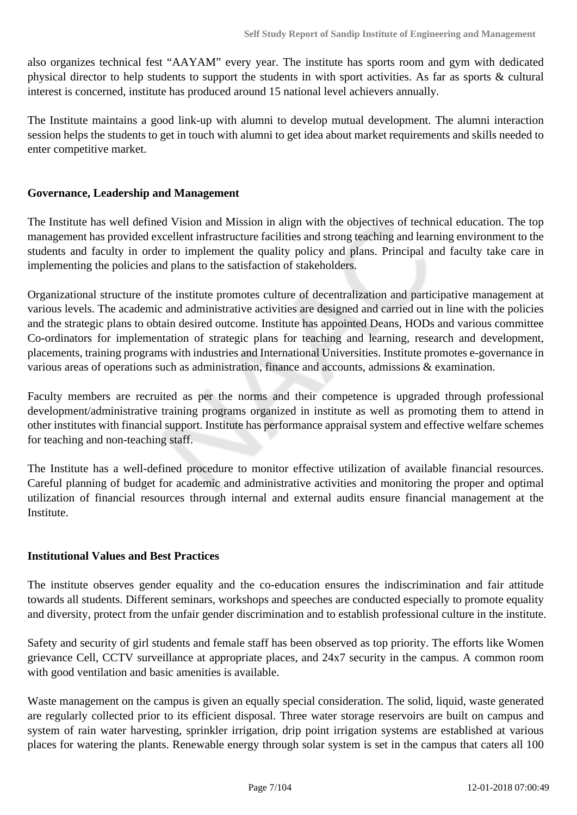also organizes technical fest "AAYAM" every year. The institute has sports room and gym with dedicated physical director to help students to support the students in with sport activities. As far as sports & cultural interest is concerned, institute has produced around 15 national level achievers annually.

The Institute maintains a good link-up with alumni to develop mutual development. The alumni interaction session helps the students to get in touch with alumni to get idea about market requirements and skills needed to enter competitive market.

#### **Governance, Leadership and Management**

The Institute has well defined Vision and Mission in align with the objectives of technical education. The top management has provided excellent infrastructure facilities and strong teaching and learning environment to the students and faculty in order to implement the quality policy and plans. Principal and faculty take care in implementing the policies and plans to the satisfaction of stakeholders.

Organizational structure of the institute promotes culture of decentralization and participative management at various levels. The academic and administrative activities are designed and carried out in line with the policies and the strategic plans to obtain desired outcome. Institute has appointed Deans, HODs and various committee Co-ordinators for implementation of strategic plans for teaching and learning, research and development, placements, training programs with industries and International Universities. Institute promotes e-governance in various areas of operations such as administration, finance and accounts, admissions & examination.

Faculty members are recruited as per the norms and their competence is upgraded through professional development/administrative training programs organized in institute as well as promoting them to attend in other institutes with financial support. Institute has performance appraisal system and effective welfare schemes for teaching and non-teaching staff.

The Institute has a well-defined procedure to monitor effective utilization of available financial resources. Careful planning of budget for academic and administrative activities and monitoring the proper and optimal utilization of financial resources through internal and external audits ensure financial management at the **Institute** 

#### **Institutional Values and Best Practices**

The institute observes gender equality and the co-education ensures the indiscrimination and fair attitude towards all students. Different seminars, workshops and speeches are conducted especially to promote equality and diversity, protect from the unfair gender discrimination and to establish professional culture in the institute.

Safety and security of girl students and female staff has been observed as top priority. The efforts like Women grievance Cell, CCTV surveillance at appropriate places, and 24x7 security in the campus. A common room with good ventilation and basic amenities is available.

Waste management on the campus is given an equally special consideration. The solid, liquid, waste generated are regularly collected prior to its efficient disposal. Three water storage reservoirs are built on campus and system of rain water harvesting, sprinkler irrigation, drip point irrigation systems are established at various places for watering the plants. Renewable energy through solar system is set in the campus that caters all 100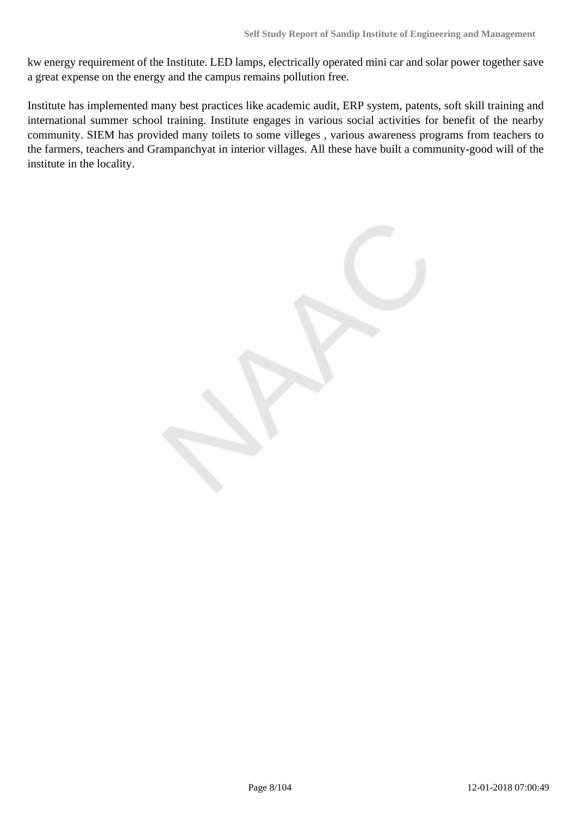kw energy requirement of the Institute. LED lamps, electrically operated mini car and solar power together save a great expense on the energy and the campus remains pollution free.

Institute has implemented many best practices like academic audit, ERP system, patents, soft skill training and international summer school training. Institute engages in various social activities for benefit of the nearby community. SIEM has provided many toilets to some villeges , various awareness programs from teachers to the farmers, teachers and Grampanchyat in interior villages. All these have built a community-good will of the institute in the locality.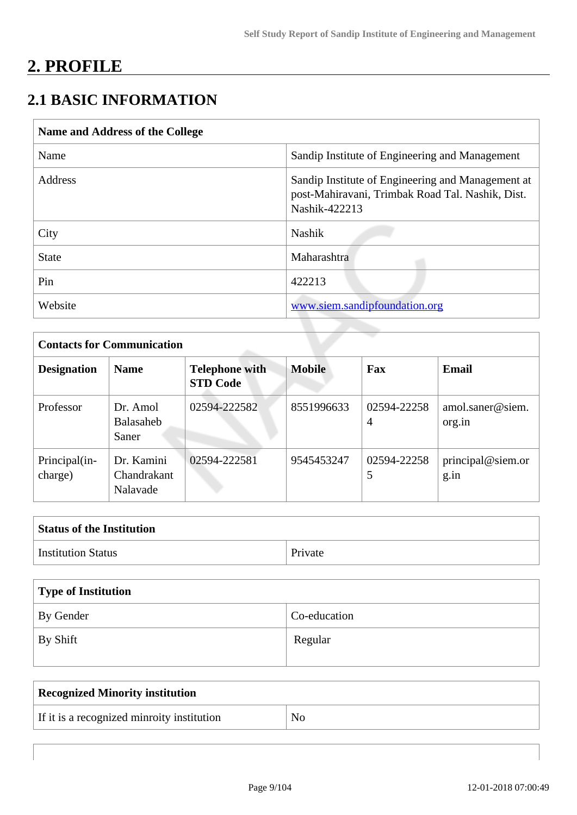## **2. PROFILE**

## **2.1 BASIC INFORMATION**

| Name and Address of the College |                                                                                                                        |
|---------------------------------|------------------------------------------------------------------------------------------------------------------------|
| Name                            | Sandip Institute of Engineering and Management                                                                         |
| Address                         | Sandip Institute of Engineering and Management at<br>post-Mahiravani, Trimbak Road Tal. Nashik, Dist.<br>Nashik-422213 |
| City                            | <b>Nashik</b>                                                                                                          |
| <b>State</b>                    | Maharashtra                                                                                                            |
| Pin                             | 422213                                                                                                                 |
| Website                         | www.siem.sandipfoundation.org                                                                                          |

| <b>Contacts for Communication</b> |                                       |                                          |               |                  |                            |  |  |  |  |
|-----------------------------------|---------------------------------------|------------------------------------------|---------------|------------------|----------------------------|--|--|--|--|
| <b>Designation</b>                | <b>Name</b>                           | <b>Telephone with</b><br><b>STD Code</b> | <b>Mobile</b> | Fax              | <b>Email</b>               |  |  |  |  |
| Professor                         | Dr. Amol<br>Balasaheb<br>Saner        | 02594-222582                             | 8551996633    | 02594-22258<br>4 | amol.saner@siem.<br>org.in |  |  |  |  |
| Principal(in-<br>charge)          | Dr. Kamini<br>Chandrakant<br>Nalavade | 02594-222581                             | 9545453247    | 02594-22258<br>5 | principal@siem.or<br>g.in  |  |  |  |  |

| <b>Status of the Institution</b> |         |
|----------------------------------|---------|
| <b>Institution Status</b>        | Private |

| Type of Institution   |              |  |  |  |  |
|-----------------------|--------------|--|--|--|--|
| By Gender             | Co-education |  |  |  |  |
| $\mathsf{I}$ By Shift | Regular      |  |  |  |  |

| <b>Recognized Minority institution</b>     |  |
|--------------------------------------------|--|
| If it is a recognized minroity institution |  |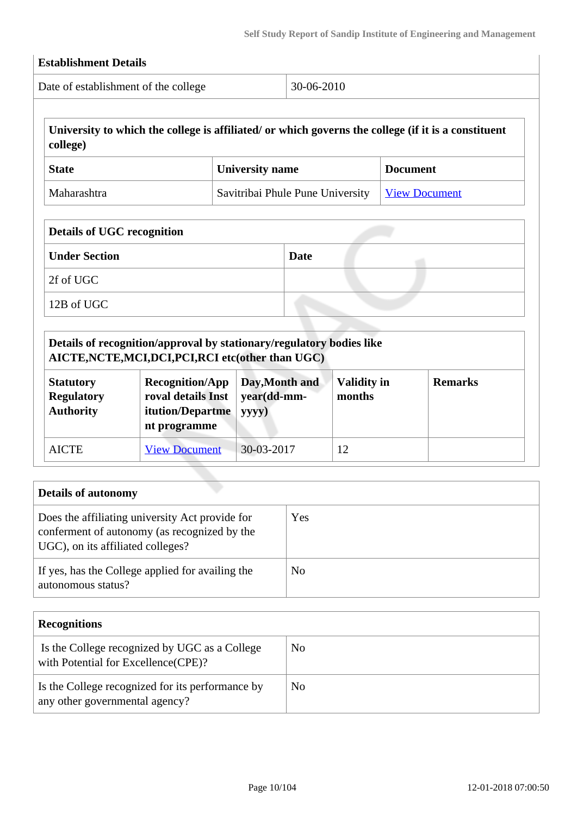# **Establishment Details** Date of establishment of the college 30-06-2010 **University to which the college is affiliated/ or which governs the college (if it is a constituent college) State University name Document** Maharashtra Savitribai Phule Pune University <u>[View Document](https://assessmentonline.naac.gov.in/storage/app/hei/iiqa/university_affiliation_documents/100801_804_201.pdf)</u> **Details of UGC recognition Under Section Date** 2f of UGC 12B of UGC **Details of recognition/approval by stationary/regulatory bodies like AICTE,NCTE,MCI,DCI,PCI,RCI etc(other than UGC)**

| <b>Statutory</b><br><b>Regulatory</b><br><b>Authority</b> | <b>Recognition/App</b><br>roval details Inst<br>itution/Departme<br>nt programme | Day, Month and<br>year(dd-mm-<br>yyyy) | <b>Validity in</b><br>months | <b>Remarks</b> |
|-----------------------------------------------------------|----------------------------------------------------------------------------------|----------------------------------------|------------------------------|----------------|
| <b>AICTE</b>                                              | <b>View Document</b>                                                             | 30-03-2017                             | 12                           |                |

| <b>Details of autonomy</b>                                                                                                           |     |  |  |  |  |
|--------------------------------------------------------------------------------------------------------------------------------------|-----|--|--|--|--|
| Does the affiliating university Act provide for<br>conferment of autonomy (as recognized by the<br>UGC), on its affiliated colleges? | Yes |  |  |  |  |
| If yes, has the College applied for availing the<br>autonomous status?                                                               | No  |  |  |  |  |

| <b>Recognitions</b>                                                                  |    |
|--------------------------------------------------------------------------------------|----|
| Is the College recognized by UGC as a College<br>with Potential for Excellence(CPE)? | No |
| Is the College recognized for its performance by<br>any other governmental agency?   | No |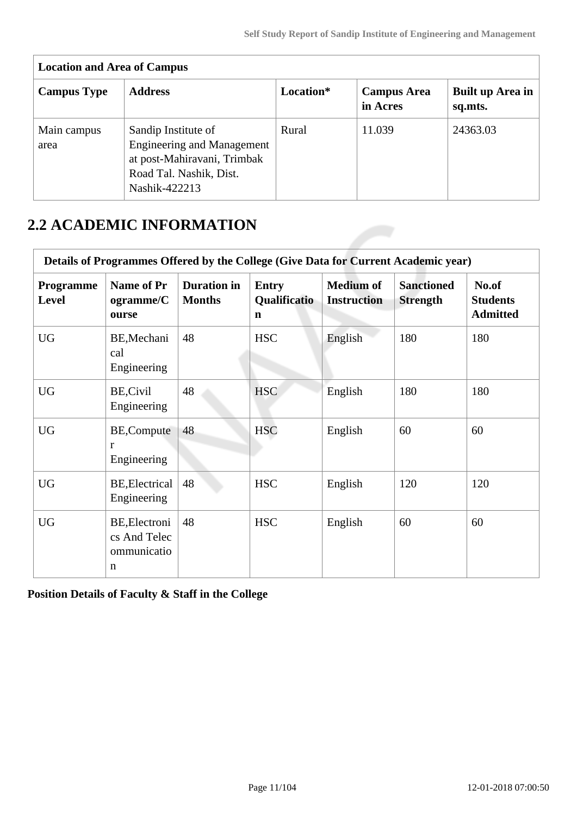| <b>Location and Area of Campus</b> |                                                                                                                                     |           |                                |                                    |  |  |  |  |
|------------------------------------|-------------------------------------------------------------------------------------------------------------------------------------|-----------|--------------------------------|------------------------------------|--|--|--|--|
| <b>Campus Type</b>                 | <b>Address</b>                                                                                                                      | Location* | <b>Campus Area</b><br>in Acres | <b>Built up Area in</b><br>sq.mts. |  |  |  |  |
| Main campus<br>area                | Sandip Institute of<br><b>Engineering and Management</b><br>at post-Mahiravani, Trimbak<br>Road Tal. Nashik, Dist.<br>Nashik-422213 | Rural     | 11.039                         | 24363.03                           |  |  |  |  |

## **2.2 ACADEMIC INFORMATION**

| Details of Programmes Offered by the College (Give Data for Current Academic year) |                                                   |                                     |                                             |                                        |                                      |                                             |  |  |
|------------------------------------------------------------------------------------|---------------------------------------------------|-------------------------------------|---------------------------------------------|----------------------------------------|--------------------------------------|---------------------------------------------|--|--|
| Programme<br><b>Level</b>                                                          | <b>Name of Pr</b><br>ogramme/C<br>ourse           | <b>Duration</b> in<br><b>Months</b> | <b>Entry</b><br>Qualificatio<br>$\mathbf n$ | <b>Medium of</b><br><b>Instruction</b> | <b>Sanctioned</b><br><b>Strength</b> | No.of<br><b>Students</b><br><b>Admitted</b> |  |  |
| <b>UG</b>                                                                          | BE, Mechani<br>cal<br>Engineering                 | 48                                  | <b>HSC</b>                                  | English                                | 180                                  | 180                                         |  |  |
| <b>UG</b>                                                                          | BE, Civil<br>Engineering                          | 48                                  | <b>HSC</b>                                  | English                                | 180                                  | 180                                         |  |  |
| <b>UG</b>                                                                          | <b>BE,Compute</b><br>$\mathbf{r}$<br>Engineering  | 48                                  | <b>HSC</b>                                  | English                                | 60                                   | 60                                          |  |  |
| $\mathbf{U}\mathbf{G}$                                                             | <b>BE, Electrical</b><br>Engineering              | 48                                  | <b>HSC</b>                                  | English                                | 120                                  | 120                                         |  |  |
| <b>UG</b>                                                                          | BE, Electroni<br>cs And Telec<br>ommunicatio<br>n | 48                                  | <b>HSC</b>                                  | English                                | 60                                   | 60                                          |  |  |

**Position Details of Faculty & Staff in the College**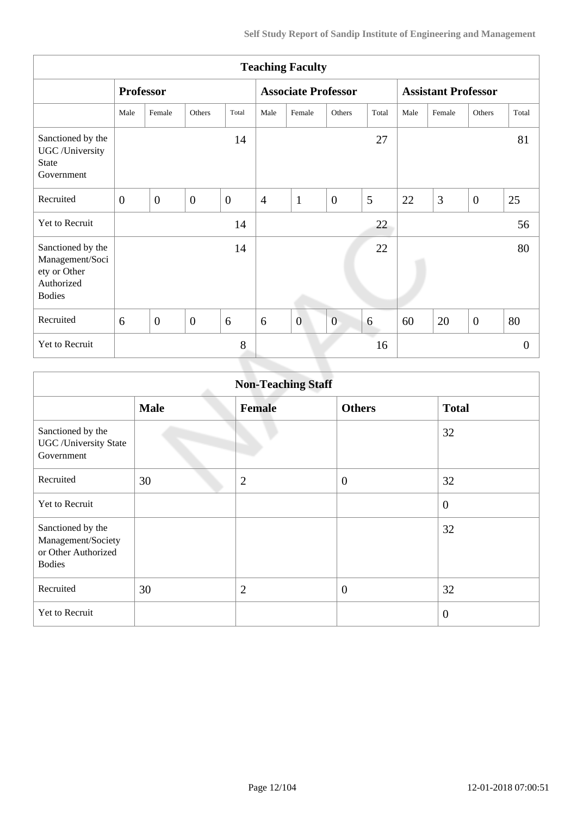| <b>Teaching Faculty</b>                                                             |                  |                |                |                            |                |                |                            |       |      |        |                |          |
|-------------------------------------------------------------------------------------|------------------|----------------|----------------|----------------------------|----------------|----------------|----------------------------|-------|------|--------|----------------|----------|
|                                                                                     | <b>Professor</b> |                |                | <b>Associate Professor</b> |                |                | <b>Assistant Professor</b> |       |      |        |                |          |
|                                                                                     | Male             | Female         | Others         | Total                      | Male           | Female         | Others                     | Total | Male | Female | Others         | Total    |
| Sanctioned by the<br>UGC /University<br><b>State</b><br>Government                  |                  |                |                | 14                         |                |                |                            | 27    |      |        |                | 81       |
| Recruited                                                                           | $\overline{0}$   | $\overline{0}$ | $\mathbf{0}$   | $\overline{0}$             | $\overline{4}$ | $\mathbf{1}$   | $\mathbf{0}$               | 5     | 22   | 3      | $\mathbf{0}$   | 25       |
| Yet to Recruit                                                                      |                  |                |                | 14                         |                |                |                            | 22    |      |        |                | 56       |
| Sanctioned by the<br>Management/Soci<br>ety or Other<br>Authorized<br><b>Bodies</b> |                  |                |                | 14                         |                |                |                            | 22    |      |        |                | 80       |
| Recruited                                                                           | 6                | $\overline{0}$ | $\overline{0}$ | 6                          | 6              | $\overline{0}$ | $\overline{0}$             | 6     | 60   | 20     | $\overline{0}$ | 80       |
| Yet to Recruit                                                                      |                  |                |                | 8                          |                |                |                            | 16    |      |        |                | $\theta$ |

| <b>Non-Teaching Staff</b>                                                       |             |                |                  |                |  |  |  |
|---------------------------------------------------------------------------------|-------------|----------------|------------------|----------------|--|--|--|
|                                                                                 | <b>Male</b> | <b>Female</b>  | <b>Others</b>    | <b>Total</b>   |  |  |  |
| Sanctioned by the<br><b>UGC</b> / University State<br>Government                |             |                |                  | 32             |  |  |  |
| Recruited                                                                       | 30          | $\overline{2}$ | $\boldsymbol{0}$ | 32             |  |  |  |
| <b>Yet to Recruit</b>                                                           |             |                |                  | $\mathbf{0}$   |  |  |  |
| Sanctioned by the<br>Management/Society<br>or Other Authorized<br><b>Bodies</b> |             |                |                  | 32             |  |  |  |
| Recruited                                                                       | 30          | $\overline{2}$ | $\boldsymbol{0}$ | 32             |  |  |  |
| Yet to Recruit                                                                  |             |                |                  | $\overline{0}$ |  |  |  |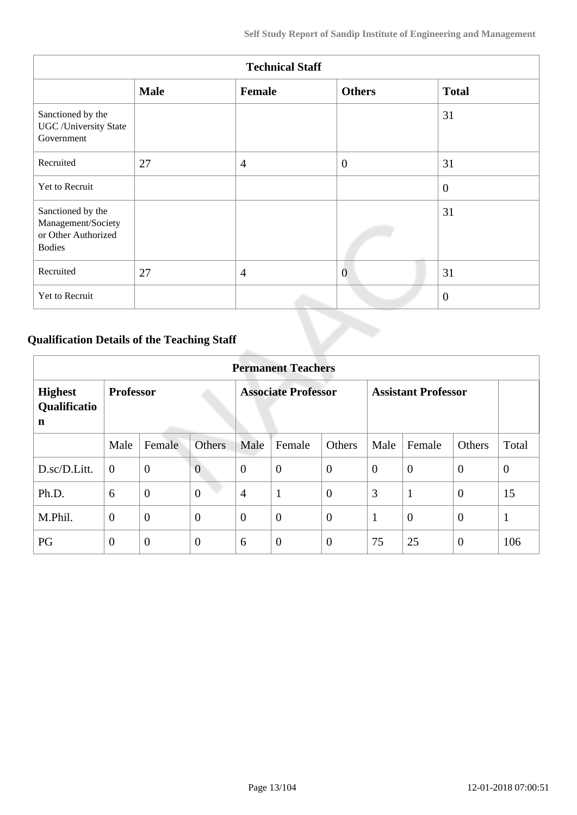| <b>Technical Staff</b>                                                          |             |                |                |              |  |  |  |
|---------------------------------------------------------------------------------|-------------|----------------|----------------|--------------|--|--|--|
|                                                                                 | <b>Male</b> | Female         | <b>Others</b>  | <b>Total</b> |  |  |  |
| Sanctioned by the<br><b>UGC</b> /University State<br>Government                 |             |                |                | 31           |  |  |  |
| Recruited                                                                       | 27          | $\overline{4}$ | $\overline{0}$ | 31           |  |  |  |
| Yet to Recruit                                                                  |             |                |                | $\theta$     |  |  |  |
| Sanctioned by the<br>Management/Society<br>or Other Authorized<br><b>Bodies</b> |             |                |                | 31           |  |  |  |
| Recruited                                                                       | 27          | $\overline{4}$ | $\overline{0}$ | 31           |  |  |  |
| Yet to Recruit                                                                  |             |                |                | $\mathbf{0}$ |  |  |  |

## **Qualification Details of the Teaching Staff**

|                                     | <b>Permanent Teachers</b> |                |                            |                |                            |                |                |                |                |                |
|-------------------------------------|---------------------------|----------------|----------------------------|----------------|----------------------------|----------------|----------------|----------------|----------------|----------------|
| <b>Highest</b><br>Qualificatio<br>n | <b>Professor</b>          |                | <b>Associate Professor</b> |                | <b>Assistant Professor</b> |                |                |                |                |                |
|                                     | Male                      | Female         | <b>Others</b>              | Male           | Female                     | Others         | Male           | Female         | Others         | Total          |
| D.sc/D.Litt.                        | $\overline{0}$            | $\mathbf{0}$   | $\overline{0}$             | $\theta$       | $\overline{0}$             | $\mathbf{0}$   | $\overline{0}$ | $\theta$       | $\overline{0}$ | $\overline{0}$ |
| Ph.D.                               | 6                         | $\overline{0}$ | $\overline{0}$             | $\overline{4}$ | $\mathbf{1}$               | $\overline{0}$ | 3              | $\mathbf{1}$   | $\theta$       | 15             |
| M.Phil.                             | $\overline{0}$            | $\overline{0}$ | $\overline{0}$             | $\theta$       | $\overline{0}$             | $\overline{0}$ | 1              | $\overline{0}$ | $\overline{0}$ | $\mathbf{1}$   |
| PG                                  | $\theta$                  | $\overline{0}$ | $\theta$                   | 6              | $\overline{0}$             | $\overline{0}$ | 75             | 25             | $\theta$       | 106            |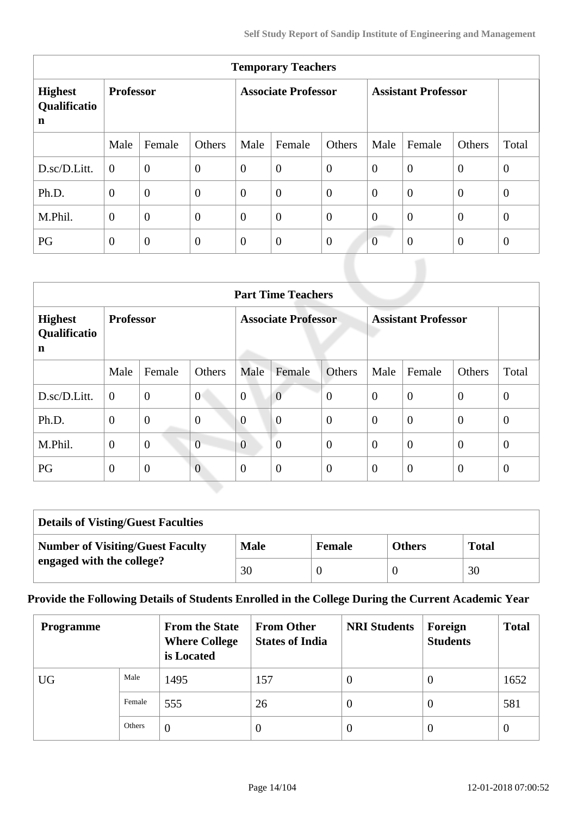| <b>Temporary Teachers</b>           |                  |                  |                            |                |                            |                |                |                |                |                |
|-------------------------------------|------------------|------------------|----------------------------|----------------|----------------------------|----------------|----------------|----------------|----------------|----------------|
| <b>Highest</b><br>Qualificatio<br>n | <b>Professor</b> |                  | <b>Associate Professor</b> |                | <b>Assistant Professor</b> |                |                |                |                |                |
|                                     | Male             | Female           | Others                     | Male           | Female                     | Others         | Male           | Female         | Others         | Total          |
| D.sc/D.Litt.                        | $\theta$         | $\overline{0}$   | $\boldsymbol{0}$           | $\overline{0}$ | $\overline{0}$             | $\overline{0}$ | $\overline{0}$ | $\overline{0}$ | $\overline{0}$ | $\overline{0}$ |
| Ph.D.                               | $\overline{0}$   | $\boldsymbol{0}$ | $\boldsymbol{0}$           | $\overline{0}$ | $\overline{0}$             | $\overline{0}$ | $\overline{0}$ | $\overline{0}$ | $\theta$       | $\overline{0}$ |
| M.Phil.                             | $\overline{0}$   | $\overline{0}$   | $\overline{0}$             | $\overline{0}$ | $\overline{0}$             | $\overline{0}$ | $\overline{0}$ | $\overline{0}$ | $\overline{0}$ | $\overline{0}$ |
| PG                                  | $\overline{0}$   | $\theta$         | $\mathbf{0}$               | $\overline{0}$ | $\overline{0}$             | $\overline{0}$ | $\overline{0}$ | $\overline{0}$ | $\overline{0}$ | $\theta$       |

|                                                         | <b>Part Time Teachers</b> |                |                            |                |                |                            |                |                |                |                |
|---------------------------------------------------------|---------------------------|----------------|----------------------------|----------------|----------------|----------------------------|----------------|----------------|----------------|----------------|
| <b>Highest</b><br><b>Professor</b><br>Qualificatio<br>n |                           |                | <b>Associate Professor</b> |                |                | <b>Assistant Professor</b> |                |                |                |                |
|                                                         | Male                      | Female         | Others                     | Male           | Female         | <b>Others</b>              | Male           | Female         | Others         | Total          |
| D.sc/D.Litt.                                            | $\boldsymbol{0}$          | $\mathbf{0}$   | $\overline{0}$             | $\overline{0}$ | $\overline{0}$ | $\overline{0}$             | $\theta$       | $\overline{0}$ | $\theta$       | $\overline{0}$ |
| Ph.D.                                                   | $\overline{0}$            | $\overline{0}$ | $\overline{0}$             | $\overline{0}$ | $\overline{0}$ | $\overline{0}$             | $\overline{0}$ | $\overline{0}$ | $\overline{0}$ | $\theta$       |
| M.Phil.                                                 | $\theta$                  | $\overline{0}$ | $\overline{0}$             | $\overline{0}$ | $\overline{0}$ | $\overline{0}$             | $\theta$       | $\overline{0}$ | $\overline{0}$ | $\theta$       |
| PG                                                      | $\overline{0}$            | $\overline{0}$ | $\overline{0}$             | $\overline{0}$ | $\overline{0}$ | $\overline{0}$             | $\overline{0}$ | $\overline{0}$ | $\theta$       | $\theta$       |

| <b>Details of Visting/Guest Faculties</b> |             |               |               |              |  |  |
|-------------------------------------------|-------------|---------------|---------------|--------------|--|--|
| <b>Number of Visiting/Guest Faculty</b>   | <b>Male</b> | <b>Female</b> | <b>Others</b> | <b>Total</b> |  |  |
| engaged with the college?                 | 30          |               |               | 30           |  |  |

#### **Provide the Following Details of Students Enrolled in the College During the Current Academic Year**

| <b>Programme</b> |        | <b>From the State</b><br><b>Where College</b><br>is Located | <b>From Other</b><br><b>States of India</b> | <b>NRI Students</b> | Foreign<br><b>Students</b> | <b>Total</b> |
|------------------|--------|-------------------------------------------------------------|---------------------------------------------|---------------------|----------------------------|--------------|
| <b>UG</b>        | Male   | 1495                                                        | 157                                         | 0                   | 0                          | 1652         |
|                  | Female | 555                                                         | 26                                          | $\theta$            | $\overline{0}$             | 581          |
|                  | Others | $\boldsymbol{0}$                                            | $\theta$                                    | $\theta$            | $\Omega$                   | $\theta$     |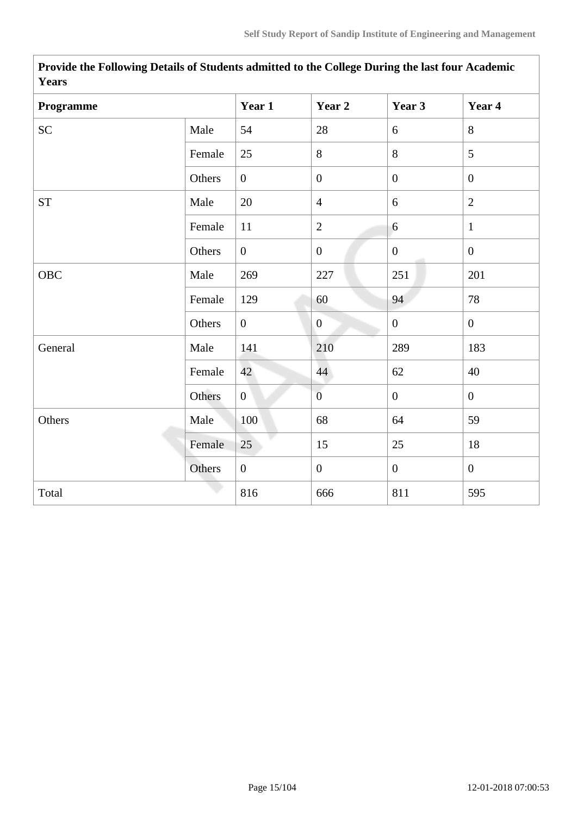| * YULI D           |        |                  |                  |                  |                  |
|--------------------|--------|------------------|------------------|------------------|------------------|
| Programme          |        | Year 1           | Year 2           | Year 3           | Year 4           |
| ${\bf SC}$         | Male   | 54               | 28               | 6                | 8                |
|                    | Female | 25               | 8                | 8                | 5                |
|                    | Others | $\overline{0}$   | $\boldsymbol{0}$ | $\boldsymbol{0}$ | $\boldsymbol{0}$ |
| ${\cal S}{\cal T}$ | Male   | 20               | $\overline{4}$   | 6                | $\overline{2}$   |
|                    | Female | $11\,$           | $\sqrt{2}$       | 6                | $\mathbf{1}$     |
|                    | Others | $\overline{0}$   | $\boldsymbol{0}$ | $\boldsymbol{0}$ | $\boldsymbol{0}$ |
| <b>OBC</b>         | Male   | 269              | 227              | 251              | 201              |
|                    | Female | 129              | 60               | 94               | 78               |
|                    | Others | $\overline{0}$   | $\mathbf{0}$     | $\boldsymbol{0}$ | $\boldsymbol{0}$ |
| General            | Male   | 141              | 210              | 289              | 183              |
|                    | Female | 42               | 44               | 62               | 40               |
|                    | Others | $\overline{0}$   | $\overline{0}$   | $\mathbf{0}$     | $\overline{0}$   |
| Others             | Male   | 100              | 68               | 64               | 59               |
|                    | Female | 25               | 15               | 25               | 18               |
|                    | Others | $\boldsymbol{0}$ | $\boldsymbol{0}$ | $\boldsymbol{0}$ | $\boldsymbol{0}$ |
| Total              |        | 816              | 666              | 811              | 595              |

 **Provide the Following Details of Students admitted to the College During the last four Academic Years**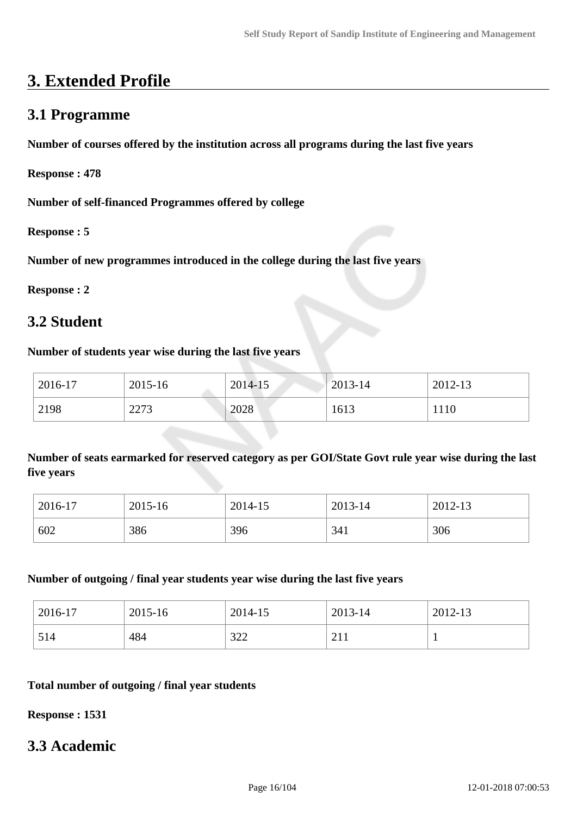## **3. Extended Profile**

### **3.1 Programme**

**Number of courses offered by the institution across all programs during the last five years**

**Response : 478**

**Number of self-financed Programmes offered by college**

**Response : 5**

**Number of new programmes introduced in the college during the last five years**

**Response : 2**

### **3.2 Student**

#### **Number of students year wise during the last five years**

| 2016-17 | 2015-16 | 2014-15 | $2013 - 14$ | 2012-13 |
|---------|---------|---------|-------------|---------|
| 2198    | 2273    | 2028    | 1613        | 1110    |

**Number of seats earmarked for reserved category as per GOI/State Govt rule year wise during the last five years**

| $2016-17$ | 2015-16 | 2014-15 | 2013-14 | 2012-13 |
|-----------|---------|---------|---------|---------|
| 602       | 386     | 396     | 341     | 306     |

#### **Number of outgoing / final year students year wise during the last five years**

| 2016-17 | 2015-16 | 2014-15       | 2013-14 | 2012-13 |
|---------|---------|---------------|---------|---------|
| 514     | 484     | 322<br>ے بے د | 211     |         |

#### **Total number of outgoing / final year students**

**Response : 1531**

## **3.3 Academic**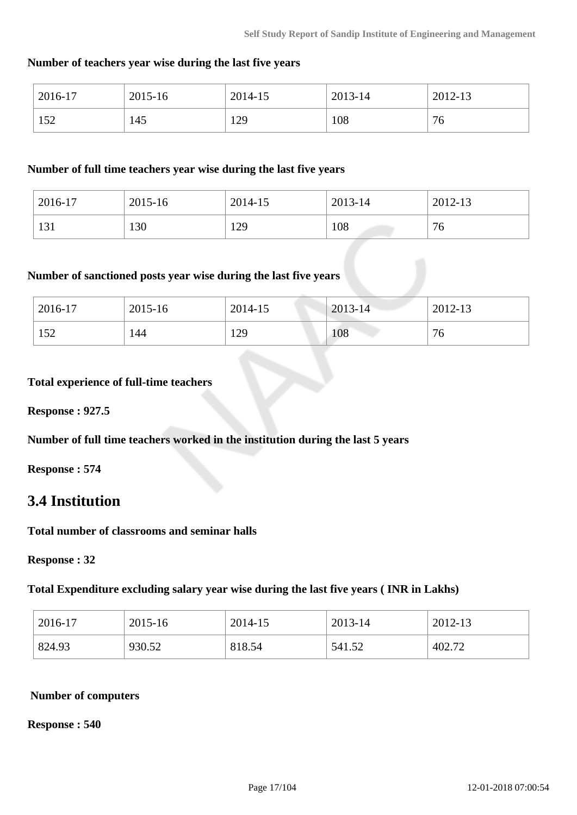#### **Number of teachers year wise during the last five years**

| 2016-17           | 2015-16 | 2014-15 | 2013-14 | 2012-13            |
|-------------------|---------|---------|---------|--------------------|
| $\epsilon$<br>152 | 145     | 129     | 108     | $\mathbf{r}$<br>10 |

#### **Number of full time teachers year wise during the last five years**

| 2016-17           | 2015-16 | 2014-15 | 2013-14 | 2012-13 |
|-------------------|---------|---------|---------|---------|
| $\sqrt{1}$<br>121 | 130     | 129     | 108     | 76      |

#### **Number of sanctioned posts year wise during the last five years**

| 2016-17 | 2015-16 | 2014-15 | $2013 - 14$ | 2012-13 |
|---------|---------|---------|-------------|---------|
| 152     | 144     | 129     | 108         | 76      |

#### **Total experience of full-time teachers**

**Response : 927.5**

**Number of full time teachers worked in the institution during the last 5 years**

**Response : 574**

### **3.4 Institution**

**Total number of classrooms and seminar halls**

**Response : 32**

**Total Expenditure excluding salary year wise during the last five years ( INR in Lakhs)**

| 2016-17 | 2015-16 | 2014-15 | 2013-14 | 2012-13 |
|---------|---------|---------|---------|---------|
| 824.93  | 930.52  | 818.54  | 541.52  | 402.72  |

#### **Number of computers**

#### **Response : 540**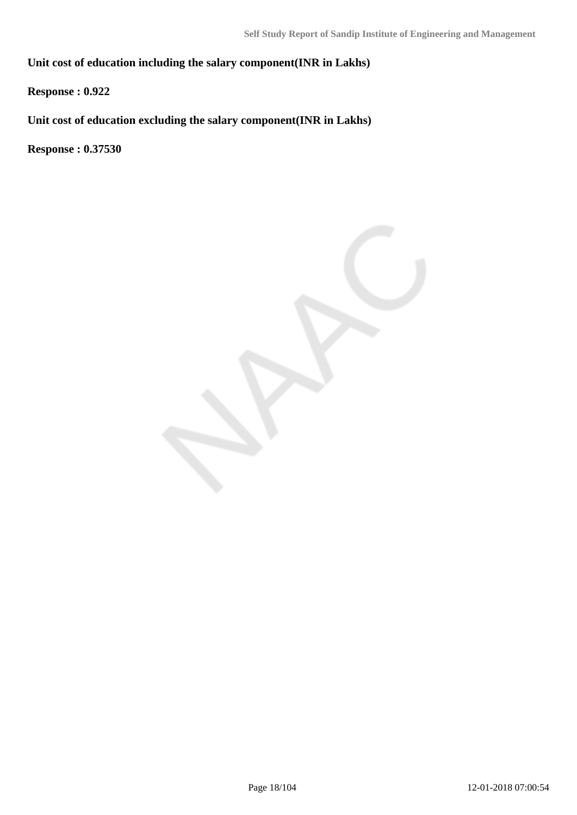**Unit cost of education including the salary component(INR in Lakhs)**

**Response : 0.922**

**Unit cost of education excluding the salary component(INR in Lakhs)**

**Response : 0.37530**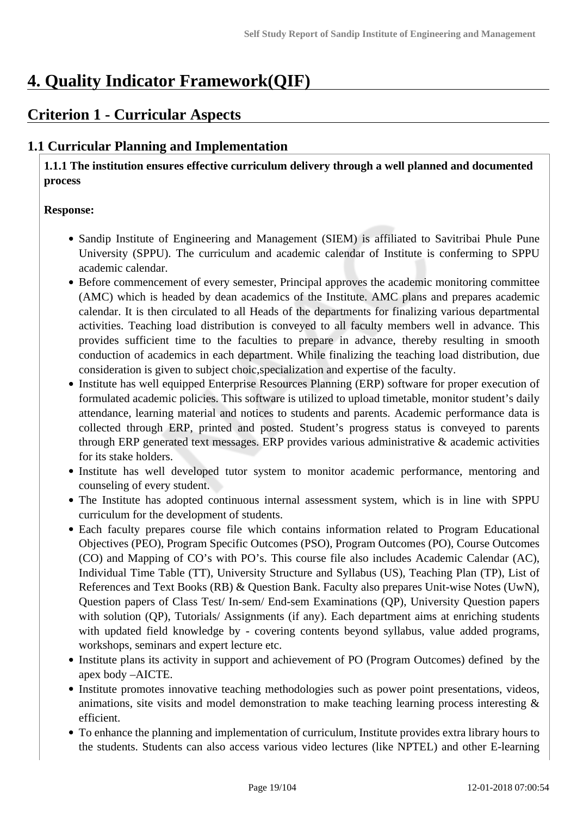## **4. Quality Indicator Framework(QIF)**

## **Criterion 1 - Curricular Aspects**

### **1.1 Curricular Planning and Implementation**

 **1.1.1 The institution ensures effective curriculum delivery through a well planned and documented process** 

#### **Response:**

- Sandip Institute of Engineering and Management (SIEM) is affiliated to Savitribai Phule Pune University (SPPU). The curriculum and academic calendar of Institute is conferming to SPPU academic calendar.
- Before commencement of every semester, Principal approves the academic monitoring committee (AMC) which is headed by dean academics of the Institute. AMC plans and prepares academic calendar. It is then circulated to all Heads of the departments for finalizing various departmental activities. Teaching load distribution is conveyed to all faculty members well in advance. This provides sufficient time to the faculties to prepare in advance, thereby resulting in smooth conduction of academics in each department. While finalizing the teaching load distribution, due consideration is given to subject choic,specialization and expertise of the faculty.
- Institute has well equipped Enterprise Resources Planning (ERP) software for proper execution of formulated academic policies. This software is utilized to upload timetable, monitor student's daily attendance, learning material and notices to students and parents. Academic performance data is collected through ERP, printed and posted. Student's progress status is conveyed to parents through ERP generated text messages. ERP provides various administrative & academic activities for its stake holders.
- Institute has well developed tutor system to monitor academic performance, mentoring and counseling of every student.
- The Institute has adopted continuous internal assessment system, which is in line with SPPU curriculum for the development of students.
- Each faculty prepares course file which contains information related to Program Educational Objectives (PEO), Program Specific Outcomes (PSO), Program Outcomes (PO), Course Outcomes (CO) and Mapping of CO's with PO's. This course file also includes Academic Calendar (AC), Individual Time Table (TT), University Structure and Syllabus (US), Teaching Plan (TP), List of References and Text Books (RB) & Question Bank. Faculty also prepares Unit-wise Notes (UwN), Question papers of Class Test/ In-sem/ End-sem Examinations (QP), University Question papers with solution (QP), Tutorials/ Assignments (if any). Each department aims at enriching students with updated field knowledge by - covering contents beyond syllabus, value added programs, workshops, seminars and expert lecture etc.
- Institute plans its activity in support and achievement of PO (Program Outcomes) defined by the apex body –AICTE.
- Institute promotes innovative teaching methodologies such as power point presentations, videos, animations, site visits and model demonstration to make teaching learning process interesting & efficient.
- To enhance the planning and implementation of curriculum, Institute provides extra library hours to the students. Students can also access various video lectures (like NPTEL) and other E-learning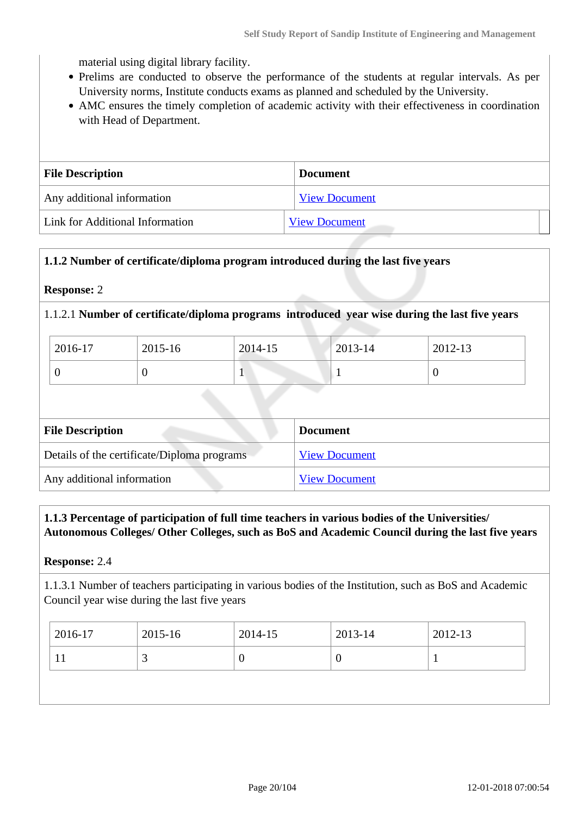material using digital library facility.

- Prelims are conducted to observe the performance of the students at regular intervals. As per University norms, Institute conducts exams as planned and scheduled by the University.
- AMC ensures the timely completion of academic activity with their effectiveness in coordination with Head of Department.

| <b>File Description</b>         | <b>Document</b>      |
|---------------------------------|----------------------|
| Any additional information      | <b>View Document</b> |
| Link for Additional Information | <b>View Document</b> |

#### **1.1.2 Number of certificate/diploma program introduced during the last five years**

#### **Response:** 2

#### 1.1.2.1 **Number of certificate/diploma programs introduced year wise during the last five years**

| 2016-17 | 2015-16 | 2014-15 | $2013 - 14$ | 2012-13 |
|---------|---------|---------|-------------|---------|
|         | ◡       | л.      |             |         |

| <b>File Description</b>                     | <b>Document</b>      |
|---------------------------------------------|----------------------|
| Details of the certificate/Diploma programs | <b>View Document</b> |
| Any additional information                  | <b>View Document</b> |

 **1.1.3 Percentage of participation of full time teachers in various bodies of the Universities/ Autonomous Colleges/ Other Colleges, such as BoS and Academic Council during the last five years**

#### **Response:** 2.4

1.1.3.1 Number of teachers participating in various bodies of the Institution, such as BoS and Academic Council year wise during the last five years

| 2016-17 | 2015-16 | 2014-15 | 2013-14 | $2012 - 13$ |
|---------|---------|---------|---------|-------------|
|         | ~       | U       |         |             |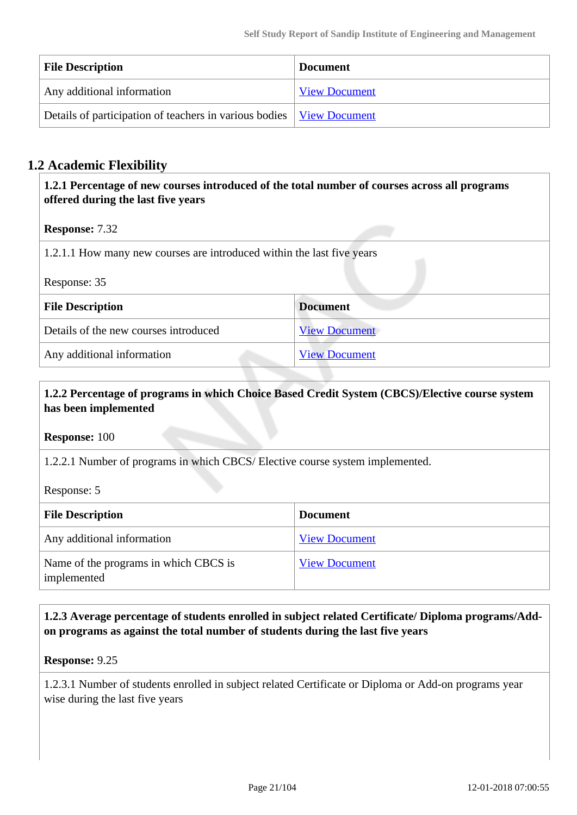| <b>File Description</b>                                                     | <b>Document</b>      |
|-----------------------------------------------------------------------------|----------------------|
| Any additional information                                                  | <b>View Document</b> |
| Details of participation of teachers in various bodies <u>View Document</u> |                      |

### **1.2 Academic Flexibility**

 **1.2.1 Percentage of new courses introduced of the total number of courses across all programs offered during the last five years**

**Response:** 7.32

1.2.1.1 How many new courses are introduced within the last five years

| Response: 35                          |                      |  |
|---------------------------------------|----------------------|--|
| <b>File Description</b>               | <b>Document</b>      |  |
| Details of the new courses introduced | <b>View Document</b> |  |
| Any additional information            | <b>View Document</b> |  |

#### **1.2.2 Percentage of programs in which Choice Based Credit System (CBCS)/Elective course system has been implemented**

#### **Response:** 100

1.2.2.1 Number of programs in which CBCS/ Elective course system implemented.

Response: 5

| <b>File Description</b>                              | <b>Document</b>      |
|------------------------------------------------------|----------------------|
| Any additional information                           | <b>View Document</b> |
| Name of the programs in which CBCS is<br>implemented | <b>View Document</b> |

#### **1.2.3 Average percentage of students enrolled in subject related Certificate/ Diploma programs/Addon programs as against the total number of students during the last five years**

#### **Response:** 9.25

1.2.3.1 Number of students enrolled in subject related Certificate or Diploma or Add-on programs year wise during the last five years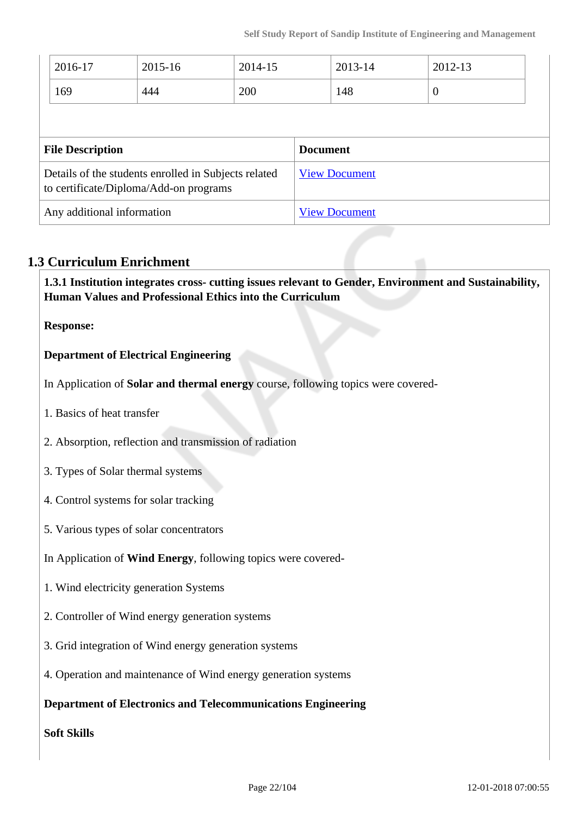| 2016-17                 | 2015-16                                                                                        | 2014-15 |                 | 2013-14              | 2012-13        |  |
|-------------------------|------------------------------------------------------------------------------------------------|---------|-----------------|----------------------|----------------|--|
| 169                     | 444                                                                                            | 200     |                 | 148                  | $\overline{0}$ |  |
|                         |                                                                                                |         |                 |                      |                |  |
|                         |                                                                                                |         |                 |                      |                |  |
| <b>File Description</b> |                                                                                                |         | <b>Document</b> |                      |                |  |
|                         | Details of the students enrolled in Subjects related<br>to certificate/Diploma/Add-on programs |         |                 | <b>View Document</b> |                |  |

#### **1.3 Curriculum Enrichment**

 **1.3.1 Institution integrates cross- cutting issues relevant to Gender, Environment and Sustainability, Human Values and Professional Ethics into the Curriculum**

**Response:** 

#### **Department of Electrical Engineering**

In Application of **Solar and thermal energy** course, following topics were covered-

- 1. Basics of heat transfer
- 2. Absorption, reflection and transmission of radiation
- 3. Types of Solar thermal systems
- 4. Control systems for solar tracking
- 5. Various types of solar concentrators
- In Application of **Wind Energy**, following topics were covered-
- 1. Wind electricity generation Systems
- 2. Controller of Wind energy generation systems
- 3. Grid integration of Wind energy generation systems
- 4. Operation and maintenance of Wind energy generation systems

#### **Department of Electronics and Telecommunications Engineering**

**Soft Skills**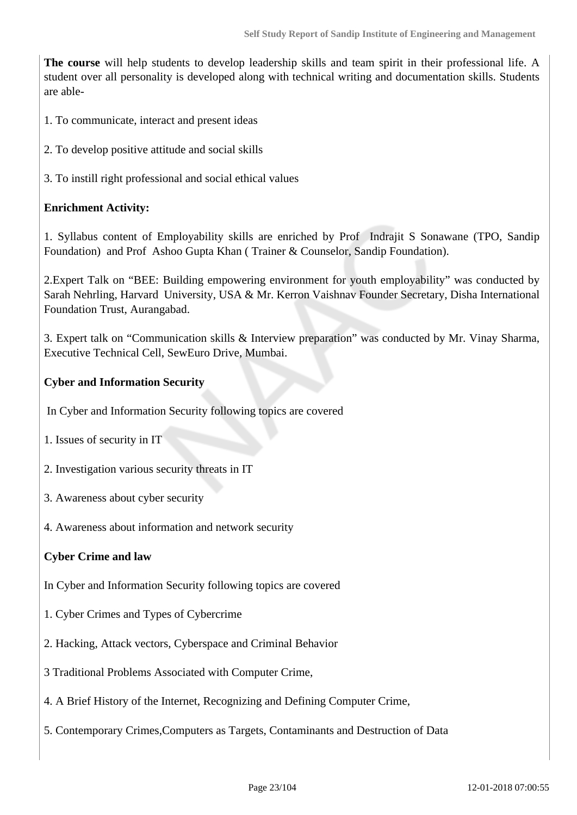**The course** will help students to develop leadership skills and team spirit in their professional life. A student over all personality is developed along with technical writing and documentation skills. Students are able-

- 1. To communicate, interact and present ideas
- 2. To develop positive attitude and social skills
- 3. To instill right professional and social ethical values

#### **Enrichment Activity:**

1. Syllabus content of Employability skills are enriched by Prof Indrajit S Sonawane (TPO, Sandip Foundation) and Prof Ashoo Gupta Khan ( Trainer & Counselor, Sandip Foundation).

2.Expert Talk on "BEE: Building empowering environment for youth employability" was conducted by Sarah Nehrling, Harvard University, USA & Mr. Kerron Vaishnav Founder Secretary, Disha International Foundation Trust, Aurangabad.

3. Expert talk on "Communication skills & Interview preparation" was conducted by Mr. Vinay Sharma, Executive Technical Cell, SewEuro Drive, Mumbai.

#### **Cyber and Information Security**

In Cyber and Information Security following topics are covered

- 1. Issues of security in IT
- 2. Investigation various security threats in IT
- 3. Awareness about cyber security
- 4. Awareness about information and network security

#### **Cyber Crime and law**

- In Cyber and Information Security following topics are covered
- 1. Cyber Crimes and Types of Cybercrime
- 2. Hacking, Attack vectors, Cyberspace and Criminal Behavior
- 3 Traditional Problems Associated with Computer Crime,
- 4. A Brief History of the Internet, Recognizing and Defining Computer Crime,
- 5. Contemporary Crimes,Computers as Targets, Contaminants and Destruction of Data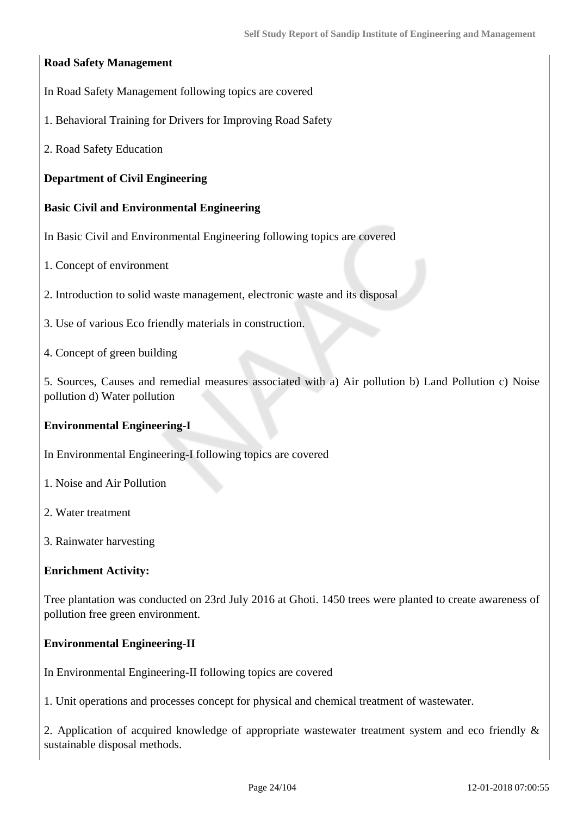#### **Road Safety Management**

- In Road Safety Management following topics are covered
- 1. Behavioral Training for Drivers for Improving Road Safety
- 2. Road Safety Education

#### **Department of Civil Engineering**

#### **Basic Civil and Environmental Engineering**

In Basic Civil and Environmental Engineering following topics are covered

- 1. Concept of environment
- 2. Introduction to solid waste management, electronic waste and its disposal
- 3. Use of various Eco friendly materials in construction.
- 4. Concept of green building

5. Sources, Causes and remedial measures associated with a) Air pollution b) Land Pollution c) Noise pollution d) Water pollution

#### **Environmental Engineering-I**

- In Environmental Engineering-I following topics are covered
- 1. Noise and Air Pollution
- 2. Water treatment
- 3. Rainwater harvesting

#### **Enrichment Activity:**

Tree plantation was conducted on 23rd July 2016 at Ghoti. 1450 trees were planted to create awareness of pollution free green environment.

#### **Environmental Engineering-II**

In Environmental Engineering-II following topics are covered

1. Unit operations and processes concept for physical and chemical treatment of wastewater.

2. Application of acquired knowledge of appropriate wastewater treatment system and eco friendly & sustainable disposal methods.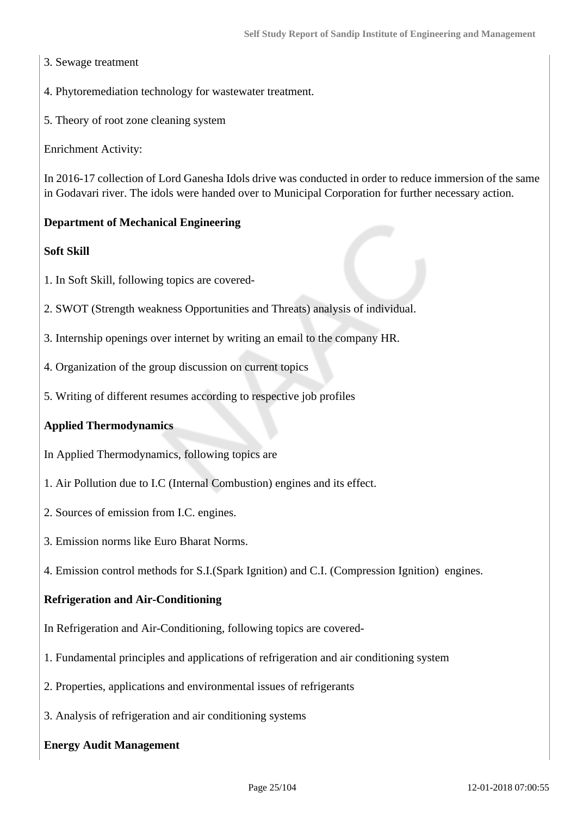- 3. Sewage treatment
- 4. Phytoremediation technology for wastewater treatment.
- 5. Theory of root zone cleaning system
- Enrichment Activity:

In 2016-17 collection of Lord Ganesha Idols drive was conducted in order to reduce immersion of the same in Godavari river. The idols were handed over to Municipal Corporation for further necessary action.

#### **Department of Mechanical Engineering**

#### **Soft Skill**

- 1. In Soft Skill, following topics are covered-
- 2. SWOT (Strength weakness Opportunities and Threats) analysis of individual.
- 3. Internship openings over internet by writing an email to the company HR.
- 4. Organization of the group discussion on current topics
- 5. Writing of different resumes according to respective job profiles

#### **Applied Thermodynamics**

- In Applied Thermodynamics, following topics are
- 1. Air Pollution due to I.C (Internal Combustion) engines and its effect.
- 2. Sources of emission from I.C. engines.
- 3. Emission norms like Euro Bharat Norms.
- 4. Emission control methods for S.I.(Spark Ignition) and C.I. (Compression Ignition) engines.

#### **Refrigeration and Air-Conditioning**

- In Refrigeration and Air-Conditioning, following topics are covered-
- 1. Fundamental principles and applications of refrigeration and air conditioning system
- 2. Properties, applications and environmental issues of refrigerants
- 3. Analysis of refrigeration and air conditioning systems

#### **Energy Audit Management**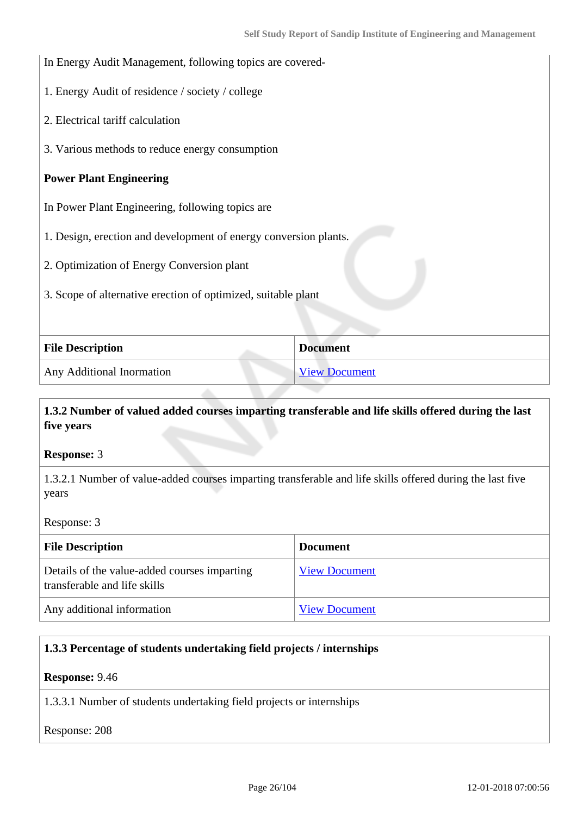|  |  | In Energy Audit Management, following topics are covered- |
|--|--|-----------------------------------------------------------|
|  |  |                                                           |

- 1. Energy Audit of residence / society / college
- 2. Electrical tariff calculation
- 3. Various methods to reduce energy consumption

#### **Power Plant Engineering**

In Power Plant Engineering, following topics are

1. Design, erection and development of energy conversion plants.

2. Optimization of Energy Conversion plant

3. Scope of alternative erection of optimized, suitable plant

| <b>File Description</b>   | <b>Document</b>      |
|---------------------------|----------------------|
| Any Additional Inormation | <b>View Document</b> |

#### **1.3.2 Number of valued added courses imparting transferable and life skills offered during the last five years**

#### **Response:** 3

1.3.2.1 Number of value-added courses imparting transferable and life skills offered during the last five years

#### Response: 3

| <b>File Description</b>                                                      | <b>Document</b>      |
|------------------------------------------------------------------------------|----------------------|
| Details of the value-added courses imparting<br>transferable and life skills | <b>View Document</b> |
| Any additional information                                                   | <b>View Document</b> |

#### **1.3.3 Percentage of students undertaking field projects / internships**

#### **Response:** 9.46

1.3.3.1 Number of students undertaking field projects or internships

Response: 208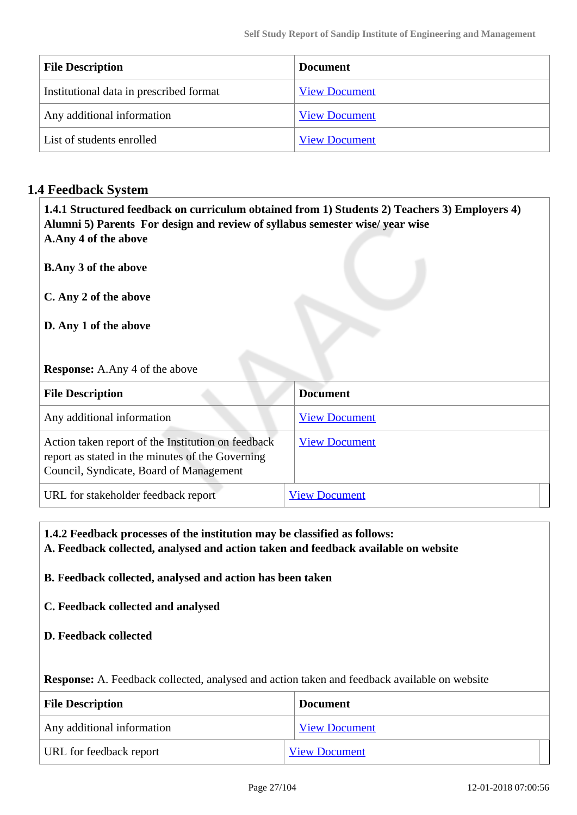| <b>File Description</b>                 | <b>Document</b>      |
|-----------------------------------------|----------------------|
| Institutional data in prescribed format | <b>View Document</b> |
| Any additional information              | <b>View Document</b> |
| List of students enrolled               | <b>View Document</b> |

#### **1.4 Feedback System**

| 1.4.1 Structured feedback on curriculum obtained from 1) Students 2) Teachers 3) Employers 4)<br>Alumni 5) Parents For design and review of syllabus semester wise/ year wise<br>A.Any 4 of the above<br><b>B.Any 3 of the above</b> |                      |  |  |
|--------------------------------------------------------------------------------------------------------------------------------------------------------------------------------------------------------------------------------------|----------------------|--|--|
| C. Any 2 of the above                                                                                                                                                                                                                |                      |  |  |
| D. Any 1 of the above                                                                                                                                                                                                                |                      |  |  |
| <b>Response:</b> A.Any 4 of the above                                                                                                                                                                                                |                      |  |  |
| <b>File Description</b>                                                                                                                                                                                                              | <b>Document</b>      |  |  |
| Any additional information                                                                                                                                                                                                           | <b>View Document</b> |  |  |
| Action taken report of the Institution on feedback<br>report as stated in the minutes of the Governing<br>Council, Syndicate, Board of Management                                                                                    | <b>View Document</b> |  |  |
| URL for stakeholder feedback report                                                                                                                                                                                                  | <b>View Document</b> |  |  |

 **1.4.2 Feedback processes of the institution may be classified as follows: A. Feedback collected, analysed and action taken and feedback available on website**

**B. Feedback collected, analysed and action has been taken**

- **C. Feedback collected and analysed**
- **D. Feedback collected**

**Response:** A. Feedback collected, analysed and action taken and feedback available on website

| <b>File Description</b>    | <b>Document</b>      |  |
|----------------------------|----------------------|--|
| Any additional information | <b>View Document</b> |  |
| URL for feedback report    | <b>View Document</b> |  |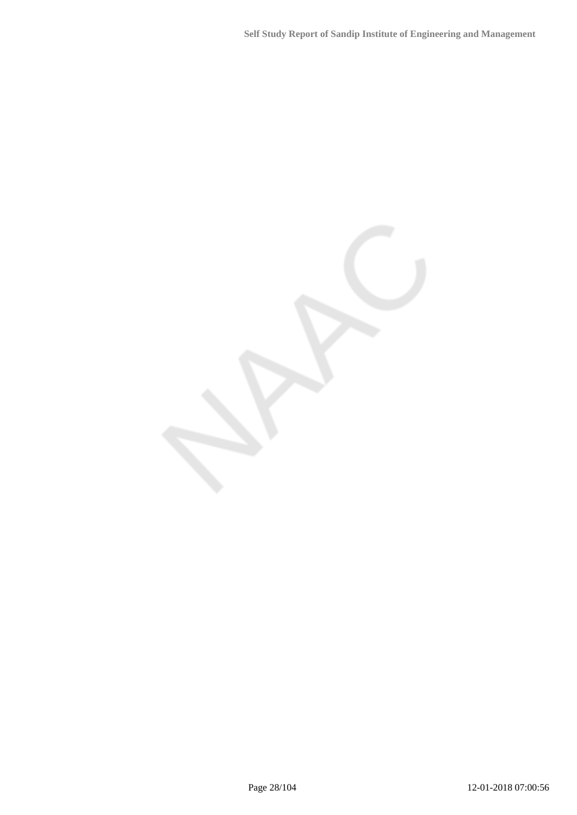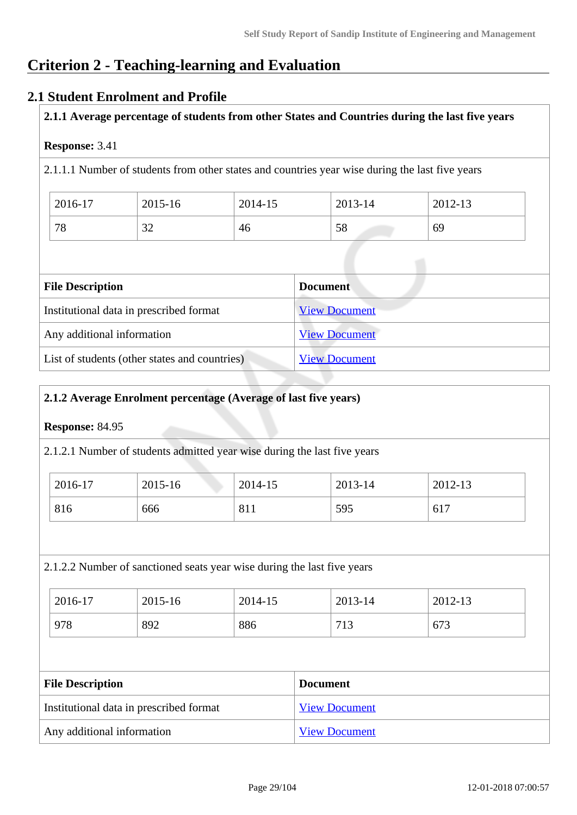## **Criterion 2 - Teaching-learning and Evaluation**

#### **2.1 Student Enrolment and Profile**

**2.1.1 Average percentage of students from other States and Countries during the last five years**

#### **Response:** 3.41

2.1.1.1 Number of students from other states and countries year wise during the last five years

| 2016-17 | 2015-16        | 2014-15 | 2013-14 | 2012-13 |
|---------|----------------|---------|---------|---------|
| 78      | $\Omega$<br>ىر | 46      | 58      | 69      |

| <b>File Description</b>                       | <b>Document</b>      |
|-----------------------------------------------|----------------------|
| Institutional data in prescribed format       | <b>View Document</b> |
| Any additional information                    | <b>View Document</b> |
| List of students (other states and countries) | <b>View Document</b> |

#### **2.1.2 Average Enrolment percentage (Average of last five years)**

#### **Response:** 84.95

2.1.2.1 Number of students admitted year wise during the last five years

| 2016-17 | 2015-16 | 2014-15 | 2013-14 | 2012-13 |
|---------|---------|---------|---------|---------|
| 816     | 666     | 811     | 595     | 617     |

#### 2.1.2.2 Number of sanctioned seats year wise during the last five years

| 2016-17 | 2015-16 | 2014-15 | 2013-14 | 2012-13 |
|---------|---------|---------|---------|---------|
| 978     | 892     | 886     | 713     | 673     |

| <b>File Description</b>                 | <b>Document</b>      |
|-----------------------------------------|----------------------|
| Institutional data in prescribed format | <b>View Document</b> |
| Any additional information              | <b>View Document</b> |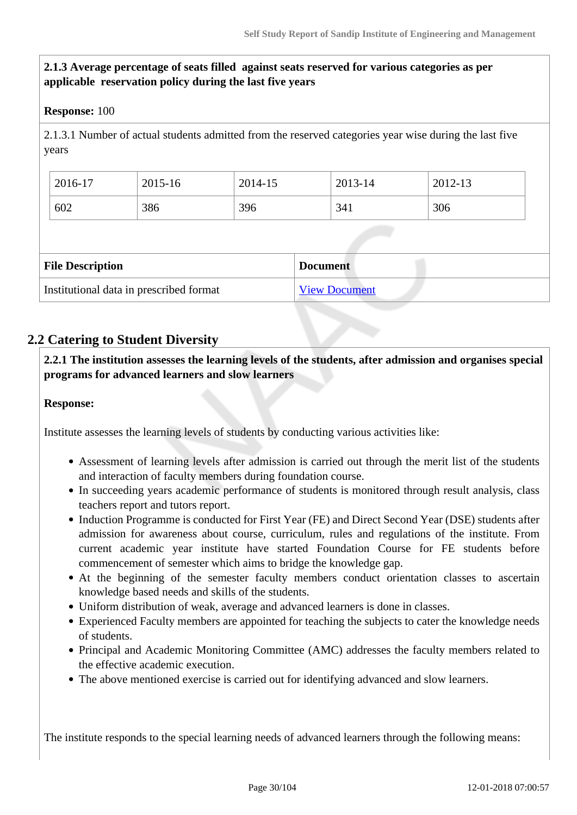#### **2.1.3 Average percentage of seats filled against seats reserved for various categories as per applicable reservation policy during the last five years**

#### **Response:** 100

2.1.3.1 Number of actual students admitted from the reserved categories year wise during the last five years

| 2016-17 | 2015-16 | 2014-15 | 2013-14 | 2012-13 |
|---------|---------|---------|---------|---------|
| 602     | 386     | 396     | 341     | 306     |

| <b>File Description</b>                 | <b>Document</b> |
|-----------------------------------------|-----------------|
| Institutional data in prescribed format | View Document   |

### **2.2 Catering to Student Diversity**

 **2.2.1 The institution assesses the learning levels of the students, after admission and organises special programs for advanced learners and slow learners**

#### **Response:**

Institute assesses the learning levels of students by conducting various activities like:

- Assessment of learning levels after admission is carried out through the merit list of the students and interaction of faculty members during foundation course.
- In succeeding years academic performance of students is monitored through result analysis, class teachers report and tutors report.
- Induction Programme is conducted for First Year (FE) and Direct Second Year (DSE) students after admission for awareness about course, curriculum, rules and regulations of the institute. From current academic year institute have started Foundation Course for FE students before commencement of semester which aims to bridge the knowledge gap.
- At the beginning of the semester faculty members conduct orientation classes to ascertain knowledge based needs and skills of the students.
- Uniform distribution of weak, average and advanced learners is done in classes.
- Experienced Faculty members are appointed for teaching the subjects to cater the knowledge needs of students.
- Principal and Academic Monitoring Committee (AMC) addresses the faculty members related to the effective academic execution.
- The above mentioned exercise is carried out for identifying advanced and slow learners.

The institute responds to the special learning needs of advanced learners through the following means: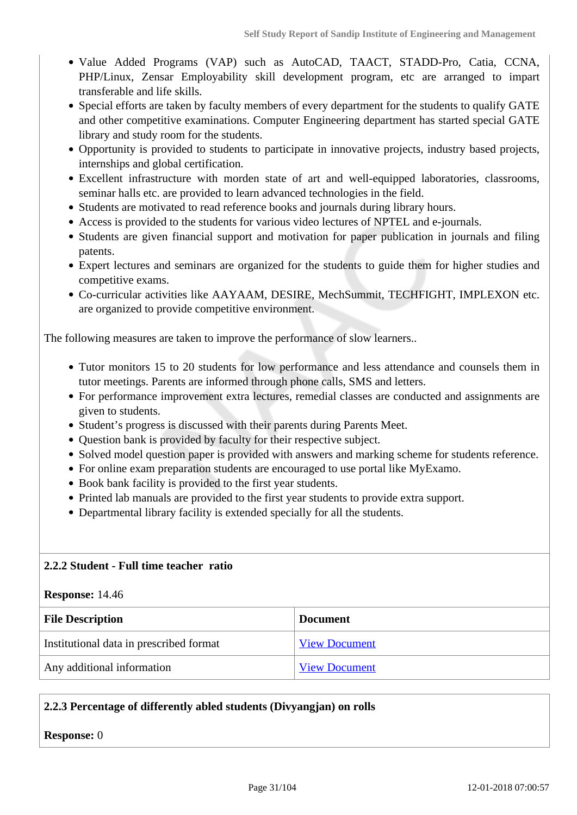- Value Added Programs (VAP) such as AutoCAD, TAACT, STADD-Pro, Catia, CCNA, PHP/Linux, Zensar Employability skill development program, etc are arranged to impart transferable and life skills.
- Special efforts are taken by faculty members of every department for the students to qualify GATE and other competitive examinations. Computer Engineering department has started special GATE library and study room for the students.
- Opportunity is provided to students to participate in innovative projects, industry based projects, internships and global certification.
- Excellent infrastructure with morden state of art and well-equipped laboratories, classrooms, seminar halls etc. are provided to learn advanced technologies in the field.
- Students are motivated to read reference books and journals during library hours.
- Access is provided to the students for various video lectures of NPTEL and e-journals.
- Students are given financial support and motivation for paper publication in journals and filing patents.
- Expert lectures and seminars are organized for the students to guide them for higher studies and competitive exams.
- Co-curricular activities like AAYAAM, DESIRE, MechSummit, TECHFIGHT, IMPLEXON etc. are organized to provide competitive environment.

The following measures are taken to improve the performance of slow learners..

- Tutor monitors 15 to 20 students for low performance and less attendance and counsels them in tutor meetings. Parents are informed through phone calls, SMS and letters.
- For performance improvement extra lectures, remedial classes are conducted and assignments are given to students.
- Student's progress is discussed with their parents during Parents Meet.
- Ouestion bank is provided by faculty for their respective subject.
- Solved model question paper is provided with answers and marking scheme for students reference.
- For online exam preparation students are encouraged to use portal like MyExamo.
- Book bank facility is provided to the first year students.
- Printed lab manuals are provided to the first year students to provide extra support.
- Departmental library facility is extended specially for all the students.

#### **2.2.2 Student - Full time teacher ratio**

#### **Response:** 14.46

| <b>File Description</b>                 | <b>Document</b>      |
|-----------------------------------------|----------------------|
| Institutional data in prescribed format | <b>View Document</b> |
| Any additional information              | <b>View Document</b> |

#### **2.2.3 Percentage of differently abled students (Divyangjan) on rolls**

#### **Response:** 0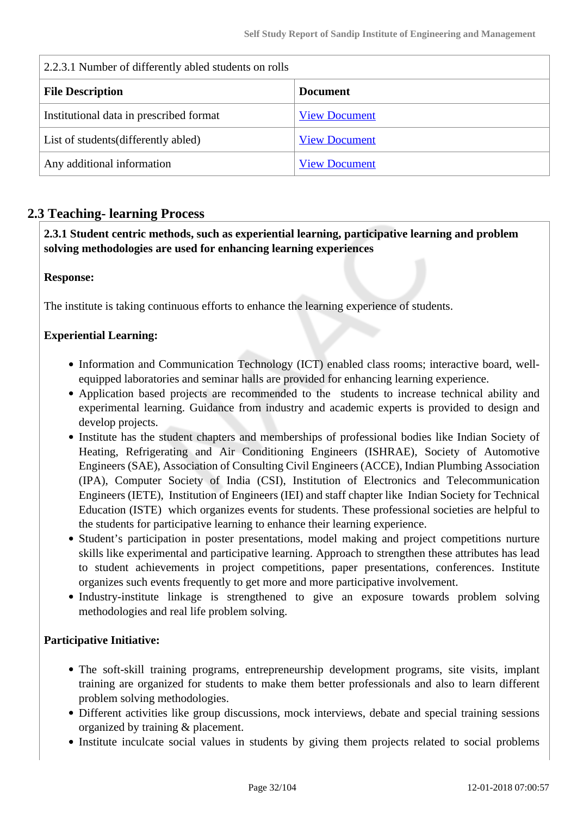| 2.2.3.1 Number of differently abled students on rolls |                      |  |
|-------------------------------------------------------|----------------------|--|
| <b>File Description</b>                               | <b>Document</b>      |  |
| Institutional data in prescribed format               | <b>View Document</b> |  |
| List of students (differently abled)                  | <b>View Document</b> |  |
| Any additional information                            | <b>View Document</b> |  |

#### **2.3 Teaching- learning Process**

 **2.3.1 Student centric methods, such as experiential learning, participative learning and problem solving methodologies are used for enhancing learning experiences**

#### **Response:**

The institute is taking continuous efforts to enhance the learning experience of students.

#### **Experiential Learning:**

- Information and Communication Technology (ICT) enabled class rooms; interactive board, wellequipped laboratories and seminar halls are provided for enhancing learning experience.
- Application based projects are recommended to the students to increase technical ability and experimental learning. Guidance from industry and academic experts is provided to design and develop projects.
- Institute has the student chapters and memberships of professional bodies like Indian Society of Heating, Refrigerating and Air Conditioning Engineers (ISHRAE), Society of Automotive Engineers (SAE), Association of Consulting Civil Engineers (ACCE), Indian Plumbing Association (IPA), Computer Society of India (CSI), Institution of Electronics and Telecommunication Engineers (IETE), Institution of Engineers (IEI) and staff chapter like Indian Society for Technical Education (ISTE) which organizes events for students. These professional societies are helpful to the students for participative learning to enhance their learning experience.
- Student's participation in poster presentations, model making and project competitions nurture skills like experimental and participative learning. Approach to strengthen these attributes has lead to student achievements in project competitions, paper presentations, conferences. Institute organizes such events frequently to get more and more participative involvement.
- Industry-institute linkage is strengthened to give an exposure towards problem solving methodologies and real life problem solving.

#### **Participative Initiative:**

- The soft-skill training programs, entrepreneurship development programs, site visits, implant training are organized for students to make them better professionals and also to learn different problem solving methodologies.
- Different activities like group discussions, mock interviews, debate and special training sessions organized by training & placement.
- Institute inculcate social values in students by giving them projects related to social problems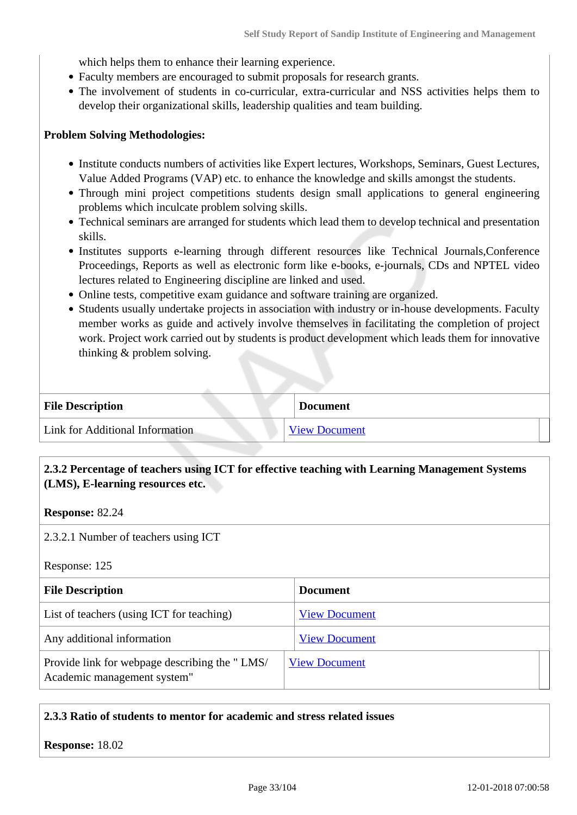which helps them to enhance their learning experience.

- Faculty members are encouraged to submit proposals for research grants.
- The involvement of students in co-curricular, extra-curricular and NSS activities helps them to develop their organizational skills, leadership qualities and team building.

#### **Problem Solving Methodologies:**

- Institute conducts numbers of activities like Expert lectures, Workshops, Seminars, Guest Lectures, Value Added Programs (VAP) etc. to enhance the knowledge and skills amongst the students.
- Through mini project competitions students design small applications to general engineering problems which inculcate problem solving skills.
- Technical seminars are arranged for students which lead them to develop technical and presentation skills.
- Institutes supports e-learning through different resources like Technical Journals,Conference Proceedings, Reports as well as electronic form like e-books, e-journals, CDs and NPTEL video lectures related to Engineering discipline are linked and used.
- Online tests, competitive exam guidance and software training are organized.
- Students usually undertake projects in association with industry or in-house developments. Faculty member works as guide and actively involve themselves in facilitating the completion of project work. Project work carried out by students is product development which leads them for innovative thinking & problem solving.

| <b>File Description</b>         | <b>Document</b>      |
|---------------------------------|----------------------|
| Link for Additional Information | <b>View Document</b> |

#### **2.3.2 Percentage of teachers using ICT for effective teaching with Learning Management Systems (LMS), E-learning resources etc.**

#### **Response:** 82.24

2.3.2.1 Number of teachers using ICT

Response: 125

| <b>File Description</b>                                                      | <b>Document</b>      |
|------------------------------------------------------------------------------|----------------------|
| List of teachers (using ICT for teaching)                                    | <b>View Document</b> |
| Any additional information                                                   | <b>View Document</b> |
| Provide link for webpage describing the "LMS/<br>Academic management system" | <b>View Document</b> |

#### **2.3.3 Ratio of students to mentor for academic and stress related issues**

**Response:** 18.02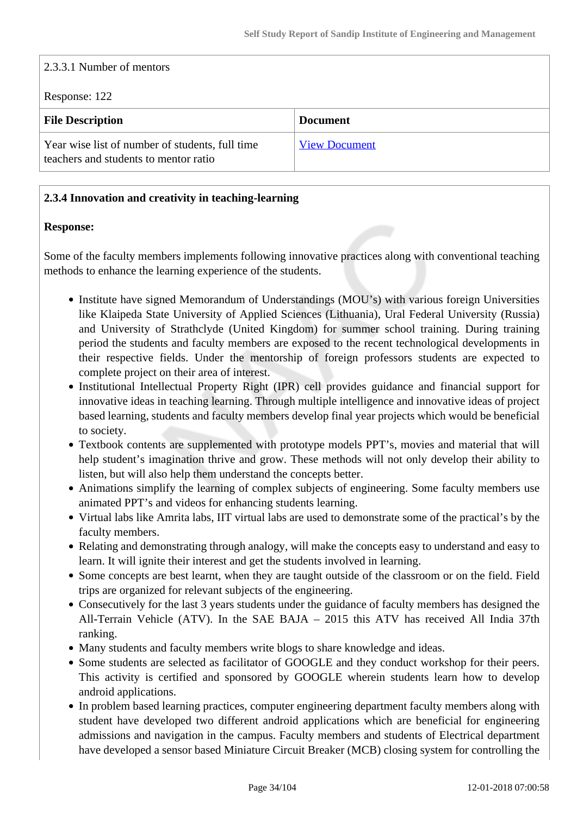| 2.3.3.1 Number of mentors                                                                |                      |
|------------------------------------------------------------------------------------------|----------------------|
| Response: 122                                                                            |                      |
| <b>File Description</b>                                                                  | <b>Document</b>      |
| Year wise list of number of students, full time<br>teachers and students to mentor ratio | <b>View Document</b> |

#### **2.3.4 Innovation and creativity in teaching-learning**

#### **Response:**

Some of the faculty members implements following innovative practices along with conventional teaching methods to enhance the learning experience of the students.

- Institute have signed Memorandum of Understandings (MOU's) with various foreign Universities like Klaipeda State University of Applied Sciences (Lithuania), Ural Federal University (Russia) and University of Strathclyde (United Kingdom) for summer school training. During training period the students and faculty members are exposed to the recent technological developments in their respective fields. Under the mentorship of foreign professors students are expected to complete project on their area of interest.
- Institutional Intellectual Property Right (IPR) cell provides guidance and financial support for innovative ideas in teaching learning. Through multiple intelligence and innovative ideas of project based learning, students and faculty members develop final year projects which would be beneficial to society.
- Textbook contents are supplemented with prototype models PPT's, movies and material that will help student's imagination thrive and grow. These methods will not only develop their ability to listen, but will also help them understand the concepts better.
- Animations simplify the learning of complex subjects of engineering. Some faculty members use animated PPT's and videos for enhancing students learning.
- Virtual labs like Amrita labs, IIT virtual labs are used to demonstrate some of the practical's by the faculty members.
- Relating and demonstrating through analogy, will make the concepts easy to understand and easy to learn. It will ignite their interest and get the students involved in learning.
- Some concepts are best learnt, when they are taught outside of the classroom or on the field. Field trips are organized for relevant subjects of the engineering.
- Consecutively for the last 3 years students under the guidance of faculty members has designed the All-Terrain Vehicle (ATV). In the SAE BAJA – 2015 this ATV has received All India 37th ranking.
- Many students and faculty members write blogs to share knowledge and ideas.
- Some students are selected as facilitator of GOOGLE and they conduct workshop for their peers. This activity is certified and sponsored by GOOGLE wherein students learn how to develop android applications.
- In problem based learning practices, computer engineering department faculty members along with student have developed two different android applications which are beneficial for engineering admissions and navigation in the campus. Faculty members and students of Electrical department have developed a sensor based Miniature Circuit Breaker (MCB) closing system for controlling the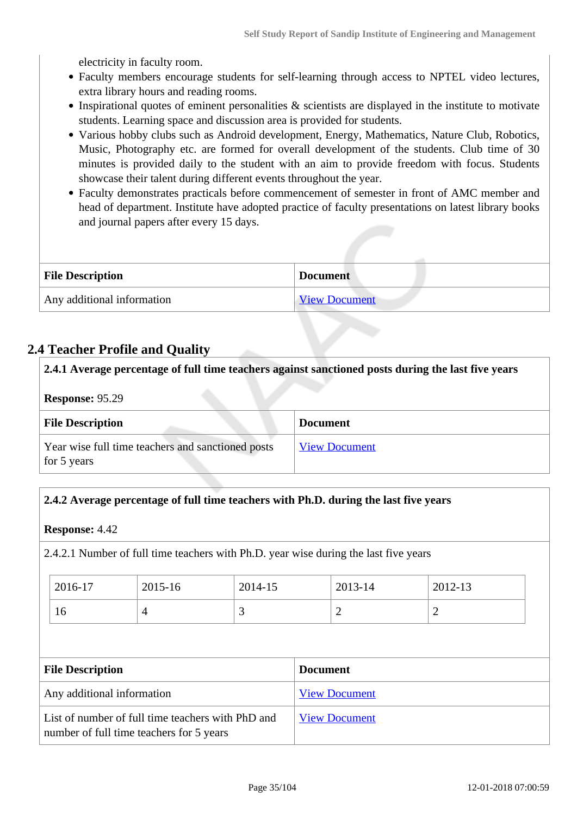electricity in faculty room.

- Faculty members encourage students for self-learning through access to NPTEL video lectures, extra library hours and reading rooms.
- Inspirational quotes of eminent personalities & scientists are displayed in the institute to motivate students. Learning space and discussion area is provided for students.
- Various hobby clubs such as Android development, Energy, Mathematics, Nature Club, Robotics, Music, Photography etc. are formed for overall development of the students. Club time of 30 minutes is provided daily to the student with an aim to provide freedom with focus. Students showcase their talent during different events throughout the year.
- Faculty demonstrates practicals before commencement of semester in front of AMC member and head of department. Institute have adopted practice of faculty presentations on latest library books and journal papers after every 15 days.

| <b>File Description</b>    | <b>Document</b>      |
|----------------------------|----------------------|
| Any additional information | <b>View Document</b> |

#### **2.4 Teacher Profile and Quality**

| 2.4.1 Average percentage of full time teachers against sanctioned posts during the last five years |                      |  |
|----------------------------------------------------------------------------------------------------|----------------------|--|
| <b>Response: 95.29</b>                                                                             |                      |  |
| <b>File Description</b>                                                                            | <b>Document</b>      |  |
| Year wise full time teachers and sanctioned posts<br>for 5 years                                   | <b>View Document</b> |  |

#### **2.4.2 Average percentage of full time teachers with Ph.D. during the last five years**

#### **Response:** 4.42

2.4.2.1 Number of full time teachers with Ph.D. year wise during the last five years

| 2016-17 | 2015-16 | 2014-15 | 2013-14   | 2012-13 |
|---------|---------|---------|-----------|---------|
| 10      |         |         | <b>__</b> | ∽       |

| <b>File Description</b>                                                                       | <b>Document</b>      |
|-----------------------------------------------------------------------------------------------|----------------------|
| Any additional information                                                                    | <b>View Document</b> |
| List of number of full time teachers with PhD and<br>number of full time teachers for 5 years | <b>View Document</b> |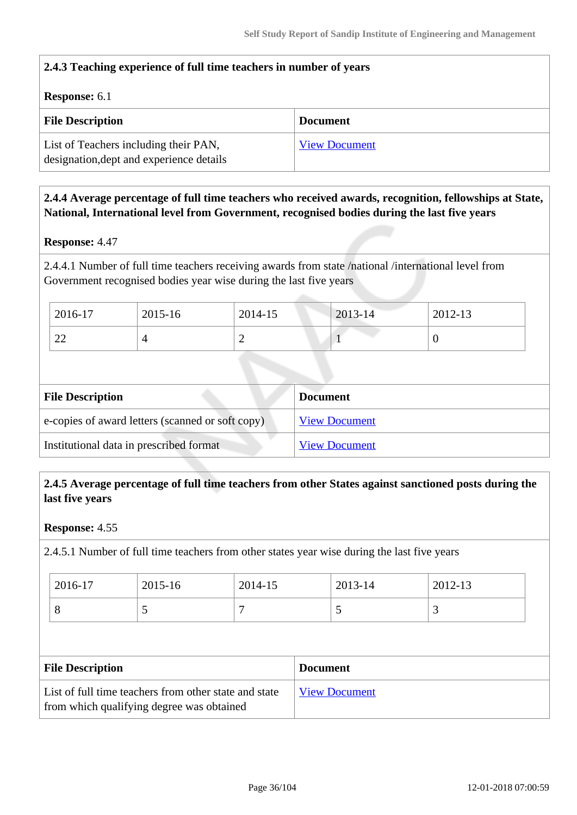## **2.4.3 Teaching experience of full time teachers in number of years Response:** 6.1 **File Description Document** List of Teachers including their PAN, designation,dept and experience details [View Document](https://assessmentonline.naac.gov.in/storage/app/hei/SSR/100801/2.4.3_1515238287_804.xlsx)

#### **2.4.4 Average percentage of full time teachers who received awards, recognition, fellowships at State, National, International level from Government, recognised bodies during the last five years**

#### **Response:** 4.47

2.4.4.1 Number of full time teachers receiving awards from state /national /international level from Government recognised bodies year wise during the last five years

| 2016-17      | 2015-16 | 2014-15 | 2013-14 | 2012-13 |
|--------------|---------|---------|---------|---------|
| $\cap$<br>44 |         | ∽       |         |         |

| <b>File Description</b>                          | <b>Document</b>      |
|--------------------------------------------------|----------------------|
| e-copies of award letters (scanned or soft copy) | <b>View Document</b> |
| Institutional data in prescribed format          | <b>View Document</b> |

#### **2.4.5 Average percentage of full time teachers from other States against sanctioned posts during the last five years**

#### **Response:** 4.55

2.4.5.1 Number of full time teachers from other states year wise during the last five years

| 2016-17 | 2015-16 | 2014-15 | 2013-14 | 2012-13 |
|---------|---------|---------|---------|---------|
|         | ັ       |         | ັ       | ت       |

| <b>File Description</b>                                                                            | <b>Document</b>      |
|----------------------------------------------------------------------------------------------------|----------------------|
| List of full time teachers from other state and state<br>from which qualifying degree was obtained | <b>View Document</b> |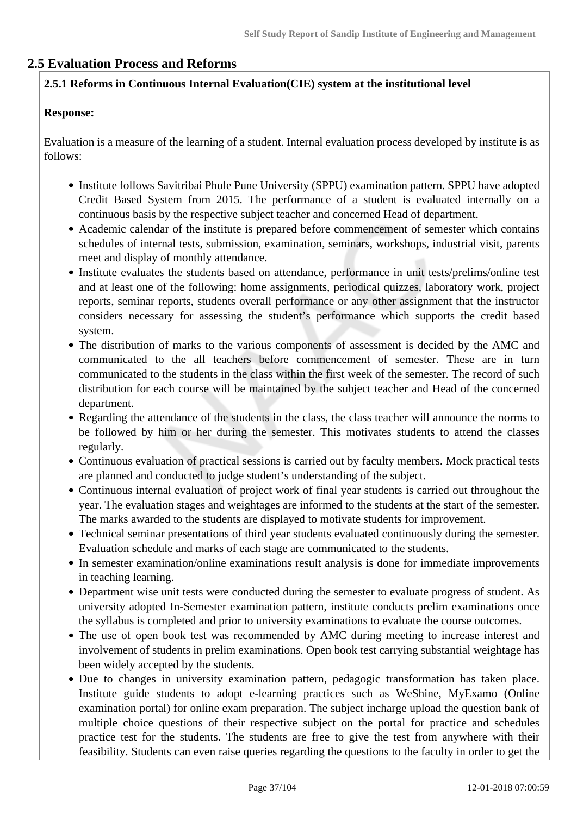### **2.5 Evaluation Process and Reforms**

### **2.5.1 Reforms in Continuous Internal Evaluation(CIE) system at the institutional level**

#### **Response:**

Evaluation is a measure of the learning of a student. Internal evaluation process developed by institute is as follows:

- Institute follows Savitribai Phule Pune University (SPPU) examination pattern. SPPU have adopted Credit Based System from 2015. The performance of a student is evaluated internally on a continuous basis by the respective subject teacher and concerned Head of department.
- Academic calendar of the institute is prepared before commencement of semester which contains schedules of internal tests, submission, examination, seminars, workshops, industrial visit, parents meet and display of monthly attendance.
- Institute evaluates the students based on attendance, performance in unit tests/prelims/online test and at least one of the following: home assignments, periodical quizzes, laboratory work, project reports, seminar reports, students overall performance or any other assignment that the instructor considers necessary for assessing the student's performance which supports the credit based system.
- The distribution of marks to the various components of assessment is decided by the AMC and communicated to the all teachers before commencement of semester. These are in turn communicated to the students in the class within the first week of the semester. The record of such distribution for each course will be maintained by the subject teacher and Head of the concerned department.
- Regarding the attendance of the students in the class, the class teacher will announce the norms to be followed by him or her during the semester. This motivates students to attend the classes regularly.
- Continuous evaluation of practical sessions is carried out by faculty members. Mock practical tests are planned and conducted to judge student's understanding of the subject.
- Continuous internal evaluation of project work of final year students is carried out throughout the year. The evaluation stages and weightages are informed to the students at the start of the semester. The marks awarded to the students are displayed to motivate students for improvement.
- Technical seminar presentations of third year students evaluated continuously during the semester. Evaluation schedule and marks of each stage are communicated to the students.
- In semester examination/online examinations result analysis is done for immediate improvements in teaching learning.
- Department wise unit tests were conducted during the semester to evaluate progress of student. As university adopted In-Semester examination pattern, institute conducts prelim examinations once the syllabus is completed and prior to university examinations to evaluate the course outcomes.
- The use of open book test was recommended by AMC during meeting to increase interest and involvement of students in prelim examinations. Open book test carrying substantial weightage has been widely accepted by the students.
- Due to changes in university examination pattern, pedagogic transformation has taken place. Institute guide students to adopt e-learning practices such as WeShine, MyExamo (Online examination portal) for online exam preparation. The subject incharge upload the question bank of multiple choice questions of their respective subject on the portal for practice and schedules practice test for the students. The students are free to give the test from anywhere with their feasibility. Students can even raise queries regarding the questions to the faculty in order to get the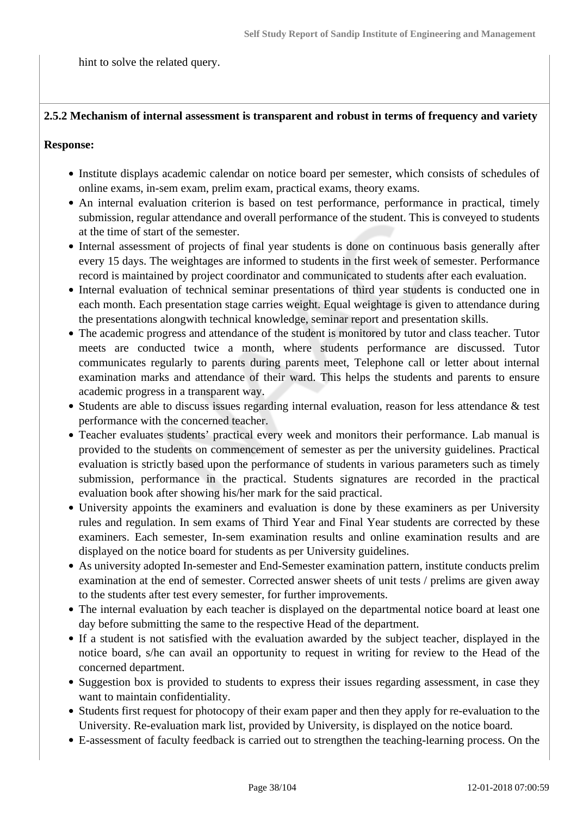hint to solve the related query.

#### **2.5.2 Mechanism of internal assessment is transparent and robust in terms of frequency and variety**

#### **Response:**

- Institute displays academic calendar on notice board per semester, which consists of schedules of online exams, in-sem exam, prelim exam, practical exams, theory exams.
- An internal evaluation criterion is based on test performance, performance in practical, timely submission, regular attendance and overall performance of the student. This is conveyed to students at the time of start of the semester.
- Internal assessment of projects of final year students is done on continuous basis generally after every 15 days. The weightages are informed to students in the first week of semester. Performance record is maintained by project coordinator and communicated to students after each evaluation.
- Internal evaluation of technical seminar presentations of third year students is conducted one in each month. Each presentation stage carries weight. Equal weightage is given to attendance during the presentations alongwith technical knowledge, seminar report and presentation skills.
- The academic progress and attendance of the student is monitored by tutor and class teacher. Tutor meets are conducted twice a month, where students performance are discussed. Tutor communicates regularly to parents during parents meet, Telephone call or letter about internal examination marks and attendance of their ward. This helps the students and parents to ensure academic progress in a transparent way.
- Students are able to discuss issues regarding internal evaluation, reason for less attendance & test performance with the concerned teacher.
- Teacher evaluates students' practical every week and monitors their performance. Lab manual is provided to the students on commencement of semester as per the university guidelines. Practical evaluation is strictly based upon the performance of students in various parameters such as timely submission, performance in the practical. Students signatures are recorded in the practical evaluation book after showing his/her mark for the said practical.
- University appoints the examiners and evaluation is done by these examiners as per University rules and regulation. In sem exams of Third Year and Final Year students are corrected by these examiners. Each semester, In-sem examination results and online examination results and are displayed on the notice board for students as per University guidelines.
- As university adopted In-semester and End-Semester examination pattern, institute conducts prelim examination at the end of semester. Corrected answer sheets of unit tests / prelims are given away to the students after test every semester, for further improvements.
- The internal evaluation by each teacher is displayed on the departmental notice board at least one day before submitting the same to the respective Head of the department.
- If a student is not satisfied with the evaluation awarded by the subject teacher, displayed in the notice board, s/he can avail an opportunity to request in writing for review to the Head of the concerned department.
- Suggestion box is provided to students to express their issues regarding assessment, in case they want to maintain confidentiality.
- Students first request for photocopy of their exam paper and then they apply for re-evaluation to the University. Re-evaluation mark list, provided by University, is displayed on the notice board.
- E-assessment of faculty feedback is carried out to strengthen the teaching-learning process. On the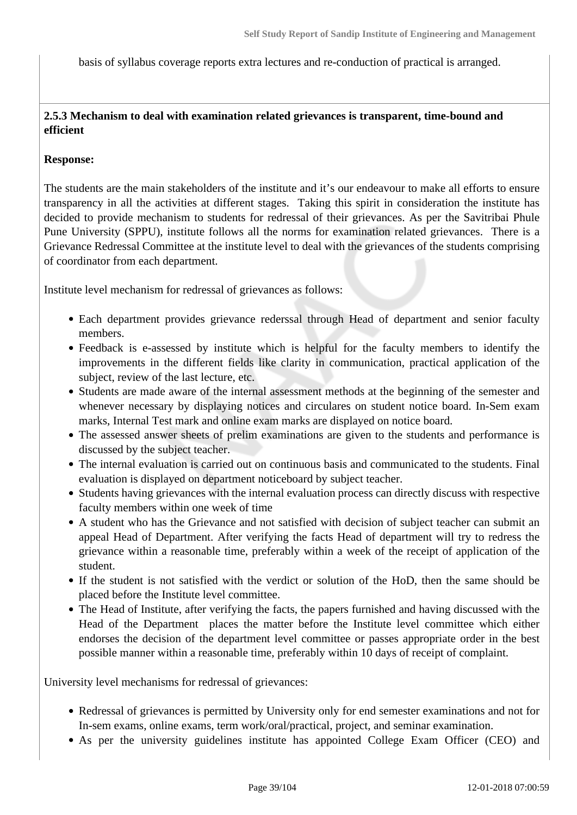basis of syllabus coverage reports extra lectures and re-conduction of practical is arranged.

### **2.5.3 Mechanism to deal with examination related grievances is transparent, time-bound and efficient**

#### **Response:**

The students are the main stakeholders of the institute and it's our endeavour to make all efforts to ensure transparency in all the activities at different stages. Taking this spirit in consideration the institute has decided to provide mechanism to students for redressal of their grievances. As per the Savitribai Phule Pune University (SPPU), institute follows all the norms for examination related grievances. There is a Grievance Redressal Committee at the institute level to deal with the grievances of the students comprising of coordinator from each department.

Institute level mechanism for redressal of grievances as follows:

- Each department provides grievance rederssal through Head of department and senior faculty members.
- Feedback is e-assessed by institute which is helpful for the faculty members to identify the improvements in the different fields like clarity in communication, practical application of the subject, review of the last lecture, etc.
- Students are made aware of the internal assessment methods at the beginning of the semester and whenever necessary by displaying notices and circulares on student notice board. In-Sem exam marks, Internal Test mark and online exam marks are displayed on notice board.
- The assessed answer sheets of prelim examinations are given to the students and performance is discussed by the subject teacher.
- The internal evaluation is carried out on continuous basis and communicated to the students. Final evaluation is displayed on department noticeboard by subject teacher.
- Students having grievances with the internal evaluation process can directly discuss with respective faculty members within one week of time
- A student who has the Grievance and not satisfied with decision of subject teacher can submit an appeal Head of Department. After verifying the facts Head of department will try to redress the grievance within a reasonable time, preferably within a week of the receipt of application of the student.
- If the student is not satisfied with the verdict or solution of the HoD, then the same should be placed before the Institute level committee.
- The Head of Institute, after verifying the facts, the papers furnished and having discussed with the Head of the Department places the matter before the Institute level committee which either endorses the decision of the department level committee or passes appropriate order in the best possible manner within a reasonable time, preferably within 10 days of receipt of complaint.

University level mechanisms for redressal of grievances:

- Redressal of grievances is permitted by University only for end semester examinations and not for In-sem exams, online exams, term work/oral/practical, project, and seminar examination.
- As per the university guidelines institute has appointed College Exam Officer (CEO) and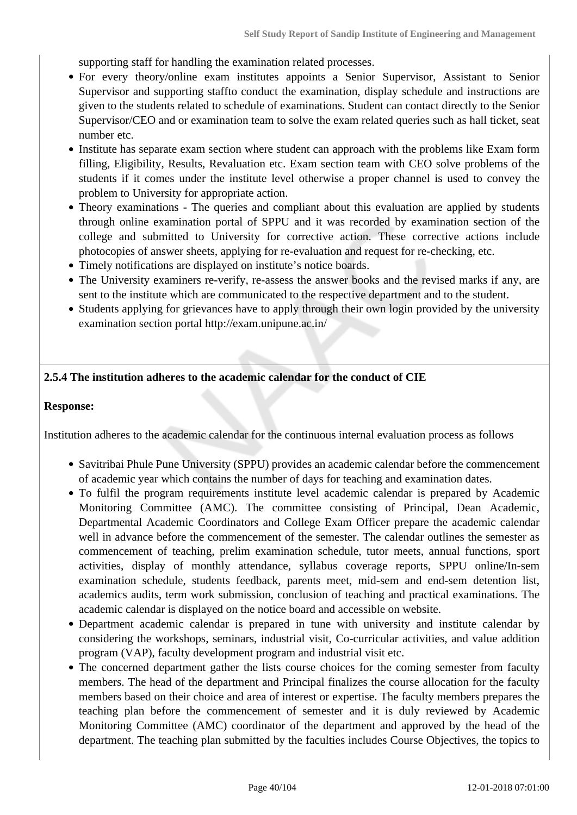supporting staff for handling the examination related processes.

- For every theory/online exam institutes appoints a Senior Supervisor, Assistant to Senior Supervisor and supporting staffto conduct the examination, display schedule and instructions are given to the students related to schedule of examinations. Student can contact directly to the Senior Supervisor/CEO and or examination team to solve the exam related queries such as hall ticket, seat number etc.
- Institute has separate exam section where student can approach with the problems like Exam form filling, Eligibility, Results, Revaluation etc. Exam section team with CEO solve problems of the students if it comes under the institute level otherwise a proper channel is used to convey the problem to University for appropriate action.
- Theory examinations The queries and compliant about this evaluation are applied by students through online examination portal of SPPU and it was recorded by examination section of the college and submitted to University for corrective action. These corrective actions include photocopies of answer sheets, applying for re-evaluation and request for re-checking, etc.
- Timely notifications are displayed on institute's notice boards.
- The University examiners re-verify, re-assess the answer books and the revised marks if any, are sent to the institute which are communicated to the respective department and to the student.
- Students applying for grievances have to apply through their own login provided by the university examination section portal http://exam.unipune.ac.in/

#### **2.5.4 The institution adheres to the academic calendar for the conduct of CIE**

#### **Response:**

Institution adheres to the academic calendar for the continuous internal evaluation process as follows

- Savitribai Phule Pune University (SPPU) provides an academic calendar before the commencement of academic year which contains the number of days for teaching and examination dates.
- To fulfil the program requirements institute level academic calendar is prepared by Academic Monitoring Committee (AMC). The committee consisting of Principal, Dean Academic, Departmental Academic Coordinators and College Exam Officer prepare the academic calendar well in advance before the commencement of the semester. The calendar outlines the semester as commencement of teaching, prelim examination schedule, tutor meets, annual functions, sport activities, display of monthly attendance, syllabus coverage reports, SPPU online/In-sem examination schedule, students feedback, parents meet, mid-sem and end-sem detention list, academics audits, term work submission, conclusion of teaching and practical examinations. The academic calendar is displayed on the notice board and accessible on website.
- Department academic calendar is prepared in tune with university and institute calendar by considering the workshops, seminars, industrial visit, Co-curricular activities, and value addition program (VAP), faculty development program and industrial visit etc.
- The concerned department gather the lists course choices for the coming semester from faculty members. The head of the department and Principal finalizes the course allocation for the faculty members based on their choice and area of interest or expertise. The faculty members prepares the teaching plan before the commencement of semester and it is duly reviewed by Academic Monitoring Committee (AMC) coordinator of the department and approved by the head of the department. The teaching plan submitted by the faculties includes Course Objectives, the topics to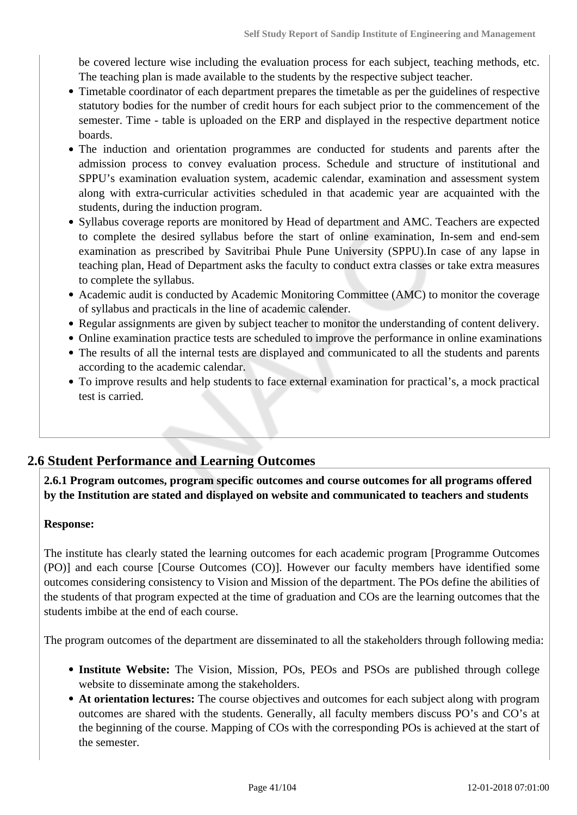be covered lecture wise including the evaluation process for each subject, teaching methods, etc. The teaching plan is made available to the students by the respective subject teacher.

- Timetable coordinator of each department prepares the timetable as per the guidelines of respective statutory bodies for the number of credit hours for each subject prior to the commencement of the semester. Time - table is uploaded on the ERP and displayed in the respective department notice boards.
- The induction and orientation programmes are conducted for students and parents after the admission process to convey evaluation process. Schedule and structure of institutional and SPPU's examination evaluation system, academic calendar, examination and assessment system along with extra-curricular activities scheduled in that academic year are acquainted with the students, during the induction program.
- Syllabus coverage reports are monitored by Head of department and AMC. Teachers are expected to complete the desired syllabus before the start of online examination, In-sem and end-sem examination as prescribed by Savitribai Phule Pune University (SPPU).In case of any lapse in teaching plan, Head of Department asks the faculty to conduct extra classes or take extra measures to complete the syllabus.
- Academic audit is conducted by Academic Monitoring Committee (AMC) to monitor the coverage of syllabus and practicals in the line of academic calender.
- Regular assignments are given by subject teacher to monitor the understanding of content delivery.
- Online examination practice tests are scheduled to improve the performance in online examinations
- The results of all the internal tests are displayed and communicated to all the students and parents according to the academic calendar.
- To improve results and help students to face external examination for practical's, a mock practical test is carried.

# **2.6 Student Performance and Learning Outcomes**

 **2.6.1 Program outcomes, program specific outcomes and course outcomes for all programs offered by the Institution are stated and displayed on website and communicated to teachers and students**

#### **Response:**

The institute has clearly stated the learning outcomes for each academic program [Programme Outcomes (PO)] and each course [Course Outcomes (CO)]. However our faculty members have identified some outcomes considering consistency to Vision and Mission of the department. The POs define the abilities of the students of that program expected at the time of graduation and COs are the learning outcomes that the students imbibe at the end of each course.

The program outcomes of the department are disseminated to all the stakeholders through following media:

- **Institute Website:** The Vision, Mission, POs, PEOs and PSOs are published through college website to disseminate among the stakeholders.
- **At orientation lectures:** The course objectives and outcomes for each subject along with program outcomes are shared with the students. Generally, all faculty members discuss PO's and CO's at the beginning of the course. Mapping of COs with the corresponding POs is achieved at the start of the semester.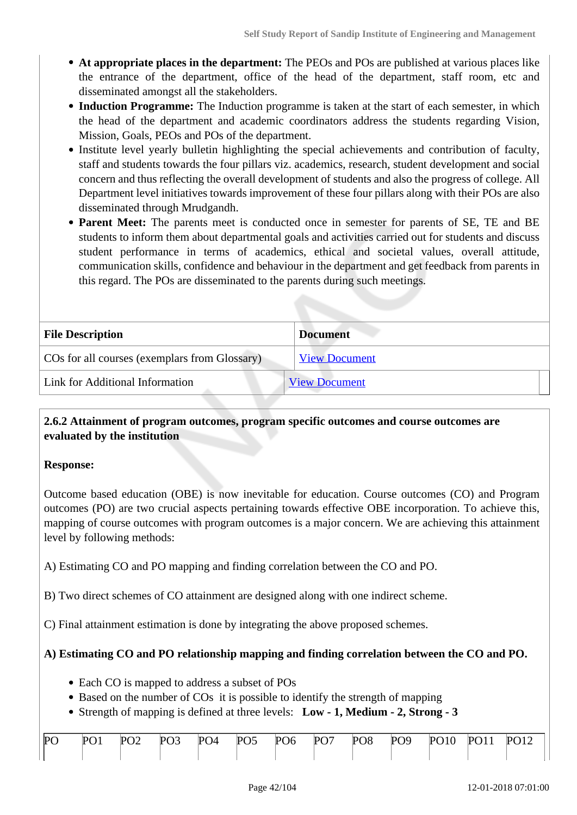- **At appropriate places in the department:** The PEOs and POs are published at various places like the entrance of the department, office of the head of the department, staff room, etc and disseminated amongst all the stakeholders.
- **Induction Programme:** The Induction programme is taken at the start of each semester, in which the head of the department and academic coordinators address the students regarding Vision, Mission, Goals, PEOs and POs of the department.
- Institute level yearly bulletin highlighting the special achievements and contribution of faculty, staff and students towards the four pillars viz. academics, research, student development and social concern and thus reflecting the overall development of students and also the progress of college. All Department level initiatives towards improvement of these four pillars along with their POs are also disseminated through Mrudgandh.
- **Parent Meet:** The parents meet is conducted once in semester for parents of SE, TE and BE students to inform them about departmental goals and activities carried out for students and discuss student performance in terms of academics, ethical and societal values, overall attitude, communication skills, confidence and behaviour in the department and get feedback from parents in this regard. The POs are disseminated to the parents during such meetings.

| <b>File Description</b>                       | <b>Document</b>      |
|-----------------------------------------------|----------------------|
| COs for all courses (exemplars from Glossary) | <b>View Document</b> |
| Link for Additional Information               | <b>View Document</b> |

### **2.6.2 Attainment of program outcomes, program specific outcomes and course outcomes are evaluated by the institution**

#### **Response:**

Outcome based education (OBE) is now inevitable for education. Course outcomes (CO) and Program outcomes (PO) are two crucial aspects pertaining towards effective OBE incorporation. To achieve this, mapping of course outcomes with program outcomes is a major concern. We are achieving this attainment level by following methods:

A) Estimating CO and PO mapping and finding correlation between the CO and PO.

B) Two direct schemes of CO attainment are designed along with one indirect scheme.

C) Final attainment estimation is done by integrating the above proposed schemes.

### **A) Estimating CO and PO relationship mapping and finding correlation between the CO and PO.**

- Each CO is mapped to address a subset of POs
- Based on the number of COs it is possible to identify the strength of mapping
- Strength of mapping is defined at three levels: **Low 1, Medium 2, Strong 3**

| PC | $\mathbf{D}\cap \mathbf{1}$ | PO <sub>2</sub> | $P^{\Omega}$ | PO <sub>4</sub> | P <sub>O</sub> 5 | PO <sub>6</sub> | PO7 | PO <sub>8</sub> | PO9 | P <sub>010</sub> | P <sub>O</sub> 11 | DC |
|----|-----------------------------|-----------------|--------------|-----------------|------------------|-----------------|-----|-----------------|-----|------------------|-------------------|----|
|    |                             |                 |              |                 |                  |                 |     |                 |     |                  |                   |    |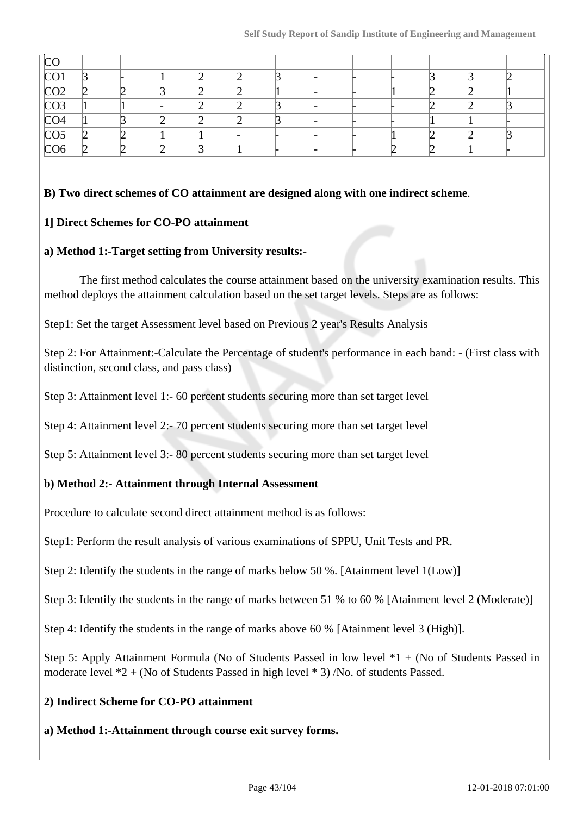| CC                                      |  |  |  |  |  |  |
|-----------------------------------------|--|--|--|--|--|--|
| CO1                                     |  |  |  |  |  |  |
| CO <sub>2</sub>                         |  |  |  |  |  |  |
| CO <sub>3</sub>                         |  |  |  |  |  |  |
| $\frac{\overline{CO4}}{\overline{CO5}}$ |  |  |  |  |  |  |
|                                         |  |  |  |  |  |  |
| CO <sub>6</sub>                         |  |  |  |  |  |  |

#### **B) Two direct schemes of CO attainment are designed along with one indirect scheme**.

#### **1] Direct Schemes for CO-PO attainment**

#### **a) Method 1:-Target setting from University results:-**

 The first method calculates the course attainment based on the university examination results. This method deploys the attainment calculation based on the set target levels. Steps are as follows:

Step1: Set the target Assessment level based on Previous 2 year's Results Analysis

Step 2: For Attainment:-Calculate the Percentage of student's performance in each band: - (First class with distinction, second class, and pass class)

Step 3: Attainment level 1:- 60 percent students securing more than set target level

Step 4: Attainment level 2:- 70 percent students securing more than set target level

Step 5: Attainment level 3:- 80 percent students securing more than set target level

### **b) Method 2:- Attainment through Internal Assessment**

Procedure to calculate second direct attainment method is as follows:

Step1: Perform the result analysis of various examinations of SPPU, Unit Tests and PR.

Step 2: Identify the students in the range of marks below 50 %. [Atainment level 1(Low)]

Step 3: Identify the students in the range of marks between 51 % to 60 % [Atainment level 2 (Moderate)]

Step 4: Identify the students in the range of marks above 60 % [Atainment level 3 (High)].

Step 5: Apply Attainment Formula (No of Students Passed in low level \*1 + (No of Students Passed in moderate level  $*2 + (No of Students Passed in high level * 3)$  /No. of students Passed.

#### **2) Indirect Scheme for CO-PO attainment**

**a) Method 1:-Attainment through course exit survey forms.**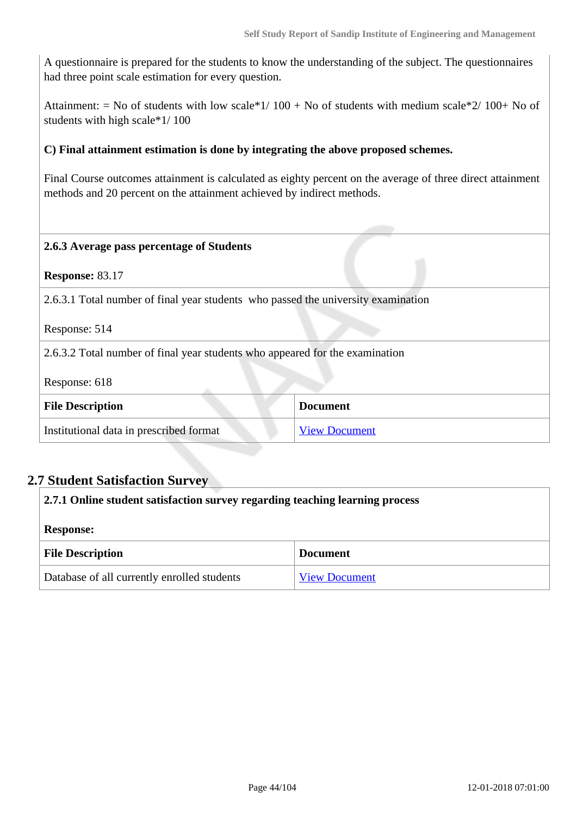A questionnaire is prepared for the students to know the understanding of the subject. The questionnaires had three point scale estimation for every question.

Attainment: = No of students with low scale\*1/  $100 +$  No of students with medium scale\*2/  $100 +$  No of students with high scale\*1/ 100

### **C) Final attainment estimation is done by integrating the above proposed schemes.**

Final Course outcomes attainment is calculated as eighty percent on the average of three direct attainment methods and 20 percent on the attainment achieved by indirect methods.

# **2.6.3 Average pass percentage of Students Response:** 83.17 2.6.3.1 Total number of final year students who passed the university examination Response: 514 2.6.3.2 Total number of final year students who appeared for the examination Response: 618 **File Description Document** Institutional data in prescribed format [View Document](https://assessmentonline.naac.gov.in/storage/app/hei/SSR/100801/2.6.3_1514462212_804.xlsx)

### **2.7 Student Satisfaction Survey**

| 2.7.1 Online student satisfaction survey regarding teaching learning process |  |  |  |  |  |
|------------------------------------------------------------------------------|--|--|--|--|--|
| <b>Response:</b>                                                             |  |  |  |  |  |
| <b>File Description</b><br><b>Document</b>                                   |  |  |  |  |  |
| Database of all currently enrolled students<br><b>View Document</b>          |  |  |  |  |  |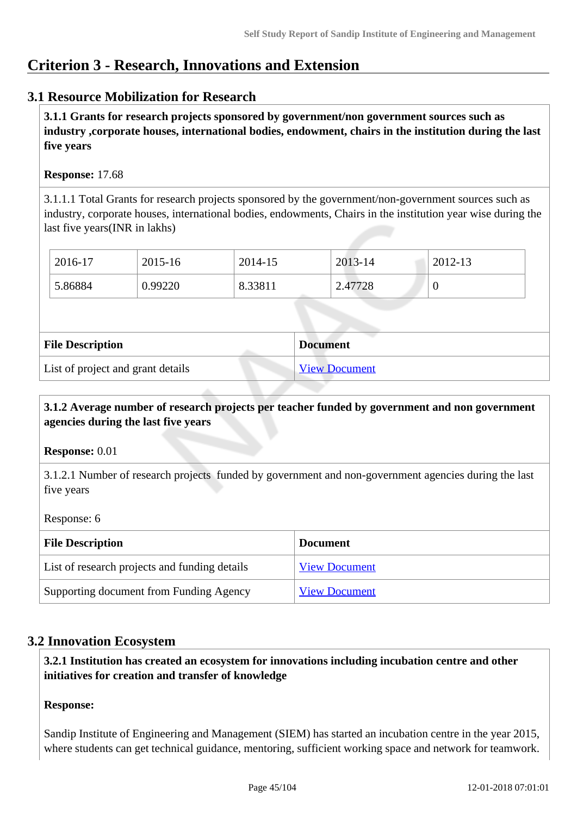# **Criterion 3 - Research, Innovations and Extension**

### **3.1 Resource Mobilization for Research**

 **3.1.1 Grants for research projects sponsored by government/non government sources such as industry ,corporate houses, international bodies, endowment, chairs in the institution during the last five years**

#### **Response:** 17.68

3.1.1.1 Total Grants for research projects sponsored by the government/non-government sources such as industry, corporate houses, international bodies, endowments, Chairs in the institution year wise during the last five years(INR in lakhs)

| 2016-17 | 2015-16 | 2014-15 | 2013-14 | 2012-13 |
|---------|---------|---------|---------|---------|
| 5.86884 | 0.99220 | 8.33811 | 2.47728 | ν       |

| <b>File Description</b>           | <b>Document</b>      |
|-----------------------------------|----------------------|
| List of project and grant details | <b>View Document</b> |

### **3.1.2 Average number of research projects per teacher funded by government and non government agencies during the last five years**

**Response:** 0.01

3.1.2.1 Number of research projects funded by government and non-government agencies during the last five years

Response: 6

| <b>File Description</b>                       | <b>Document</b>      |
|-----------------------------------------------|----------------------|
| List of research projects and funding details | <b>View Document</b> |
| Supporting document from Funding Agency       | <b>View Document</b> |

### **3.2 Innovation Ecosystem**

 **3.2.1 Institution has created an ecosystem for innovations including incubation centre and other initiatives for creation and transfer of knowledge**

#### **Response:**

Sandip Institute of Engineering and Management (SIEM) has started an incubation centre in the year 2015, where students can get technical guidance, mentoring, sufficient working space and network for teamwork.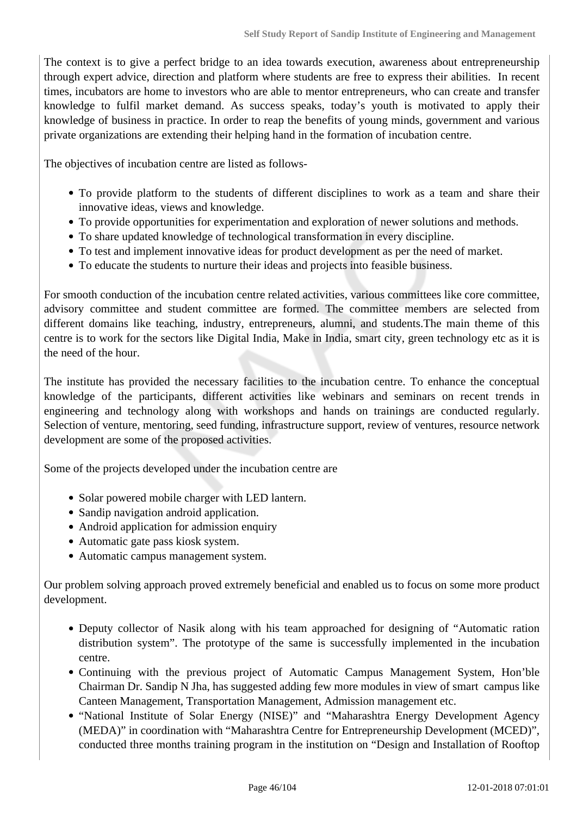The context is to give a perfect bridge to an idea towards execution, awareness about entrepreneurship through expert advice, direction and platform where students are free to express their abilities. In recent times, incubators are home to investors who are able to mentor entrepreneurs, who can create and transfer knowledge to fulfil market demand. As success speaks, today's youth is motivated to apply their knowledge of business in practice. In order to reap the benefits of young minds, government and various private organizations are extending their helping hand in the formation of incubation centre.

The objectives of incubation centre are listed as follows-

- To provide platform to the students of different disciplines to work as a team and share their innovative ideas, views and knowledge.
- To provide opportunities for experimentation and exploration of newer solutions and methods.
- To share updated knowledge of technological transformation in every discipline.
- To test and implement innovative ideas for product development as per the need of market.
- To educate the students to nurture their ideas and projects into feasible business.

For smooth conduction of the incubation centre related activities, various committees like core committee, advisory committee and student committee are formed. The committee members are selected from different domains like teaching, industry, entrepreneurs, alumni, and students.The main theme of this centre is to work for the sectors like Digital India, Make in India, smart city, green technology etc as it is the need of the hour.

The institute has provided the necessary facilities to the incubation centre. To enhance the conceptual knowledge of the participants, different activities like webinars and seminars on recent trends in engineering and technology along with workshops and hands on trainings are conducted regularly. Selection of venture, mentoring, seed funding, infrastructure support, review of ventures, resource network development are some of the proposed activities.

Some of the projects developed under the incubation centre are

- Solar powered mobile charger with LED lantern.
- Sandip navigation android application.
- Android application for admission enquiry
- Automatic gate pass kiosk system.
- Automatic campus management system.

Our problem solving approach proved extremely beneficial and enabled us to focus on some more product development.

- Deputy collector of Nasik along with his team approached for designing of "Automatic ration distribution system". The prototype of the same is successfully implemented in the incubation centre.
- Continuing with the previous project of Automatic Campus Management System, Hon'ble Chairman Dr. Sandip N Jha, has suggested adding few more modules in view of smart campus like Canteen Management, Transportation Management, Admission management etc.
- "National Institute of Solar Energy (NISE)" and "Maharashtra Energy Development Agency (MEDA)" in coordination with "Maharashtra Centre for Entrepreneurship Development (MCED)", conducted three months training program in the institution on "Design and Installation of Rooftop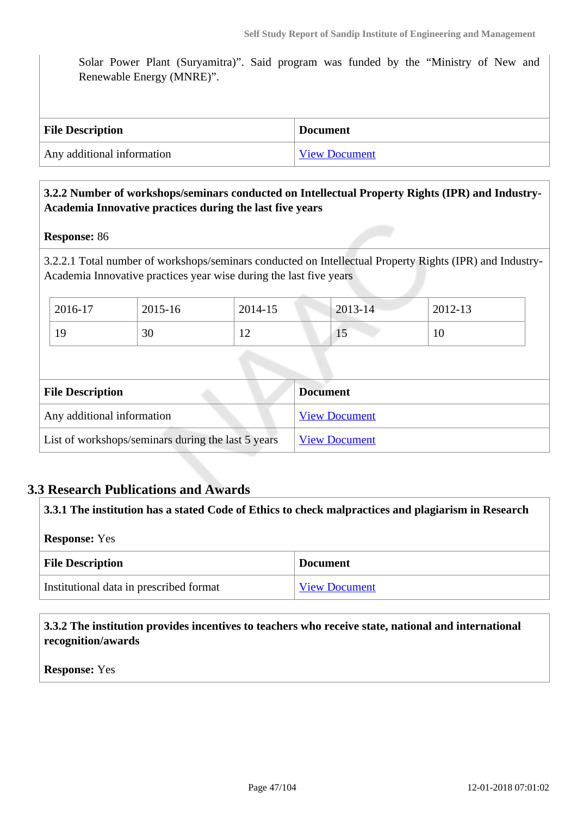Solar Power Plant (Suryamitra)". Said program was funded by the "Ministry of New and Renewable Energy (MNRE)".

| <b>File Description</b>    | <b>Document</b>      |
|----------------------------|----------------------|
| Any additional information | <b>View Document</b> |

### **3.2.2 Number of workshops/seminars conducted on Intellectual Property Rights (IPR) and Industry-Academia Innovative practices during the last five years**

#### **Response:** 86

3.2.2.1 Total number of workshops/seminars conducted on Intellectual Property Rights (IPR) and Industry-Academia Innovative practices year wise during the last five years

| 2016-17 | 2015-16 | 2014-15              | $2013 - 14$ | 2012-13 |
|---------|---------|----------------------|-------------|---------|
| 19      | 30      | 1 <sup>2</sup><br>∸∸ | IJ          | 10      |

| <b>File Description</b>                            | <b>Document</b>      |
|----------------------------------------------------|----------------------|
| Any additional information                         | <b>View Document</b> |
| List of workshops/seminars during the last 5 years | <b>View Document</b> |

# **3.3 Research Publications and Awards**

| 3.3.1 The institution has a stated Code of Ethics to check malpractices and plagiarism in Research |                      |  |  |  |  |
|----------------------------------------------------------------------------------------------------|----------------------|--|--|--|--|
| <b>Response:</b> Yes                                                                               |                      |  |  |  |  |
| <b>File Description</b>                                                                            | <b>Document</b>      |  |  |  |  |
| Institutional data in prescribed format                                                            | <b>View Document</b> |  |  |  |  |

### **3.3.2 The institution provides incentives to teachers who receive state, national and international recognition/awards**

**Response:** Yes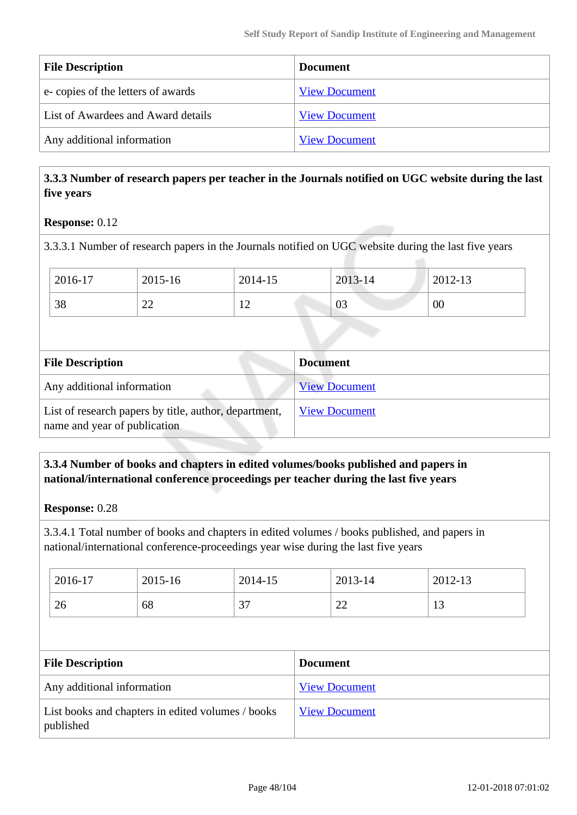| <b>File Description</b>            | <b>Document</b>      |
|------------------------------------|----------------------|
| e-copies of the letters of awards  | <b>View Document</b> |
| List of Awardees and Award details | <b>View Document</b> |
| Any additional information         | <b>View Document</b> |

### **3.3.3 Number of research papers per teacher in the Journals notified on UGC website during the last five years**

### **Response:** 0.12

3.3.3.1 Number of research papers in the Journals notified on UGC website during the last five years

| 2016-17 | 2015-16      | 2014-15 | 2013-14      | 2012-13 |
|---------|--------------|---------|--------------|---------|
| 38      | $\sim$<br>∠∠ | ∸∸      | $\sim$<br>v. | $00\,$  |

| <b>File Description</b>                                                               | <b>Document</b>      |
|---------------------------------------------------------------------------------------|----------------------|
| Any additional information                                                            | <b>View Document</b> |
| List of research papers by title, author, department,<br>name and year of publication | <b>View Document</b> |

### **3.3.4 Number of books and chapters in edited volumes/books published and papers in national/international conference proceedings per teacher during the last five years**

#### **Response:** 0.28

3.3.4.1 Total number of books and chapters in edited volumes / books published, and papers in national/international conference-proceedings year wise during the last five years

| 2016-17 | 2015-16 | 2014-15          | 2013-14      | 2012-13         |
|---------|---------|------------------|--------------|-----------------|
| 26      | 68      | $\Omega$<br>ັບ ≀ | $\cap$<br>∠∠ | $\bigcap$<br>13 |

| <b>File Description</b>                                        | <b>Document</b>      |
|----------------------------------------------------------------|----------------------|
| Any additional information                                     | <b>View Document</b> |
| List books and chapters in edited volumes / books<br>published | <b>View Document</b> |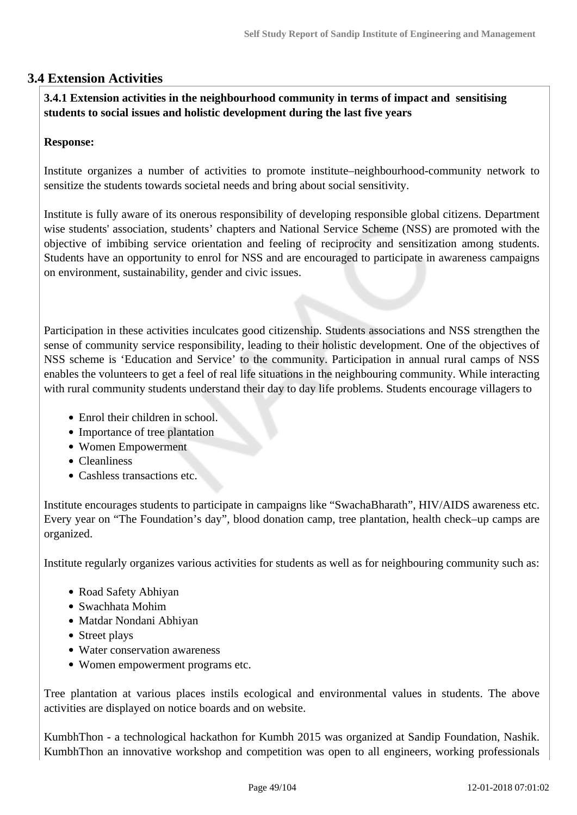### **3.4 Extension Activities**

 **3.4.1 Extension activities in the neighbourhood community in terms of impact and sensitising students to social issues and holistic development during the last five years**

#### **Response:**

Institute organizes a number of activities to promote institute–neighbourhood-community network to sensitize the students towards societal needs and bring about social sensitivity.

Institute is fully aware of its onerous responsibility of developing responsible global citizens. Department wise students' association, students' chapters and National Service Scheme (NSS) are promoted with the objective of imbibing service orientation and feeling of reciprocity and sensitization among students. Students have an opportunity to enrol for NSS and are encouraged to participate in awareness campaigns on environment, sustainability, gender and civic issues.

Participation in these activities inculcates good citizenship. Students associations and NSS strengthen the sense of community service responsibility, leading to their holistic development. One of the objectives of NSS scheme is 'Education and Service' to the community. Participation in annual rural camps of NSS enables the volunteers to get a feel of real life situations in the neighbouring community. While interacting with rural community students understand their day to day life problems. Students encourage villagers to

- Enrol their children in school.
- Importance of tree plantation
- Women Empowerment
- Cleanliness
- Cashless transactions etc.

Institute encourages students to participate in campaigns like "SwachaBharath", HIV/AIDS awareness etc. Every year on "The Foundation's day", blood donation camp, tree plantation, health check–up camps are organized.

Institute regularly organizes various activities for students as well as for neighbouring community such as:

- Road Safety Abhiyan
- Swachhata Mohim
- Matdar Nondani Abhiyan
- Street plays
- Water conservation awareness
- Women empowerment programs etc.

Tree plantation at various places instils ecological and environmental values in students. The above activities are displayed on notice boards and on website.

KumbhThon - a technological hackathon for Kumbh 2015 was organized at Sandip Foundation, Nashik. KumbhThon an innovative workshop and competition was open to all engineers, working professionals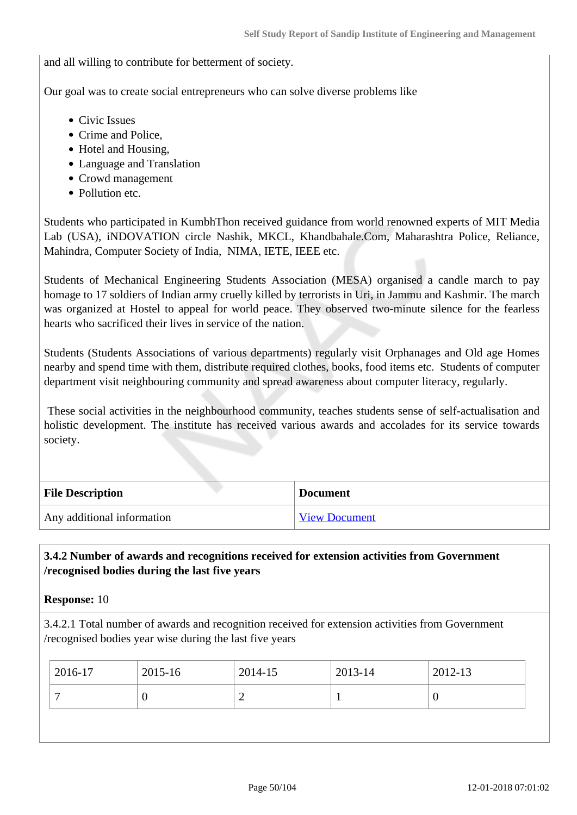and all willing to contribute for betterment of society.

Our goal was to create social entrepreneurs who can solve diverse problems like

- Civic Issues
- Crime and Police,
- Hotel and Housing,
- Language and Translation
- Crowd management
- Pollution etc.

Students who participated in KumbhThon received guidance from world renowned experts of MIT Media Lab (USA), iNDOVATION circle Nashik, MKCL, Khandbahale.Com, Maharashtra Police, Reliance, Mahindra, Computer Society of India, NIMA, IETE, IEEE etc.

Students of Mechanical Engineering Students Association (MESA) organised a candle march to pay homage to 17 soldiers of Indian army cruelly killed by terrorists in Uri, in Jammu and Kashmir. The march was organized at Hostel to appeal for world peace. They observed two-minute silence for the fearless hearts who sacrificed their lives in service of the nation.

Students (Students Associations of various departments) regularly visit Orphanages and Old age Homes nearby and spend time with them, distribute required clothes, books, food items etc. Students of computer department visit neighbouring community and spread awareness about computer literacy, regularly.

 These social activities in the neighbourhood community, teaches students sense of self-actualisation and holistic development. The institute has received various awards and accolades for its service towards society.

| <b>File Description</b>    | <b>Document</b>      |
|----------------------------|----------------------|
| Any additional information | <b>View Document</b> |

### **3.4.2 Number of awards and recognitions received for extension activities from Government /recognised bodies during the last five years**

**Response:** 10

3.4.2.1 Total number of awards and recognition received for extension activities from Government /recognised bodies year wise during the last five years

| −<br>◠<br>$\theta$<br>U<br>- |
|------------------------------|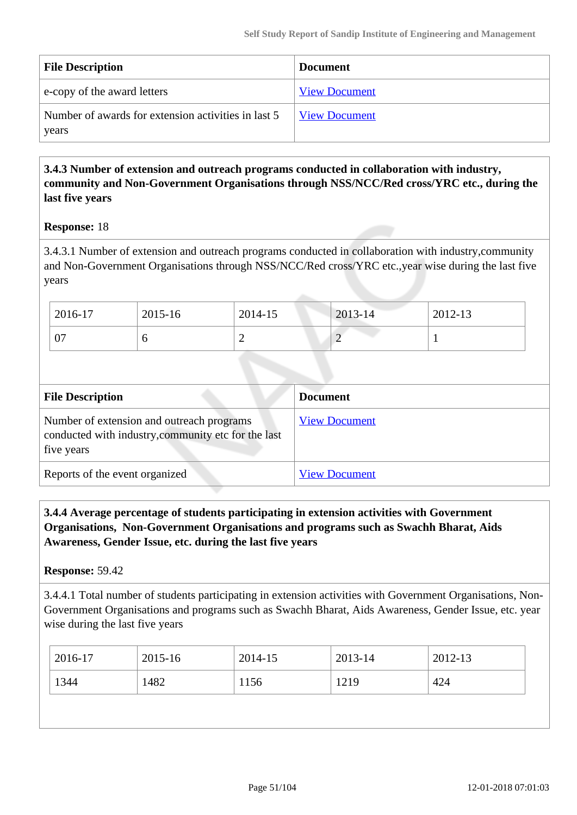| <b>File Description</b>                                      | <b>Document</b>      |
|--------------------------------------------------------------|----------------------|
| e-copy of the award letters                                  | <b>View Document</b> |
| Number of awards for extension activities in last 5<br>years | <b>View Document</b> |

### **3.4.3 Number of extension and outreach programs conducted in collaboration with industry, community and Non-Government Organisations through NSS/NCC/Red cross/YRC etc., during the last five years**

#### **Response:** 18

3.4.3.1 Number of extension and outreach programs conducted in collaboration with industry,community and Non-Government Organisations through NSS/NCC/Red cross/YRC etc.,year wise during the last five years

| 2016-17  | 2015-16 | 2014-15 | 2013-14 | 2012-13 |
|----------|---------|---------|---------|---------|
| ∩¬<br>v, |         | ∸       | -       |         |

| <b>File Description</b>                                                                                        | <b>Document</b>      |
|----------------------------------------------------------------------------------------------------------------|----------------------|
| Number of extension and outreach programs<br>conducted with industry, community etc for the last<br>five years | <b>View Document</b> |
| Reports of the event organized                                                                                 | <b>View Document</b> |

### **3.4.4 Average percentage of students participating in extension activities with Government Organisations, Non-Government Organisations and programs such as Swachh Bharat, Aids Awareness, Gender Issue, etc. during the last five years**

**Response:** 59.42

3.4.4.1 Total number of students participating in extension activities with Government Organisations, Non-Government Organisations and programs such as Swachh Bharat, Aids Awareness, Gender Issue, etc. year wise during the last five years

| 1344<br>1482<br>1219<br>424<br>1156 | $2016-17$ | 2015-16 | 2014-15 | 2013-14 | 2012-13 |
|-------------------------------------|-----------|---------|---------|---------|---------|
|                                     |           |         |         |         |         |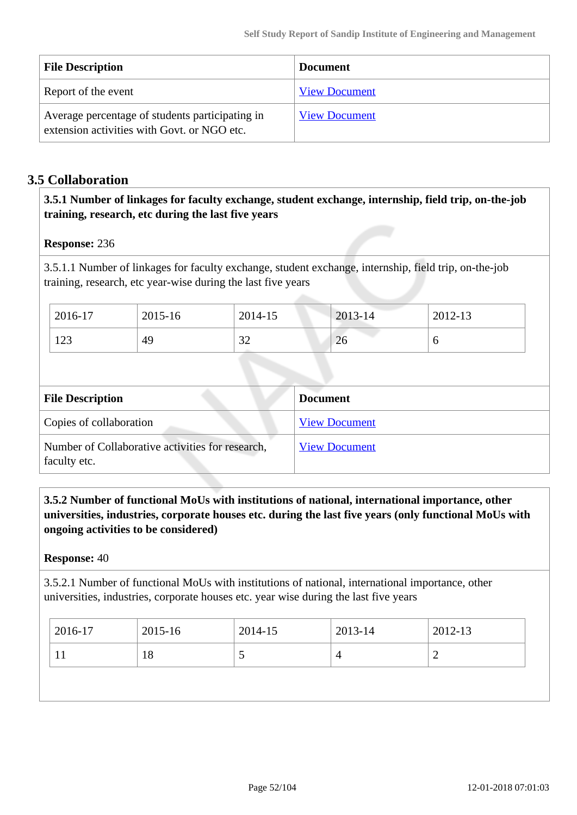| <b>File Description</b>                                                                        | <b>Document</b>      |
|------------------------------------------------------------------------------------------------|----------------------|
| Report of the event                                                                            | <b>View Document</b> |
| Average percentage of students participating in<br>extension activities with Govt. or NGO etc. | <b>View Document</b> |

### **3.5 Collaboration**

### **3.5.1 Number of linkages for faculty exchange, student exchange, internship, field trip, on-the-job training, research, etc during the last five years**

#### **Response:** 236

3.5.1.1 Number of linkages for faculty exchange, student exchange, internship, field trip, on-the-job training, research, etc year-wise during the last five years

| 2016-17 | 2015-16 | 2014-15  | 2013-14 | 2012-13 |
|---------|---------|----------|---------|---------|
| 123     | 49      | ົ<br>ے د | ZO      | ◡       |

| <b>File Description</b>                                          | <b>Document</b>      |
|------------------------------------------------------------------|----------------------|
| Copies of collaboration                                          | <b>View Document</b> |
| Number of Collaborative activities for research,<br>faculty etc. | <b>View Document</b> |

 **3.5.2 Number of functional MoUs with institutions of national, international importance, other universities, industries, corporate houses etc. during the last five years (only functional MoUs with ongoing activities to be considered)**

### **Response:** 40

3.5.2.1 Number of functional MoUs with institutions of national, international importance, other universities, industries, corporate houses etc. year wise during the last five years

| $\frac{1}{2016}$ -17 | 2015-16 | 2014-15 | $\frac{1}{2013}$ -14 | 2012-13 |
|----------------------|---------|---------|----------------------|---------|
| 18                   |         |         | 4                    | ∼       |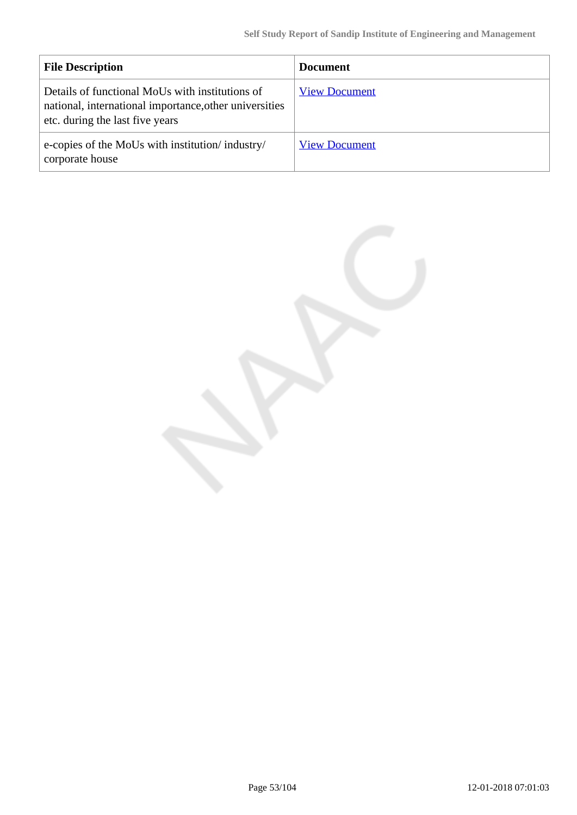| <b>File Description</b>                                                                                                                      | <b>Document</b>      |
|----------------------------------------------------------------------------------------------------------------------------------------------|----------------------|
| Details of functional MoUs with institutions of<br>national, international importance, other universities<br>etc. during the last five years | <b>View Document</b> |
| e-copies of the MoUs with institution/industry/<br>corporate house                                                                           | <b>View Document</b> |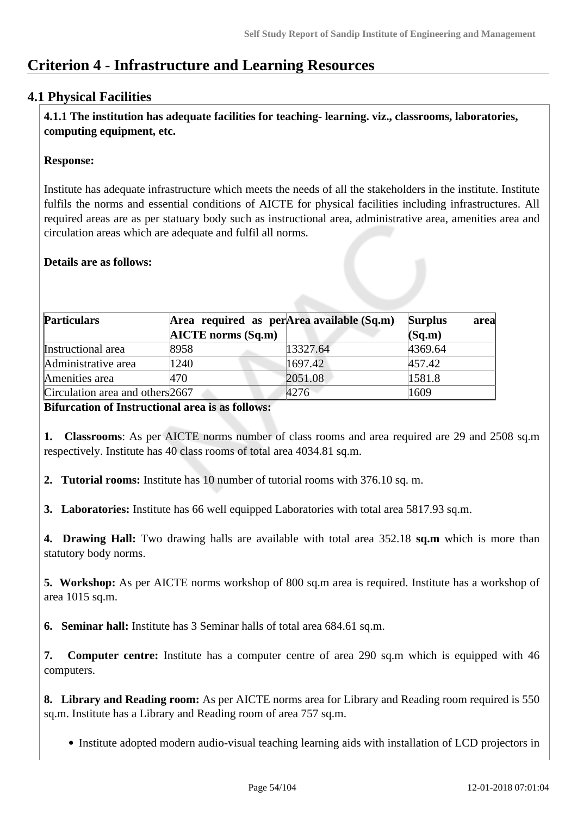# **Criterion 4 - Infrastructure and Learning Resources**

### **4.1 Physical Facilities**

 **4.1.1 The institution has adequate facilities for teaching- learning. viz., classrooms, laboratories, computing equipment, etc.**

#### **Response:**

Institute has adequate infrastructure which meets the needs of all the stakeholders in the institute. Institute fulfils the norms and essential conditions of AICTE for physical facilities including infrastructures. All required areas are as per statuary body such as instructional area, administrative area, amenities area and circulation areas which are adequate and fulfil all norms.

#### **Details are as follows:**

| <b>Particulars</b>               |                        | Area required as perArea available (Sq.m) | <b>Surplus</b> | area |
|----------------------------------|------------------------|-------------------------------------------|----------------|------|
|                                  | $AICTE$ norms $(Sq.m)$ |                                           | (Sq.m)         |      |
| Instructional area               | 8958                   | 13327.64                                  | 4369.64        |      |
| Administrative area              | 1240                   | 1697.42                                   | 457.42         |      |
| Amenities area                   | 470                    | 2051.08                                   | 1581.8         |      |
| Circulation area and others 2667 |                        | 4276                                      | 1609           |      |

**Bifurcation of Instructional area is as follows:**

**1. Classrooms**: As per AICTE norms number of class rooms and area required are 29 and 2508 sq.m respectively. Institute has 40 class rooms of total area 4034.81 sq.m.

**2. Tutorial rooms:** Institute has 10 number of tutorial rooms with 376.10 sq. m.

**3. Laboratories:** Institute has 66 well equipped Laboratories with total area 5817.93 sq.m.

**4. Drawing Hall:** Two drawing halls are available with total area 352.18 **sq.m** which is more than statutory body norms.

**5. Workshop:** As per AICTE norms workshop of 800 sq.m area is required. Institute has a workshop of area 1015 sq.m.

**6. Seminar hall:** Institute has 3 Seminar halls of total area 684.61 sq.m.

**7. Computer centre:** Institute has a computer centre of area 290 sq.m which is equipped with 46 computers.

**8. Library and Reading room:** As per AICTE norms area for Library and Reading room required is 550 sq.m. Institute has a Library and Reading room of area 757 sq.m.

• Institute adopted modern audio-visual teaching learning aids with installation of LCD projectors in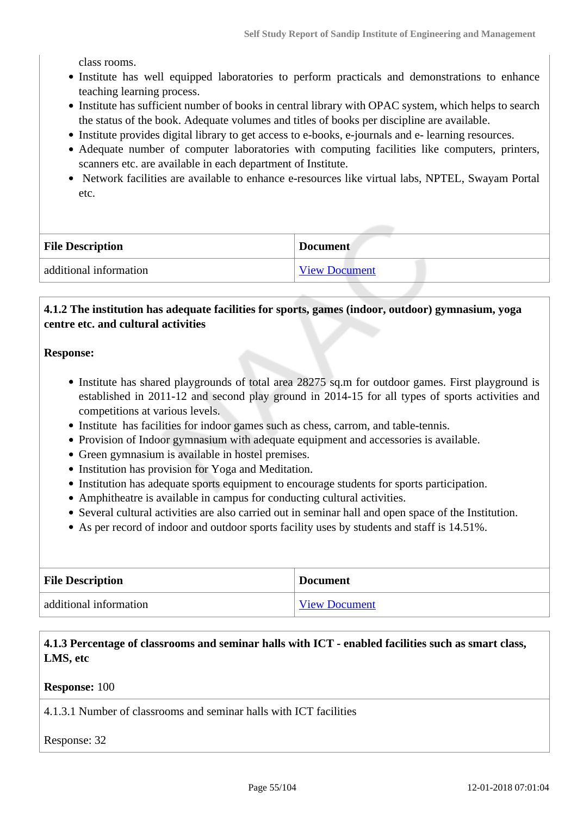class rooms.

- Institute has well equipped laboratories to perform practicals and demonstrations to enhance teaching learning process.
- Institute has sufficient number of books in central library with OPAC system, which helps to search the status of the book. Adequate volumes and titles of books per discipline are available.
- Institute provides digital library to get access to e-books, e-journals and e- learning resources.
- Adequate number of computer laboratories with computing facilities like computers, printers, scanners etc. are available in each department of Institute.
- Network facilities are available to enhance e-resources like virtual labs, NPTEL, Swayam Portal etc.

| <b>File Description</b> | <b>Document</b> |
|-------------------------|-----------------|
| additional information  | View Document   |

### **4.1.2 The institution has adequate facilities for sports, games (indoor, outdoor) gymnasium, yoga centre etc. and cultural activities**

#### **Response:**

- Institute has shared playgrounds of total area 28275 sq.m for outdoor games. First playground is established in 2011-12 and second play ground in 2014-15 for all types of sports activities and competitions at various levels.
- Institute has facilities for indoor games such as chess, carrom, and table-tennis.
- Provision of Indoor gymnasium with adequate equipment and accessories is available.
- Green gymnasium is available in hostel premises.
- Institution has provision for Yoga and Meditation.
- Institution has adequate sports equipment to encourage students for sports participation.
- Amphitheatre is available in campus for conducting cultural activities.
- Several cultural activities are also carried out in seminar hall and open space of the Institution.
- As per record of indoor and outdoor sports facility uses by students and staff is 14.51%.

| <b>File Description</b> | <b>Document</b> |
|-------------------------|-----------------|
| additional information  | View Document   |

 **4.1.3 Percentage of classrooms and seminar halls with ICT - enabled facilities such as smart class, LMS, etc**

#### **Response:** 100

4.1.3.1 Number of classrooms and seminar halls with ICT facilities

Response: 32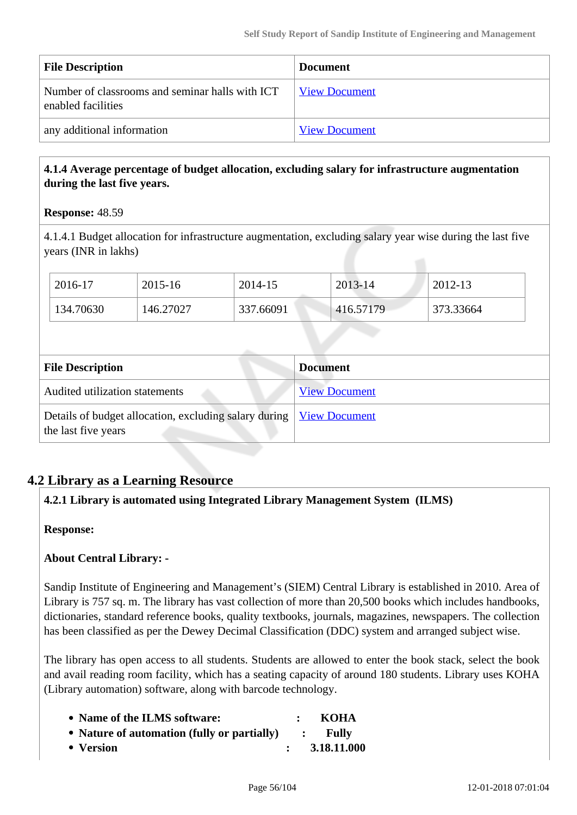| <b>File Description</b>                                               | <b>Document</b>      |
|-----------------------------------------------------------------------|----------------------|
| Number of classrooms and seminar halls with ICT<br>enabled facilities | <b>View Document</b> |
| any additional information                                            | <b>View Document</b> |

### **4.1.4 Average percentage of budget allocation, excluding salary for infrastructure augmentation during the last five years.**

**Response:** 48.59

4.1.4.1 Budget allocation for infrastructure augmentation, excluding salary year wise during the last five years (INR in lakhs)

| 2016-17   | 2015-16   | 2014-15   | 2013-14   | 2012-13   |
|-----------|-----------|-----------|-----------|-----------|
| 134.70630 | 146.27027 | 337.66091 | 416.57179 | 373.33664 |

| <b>File Description</b>                                                                             | <b>Document</b>      |
|-----------------------------------------------------------------------------------------------------|----------------------|
| Audited utilization statements                                                                      | <b>View Document</b> |
| Details of budget allocation, excluding salary during   <u>View Document</u><br>the last five years |                      |

### **4.2 Library as a Learning Resource**

### **4.2.1 Library is automated using Integrated Library Management System (ILMS)**

**Response:** 

### **About Central Library: -**

Sandip Institute of Engineering and Management's (SIEM) Central Library is established in 2010. Area of Library is 757 sq. m. The library has vast collection of more than 20,500 books which includes handbooks, dictionaries, standard reference books, quality textbooks, journals, magazines, newspapers. The collection has been classified as per the Dewey Decimal Classification (DDC) system and arranged subject wise.

The library has open access to all students. Students are allowed to enter the book stack, select the book and avail reading room facility, which has a seating capacity of around 180 students. Library uses KOHA (Library automation) software, along with barcode technology.

- Name of the ILMS software:  $\cdot$  **:** KOHA
- **Nature of automation (fully or partially) : Fully**
- **Version : 3.18.11.000**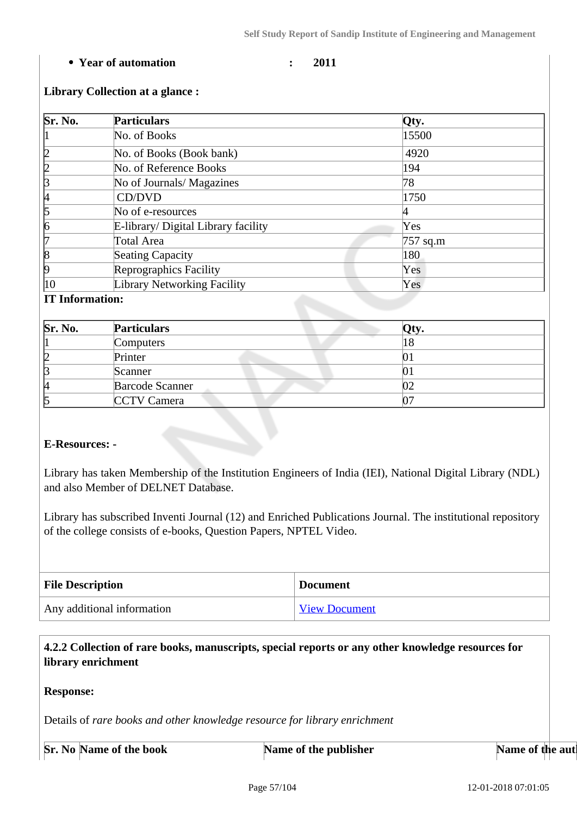#### **Year of automation : 2011**

#### **Library Collection at a glance :**

| Sr. No. | <b>Particulars</b>                  | Qty.       |
|---------|-------------------------------------|------------|
|         | No. of Books                        | 15500      |
| þ       | No. of Books (Book bank)            | 4920       |
| þ       | No. of Reference Books              | 194        |
| B       | No of Journals/Magazines            | 78         |
| 14      | CD/DVD                              | 1750       |
| 15      | No of e-resources                   |            |
| 6       | E-library/ Digital Library facility | Yes        |
|         | Total Area                          | $757$ sq.m |
| 18      | <b>Seating Capacity</b>             | 180        |
| 19      | Reprographics Facility              | Yes        |
| 10      | <b>Library Networking Facility</b>  | Yes        |

#### **IT Information:**

| Sr. No. | <b>Particulars</b>     | Qty. |
|---------|------------------------|------|
|         | Computers              | 18   |
|         | Printer                |      |
|         | Scanner                |      |
| п       | <b>Barcode Scanner</b> | 02   |
|         | <b>CCTV</b> Camera     |      |

#### **E-Resources: -**

Library has taken Membership of the Institution Engineers of India (IEI), National Digital Library (NDL) and also Member of DELNET Database.

Library has subscribed Inventi Journal (12) and Enriched Publications Journal. The institutional repository of the college consists of e-books, Question Papers, NPTEL Video.

| <b>File Description</b>    | <b>Document</b>      |
|----------------------------|----------------------|
| Any additional information | <b>View Document</b> |

### **4.2.2 Collection of rare books, manuscripts, special reports or any other knowledge resources for library enrichment**

#### **Response:**

Details of *rare books and other knowledge resource for library enrichment*

**Sr. No Name of the book Name of the publisher Name of the authorization**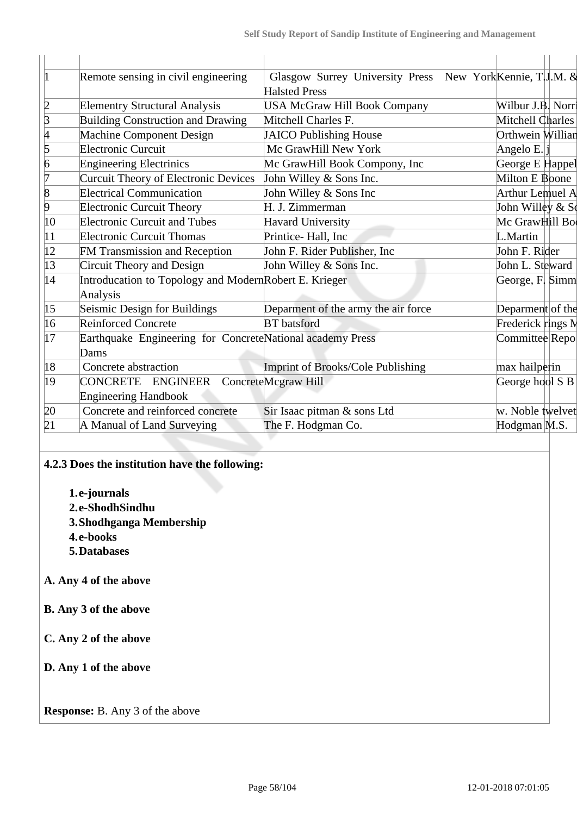| $\mathbf 1$    | Remote sensing in civil engineering                               | Glasgow Surrey University Press New YorkKennie, T.J.M. & |                   |
|----------------|-------------------------------------------------------------------|----------------------------------------------------------|-------------------|
|                |                                                                   | <b>Halsted Press</b>                                     |                   |
|                | <b>Elementry Structural Analysis</b>                              | <b>USA McGraw Hill Book Company</b>                      | Wilbur J.B. Norri |
| $\frac{2}{3}$  | <b>Building Construction and Drawing</b>                          | Mitchell Charles F.                                      | Mitchell Charles  |
| 4              | Machine Component Design                                          | JAICO Publishing House                                   | Orthwein Willian  |
| $\overline{5}$ | <b>Electronic Curcuit</b>                                         | Mc GrawHill New York                                     | Angelo E. j       |
| $\overline{6}$ | <b>Engineering Electrinics</b>                                    | Mc GrawHill Book Compony, Inc                            | George E Happel   |
| $\overline{7}$ | <b>Curcuit Theory of Electronic Devices</b>                       | John Willey & Sons Inc.                                  | Milton E Boone    |
| $\overline{8}$ | <b>Electrical Communication</b>                                   | John Willey & Sons Inc                                   | Arthur Lemuel A   |
| $\overline{9}$ | <b>Electronic Curcuit Theory</b>                                  | H. J. Zimmerman                                          | John Willey & So  |
| $ 10\rangle$   | <b>Electronic Curcuit and Tubes</b>                               | <b>Havard University</b>                                 | Mc GrawHill Bo    |
| 11             | <b>Electronic Curcuit Thomas</b>                                  | Printice-Hall, Inc                                       | L.Martin          |
| $ 12\rangle$   | <b>FM Transmission and Reception</b>                              | John F. Rider Publisher, Inc.                            | John F. Rider     |
| $ 13\rangle$   | Circuit Theory and Design                                         | John Willey & Sons Inc.                                  | John L. Steward   |
| 14             | Introducation to Topology and ModernRobert E. Krieger<br>Analysis |                                                          | George, F. Simm   |
| $ 15\rangle$   | Seismic Design for Buildings                                      | Deparment of the army the air force                      | Deparment of the  |
| $ 16\rangle$   | <b>Reinforced Concrete</b>                                        | <b>BT</b> batsford                                       | Frederick rings N |
| 17             | Earthquake Engineering for ConcreteNational academy Press         |                                                          | Committee Repo    |
|                | Dams                                                              |                                                          |                   |
| 18             | Concrete abstraction                                              | Imprint of Brooks/Cole Publishing                        | max hailperin     |
| $ 19\rangle$   | CONCRETE ENGINEER                                                 | ConcreteMcgraw Hill                                      | George hool S B   |
|                | <b>Engineering Handbook</b>                                       |                                                          |                   |
| 20             | Concrete and reinforced concrete                                  | Sir Isaac pitman & sons Ltd                              | w. Noble twelvet  |
| 21             | A Manual of Land Surveying                                        | The F. Hodgman Co.                                       | Hodgman M.S.      |

### **4.2.3 Does the institution have the following:**

**1.e-journals**

- **2.e-ShodhSindhu**
- **3.Shodhganga Membership**
- **4.e-books**
- **5.Databases**

### **A. Any 4 of the above**

- **B. Any 3 of the above**
- **C. Any 2 of the above**
- **D. Any 1 of the above**

**Response:** B. Any 3 of the above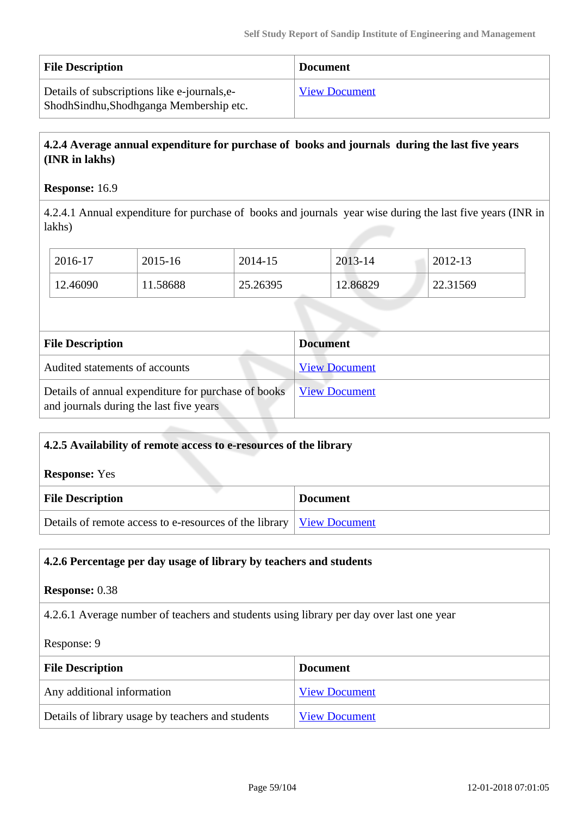| <b>File Description</b>                                                                | <b>Document</b>      |
|----------------------------------------------------------------------------------------|----------------------|
| Details of subscriptions like e-journals, e-<br>ShodhSindhu,Shodhganga Membership etc. | <b>View Document</b> |

### **4.2.4 Average annual expenditure for purchase of books and journals during the last five years (INR in lakhs)**

#### **Response:** 16.9

4.2.4.1 Annual expenditure for purchase of books and journals year wise during the last five years (INR in lakhs)

| 2016-17  | 2015-16  | 2014-15  | 2013-14  | 2012-13  |
|----------|----------|----------|----------|----------|
| 12.46090 | 11.58688 | 25.26395 | 12.86829 | 22.31569 |

| <b>File Description</b>                                                                        | <b>Document</b>      |
|------------------------------------------------------------------------------------------------|----------------------|
| Audited statements of accounts                                                                 | <b>View Document</b> |
| Details of annual expenditure for purchase of books<br>and journals during the last five years | <b>View Document</b> |

| 4.2.5 Availability of remote access to e-resources of the library      |                 |  |
|------------------------------------------------------------------------|-----------------|--|
| <b>Response:</b> Yes                                                   |                 |  |
| <b>File Description</b>                                                | <b>Document</b> |  |
| Details of remote access to e-resources of the library   View Document |                 |  |

#### **4.2.6 Percentage per day usage of library by teachers and students**

#### **Response:** 0.38

4.2.6.1 Average number of teachers and students using library per day over last one year

#### Response: 9

| <b>File Description</b>                           | <b>Document</b>      |
|---------------------------------------------------|----------------------|
| Any additional information                        | <b>View Document</b> |
| Details of library usage by teachers and students | <b>View Document</b> |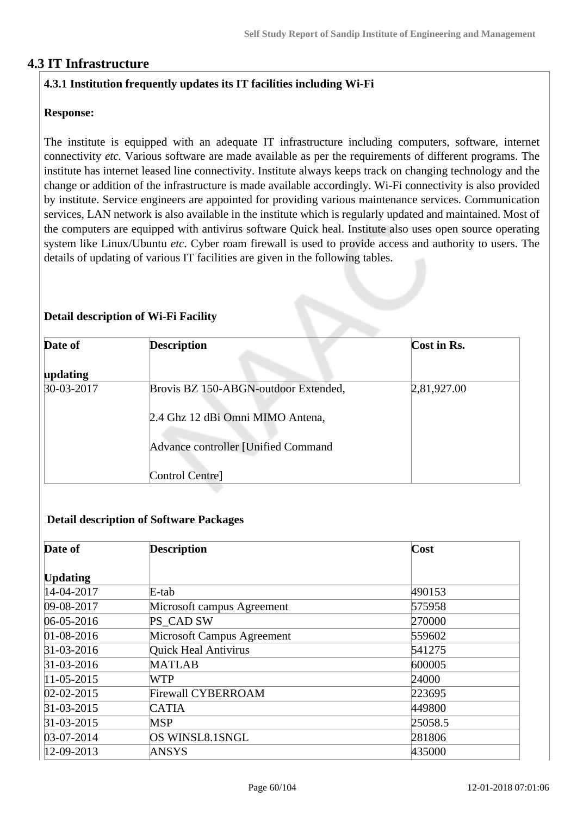### **4.3 IT Infrastructure**

### **4.3.1 Institution frequently updates its IT facilities including Wi-Fi**

### **Response:**

The institute is equipped with an adequate IT infrastructure including computers, software, internet connectivity *etc.* Various software are made available as per the requirements of different programs. The institute has internet leased line connectivity. Institute always keeps track on changing technology and the change or addition of the infrastructure is made available accordingly. Wi-Fi connectivity is also provided by institute. Service engineers are appointed for providing various maintenance services. Communication services, LAN network is also available in the institute which is regularly updated and maintained. Most of the computers are equipped with antivirus software Quick heal. Institute also uses open source operating system like Linux/Ubuntu *etc*. Cyber roam firewall is used to provide access and authority to users. The details of updating of various IT facilities are given in the following tables.

| Date of    | <b>Description</b>                         | Cost in Rs. |
|------------|--------------------------------------------|-------------|
| updating   |                                            |             |
| 30-03-2017 | Brovis BZ 150-ABGN-outdoor Extended,       | 2,81,927.00 |
|            | 2.4 Ghz 12 dBi Omni MIMO Antena,           |             |
|            | <b>Advance controller [Unified Command</b> |             |
|            | Control Centre]                            |             |

### **Detail description of Wi-Fi Facility**

#### **Detail description of Software Packages**

| Date of          | <b>Description</b>         | Cost    |
|------------------|----------------------------|---------|
| <b>Updating</b>  |                            |         |
| 14-04-2017       | E-tab                      | 490153  |
| 09-08-2017       | Microsoft campus Agreement | 575958  |
| 06-05-2016       | <b>PS_CAD SW</b>           | 270000  |
| $01-08-2016$     | Microsoft Campus Agreement | 559602  |
| $31 - 03 - 2016$ | Quick Heal Antivirus       | 541275  |
| $31 - 03 - 2016$ | <b>MATLAB</b>              | 600005  |
| $11 - 05 - 2015$ | <b>WTP</b>                 | 24000   |
| $02 - 02 - 2015$ | <b>Firewall CYBERROAM</b>  | 223695  |
| $31 - 03 - 2015$ | <b>CATIA</b>               | 449800  |
| $31 - 03 - 2015$ | MSP                        | 25058.5 |
| $03-07-2014$     | OS WINSL8.1SNGL            | 281806  |
| $12 - 09 - 2013$ | ANSYS                      | 435000  |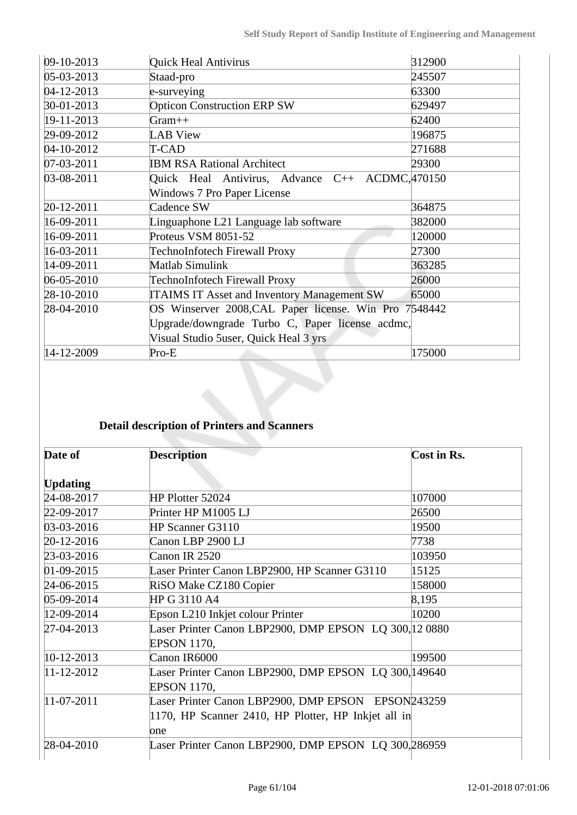| $09-10-2013$     | Quick Heal Antivirus                                        | 312900 |
|------------------|-------------------------------------------------------------|--------|
| $05-03-2013$     | Staad-pro                                                   | 245507 |
| $04 - 12 - 2013$ | e-surveying                                                 | 63300  |
| 30-01-2013       | <b>Opticon Construction ERP SW</b>                          | 629497 |
| 19-11-2013       | $Gram++$                                                    | 62400  |
| 29-09-2012       | <b>LAB View</b>                                             | 196875 |
| $04 - 10 - 2012$ | T-CAD                                                       | 271688 |
| $07 - 03 - 2011$ | <b>IBM RSA Rational Architect</b>                           | 29300  |
| 03-08-2011       | Quick Heal Antivirus, Advance C++ ACDMC,470150              |        |
|                  | <b>Windows 7 Pro Paper License</b>                          |        |
| $20 - 12 - 2011$ | Cadence SW                                                  | 364875 |
| 16-09-2011       | 382000<br>Linguaphone L21 Language lab software             |        |
| 16-09-2011       | Proteus VSM 8051-52<br>120000                               |        |
| $16 - 03 - 2011$ | 27300<br><b>TechnoInfotech Firewall Proxy</b>               |        |
| 14-09-2011       | Matlab Simulink<br>363285                                   |        |
| 06-05-2010       | 26000<br>TechnoInfotech Firewall Proxy                      |        |
| 28-10-2010       | <b>ITAIMS IT Asset and Inventory Management SW</b><br>65000 |        |
| 28-04-2010       | OS Winserver 2008, CAL Paper license. Win Pro 7548442       |        |
|                  | Upgrade/downgrade Turbo C, Paper license acdmc,             |        |
|                  | Visual Studio 5user, Quick Heal 3 yrs                       |        |
| 14-12-2009       | 175000<br>$Pro-E$                                           |        |

# **Detail description of Printers and Scanners**

| Date of          | <b>Description</b>                                                                                               | Cost in Rs. |
|------------------|------------------------------------------------------------------------------------------------------------------|-------------|
| <b>Updating</b>  |                                                                                                                  |             |
| 24-08-2017       | HP Plotter 52024                                                                                                 | 107000      |
| 22-09-2017       | Printer HP M1005 LJ                                                                                              | 26500       |
| 03-03-2016       | HP Scanner G3110                                                                                                 | 19500       |
| 20-12-2016       | Canon LBP 2900 LJ                                                                                                | 7738        |
| 23-03-2016       | Canon IR 2520                                                                                                    | 103950      |
| $01-09-2015$     | Laser Printer Canon LBP2900, HP Scanner G3110                                                                    | 15125       |
| 24-06-2015       | RiSO Make CZ180 Copier                                                                                           | 158000      |
| 05-09-2014       | HP G 3110 A4                                                                                                     | 8,195       |
| $ 12-09-2014 $   | Epson L210 Inkjet colour Printer                                                                                 | 10200       |
| 27-04-2013       | Laser Printer Canon LBP2900, DMP EPSON LQ 300, 12 0880<br>EPSON 1170,                                            |             |
| $ 10-12-2013 $   | Canon IR6000                                                                                                     | 199500      |
| $11 - 12 - 2012$ | Laser Printer Canon LBP2900, DMP EPSON LQ 300, 149640<br><b>EPSON 1170,</b>                                      |             |
| $ 11-07-2011 $   | Laser Printer Canon LBP2900, DMP EPSON EPSON243259<br>1170, HP Scanner 2410, HP Plotter, HP Inkjet all in<br>one |             |
| 28-04-2010       | Laser Printer Canon LBP2900, DMP EPSON LQ 300,286959                                                             |             |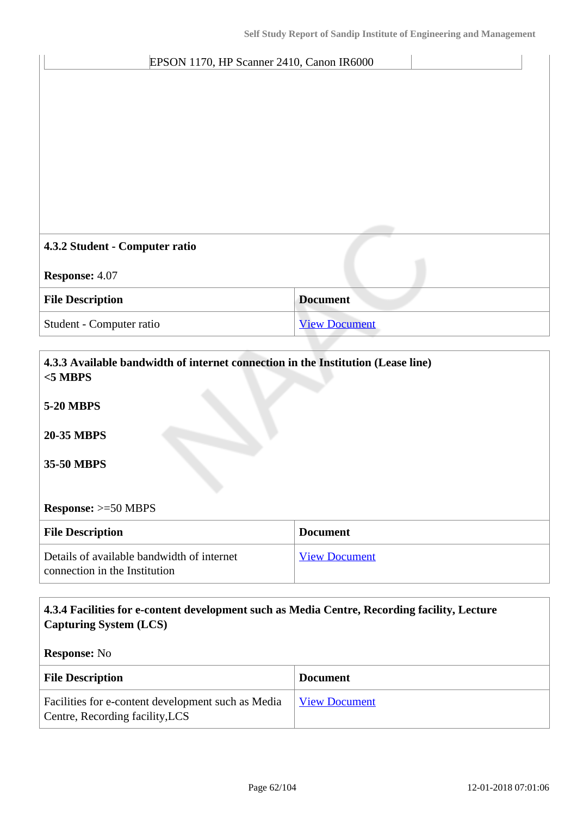| EPSON 1170, HP Scanner 2410, Canon IR6000                                                      |                      |
|------------------------------------------------------------------------------------------------|----------------------|
|                                                                                                |                      |
|                                                                                                |                      |
|                                                                                                |                      |
|                                                                                                |                      |
|                                                                                                |                      |
|                                                                                                |                      |
| 4.3.2 Student - Computer ratio                                                                 |                      |
| Response: 4.07                                                                                 |                      |
| <b>File Description</b>                                                                        | <b>Document</b>      |
| Student - Computer ratio                                                                       | <b>View Document</b> |
| 4.3.3 Available bandwidth of internet connection in the Institution (Lease line)<br>$<$ 5 MBPS |                      |
| <b>5-20 MBPS</b>                                                                               |                      |
| 20-35 MBPS                                                                                     |                      |
| 35-50 MBPS                                                                                     |                      |
|                                                                                                |                      |
| <b>Response: &gt;=50 MBPS</b>                                                                  |                      |
| <b>File Description</b>                                                                        | <b>Document</b>      |
| Details of available bandwidth of internet                                                     | <b>View Document</b> |

### **4.3.4 Facilities for e-content development such as Media Centre, Recording facility, Lecture Capturing System (LCS)**

**Response:** No

connection in the Institution

| <b>File Description</b>                                                               | <b>Document</b>      |
|---------------------------------------------------------------------------------------|----------------------|
| Facilities for e-content development such as Media<br>Centre, Recording facility, LCS | <b>View Document</b> |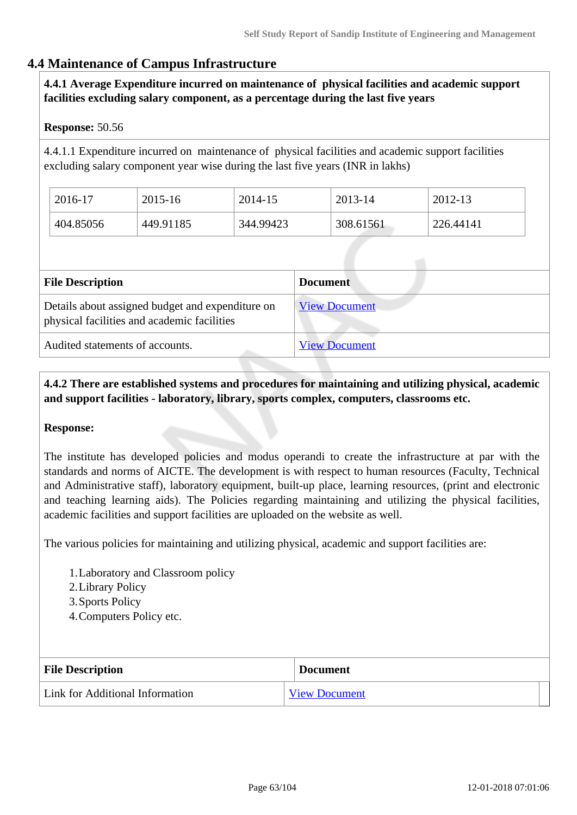### **4.4 Maintenance of Campus Infrastructure**

 **4.4.1 Average Expenditure incurred on maintenance of physical facilities and academic support facilities excluding salary component, as a percentage during the last five years**

#### **Response:** 50.56

4.4.1.1 Expenditure incurred on maintenance of physical facilities and academic support facilities excluding salary component year wise during the last five years (INR in lakhs)

| 2016-17   | 2015-16   | 2014-15   | 2013-14   | 2012-13   |
|-----------|-----------|-----------|-----------|-----------|
| 404.85056 | 449.91185 | 344.99423 | 308.61561 | 226.44141 |

| <b>File Description</b>                                                                         | <b>Document</b>      |
|-------------------------------------------------------------------------------------------------|----------------------|
| Details about assigned budget and expenditure on<br>physical facilities and academic facilities | <b>View Document</b> |
| Audited statements of accounts.                                                                 | <b>View Document</b> |

### **4.4.2 There are established systems and procedures for maintaining and utilizing physical, academic and support facilities - laboratory, library, sports complex, computers, classrooms etc.**

#### **Response:**

The institute has developed policies and modus operandi to create the infrastructure at par with the standards and norms of AICTE. The development is with respect to human resources (Faculty, Technical and Administrative staff), laboratory equipment, built-up place, learning resources, (print and electronic and teaching learning aids). The Policies regarding maintaining and utilizing the physical facilities, academic facilities and support facilities are uploaded on the website as well.

The various policies for maintaining and utilizing physical, academic and support facilities are:

- 1.Laboratory and Classroom policy
- 2.Library Policy
- 3.Sports Policy
- 4.Computers Policy etc.

| <b>File Description</b>         | <b>Document</b>      |
|---------------------------------|----------------------|
| Link for Additional Information | <b>View Document</b> |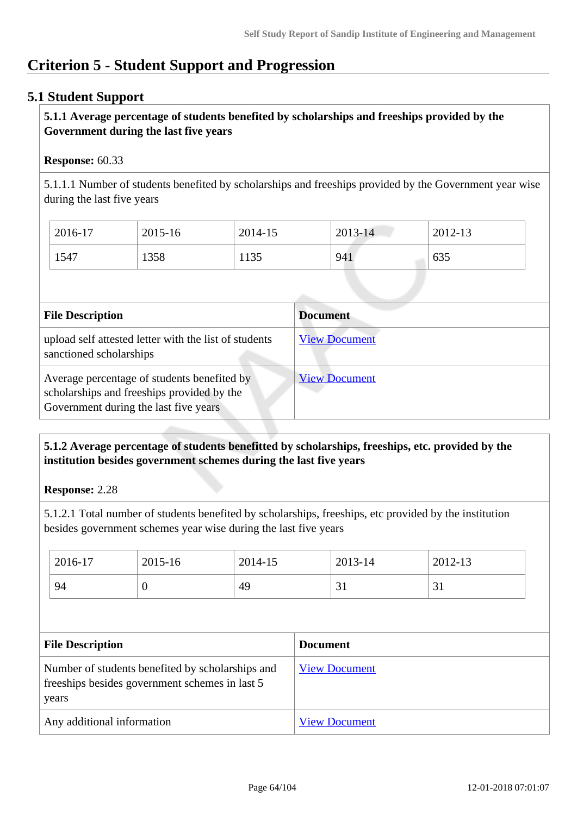# **Criterion 5 - Student Support and Progression**

### **5.1 Student Support**

### **5.1.1 Average percentage of students benefited by scholarships and freeships provided by the Government during the last five years**

#### **Response:** 60.33

5.1.1.1 Number of students benefited by scholarships and freeships provided by the Government year wise during the last five years

| 2016-17 | 2015-16 | 2014-15 | $2013 - 14$ | 2012-13 |
|---------|---------|---------|-------------|---------|
| 1547    | 1358    | 1135    | 941         | 635     |

| <b>File Description</b>                                                                                                            | <b>Document</b>      |
|------------------------------------------------------------------------------------------------------------------------------------|----------------------|
| upload self attested letter with the list of students<br>sanctioned scholarships                                                   | <b>View Document</b> |
| Average percentage of students benefited by<br>scholarships and freeships provided by the<br>Government during the last five years | <b>View Document</b> |

### **5.1.2 Average percentage of students benefitted by scholarships, freeships, etc. provided by the institution besides government schemes during the last five years**

**Response:** 2.28

5.1.2.1 Total number of students benefited by scholarships, freeships, etc provided by the institution besides government schemes year wise during the last five years

|                         | 2016-17 | $2015 - 16$                                                                                        | 2014-15         |  | 2013-14              | 2012-13 |
|-------------------------|---------|----------------------------------------------------------------------------------------------------|-----------------|--|----------------------|---------|
|                         | 94      | $\theta$                                                                                           | 49              |  | 31                   | 31      |
|                         |         |                                                                                                    |                 |  |                      |         |
| <b>File Description</b> |         |                                                                                                    | <b>Document</b> |  |                      |         |
|                         |         |                                                                                                    |                 |  |                      |         |
|                         | years   | Number of students benefited by scholarships and<br>freeships besides government schemes in last 5 |                 |  | <b>View Document</b> |         |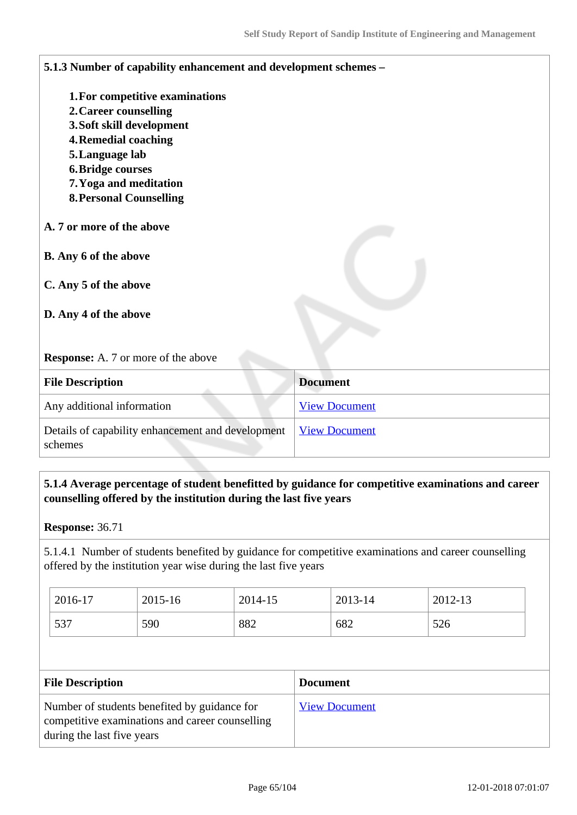| 5.1.3 Number of capability enhancement and development schemes - |                      |
|------------------------------------------------------------------|----------------------|
| 1. For competitive examinations                                  |                      |
| 2. Career counselling                                            |                      |
| 3. Soft skill development                                        |                      |
| <b>4. Remedial coaching</b>                                      |                      |
| 5. Language lab                                                  |                      |
| <b>6. Bridge courses</b>                                         |                      |
| 7. Yoga and meditation                                           |                      |
| <b>8. Personal Counselling</b>                                   |                      |
| A. 7 or more of the above                                        |                      |
| <b>B.</b> Any 6 of the above                                     |                      |
| C. Any 5 of the above                                            |                      |
| D. Any 4 of the above                                            |                      |
|                                                                  |                      |
| <b>Response:</b> A. 7 or more of the above                       |                      |
|                                                                  |                      |
| <b>File Description</b>                                          | <b>Document</b>      |
| Any additional information                                       | <b>View Document</b> |
| Details of capability enhancement and development                | <b>View Document</b> |
| schemes                                                          |                      |

### **5.1.4 Average percentage of student benefitted by guidance for competitive examinations and career counselling offered by the institution during the last five years**

**Response:** 36.71

5.1.4.1 Number of students benefited by guidance for competitive examinations and career counselling offered by the institution year wise during the last five years

| 2016-17 | 2015-16 | 2014-15 | 2013-14 | 2012-13 |
|---------|---------|---------|---------|---------|
| 537     | 590     | 882     | 682     | 526     |

| <b>File Description</b>                                                                                                       | <b>Document</b>      |
|-------------------------------------------------------------------------------------------------------------------------------|----------------------|
| Number of students benefited by guidance for<br>competitive examinations and career counselling<br>during the last five years | <b>View Document</b> |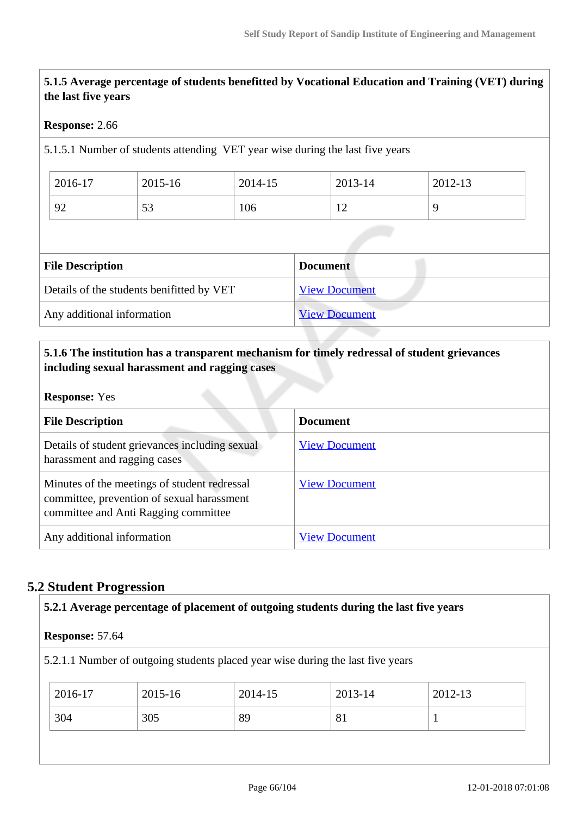### **5.1.5 Average percentage of students benefitted by Vocational Education and Training (VET) during the last five years**

#### **Response:** 2.66

5.1.5.1 Number of students attending VET year wise during the last five years

| 2016-17 | 2015-16 | 2014-15 | 2013-14    | 2012-13 |
|---------|---------|---------|------------|---------|
| 92      | IJ      | 106     | <b>I</b> 4 |         |

| <b>File Description</b>                   | <b>Document</b>      |
|-------------------------------------------|----------------------|
| Details of the students benifitted by VET | <b>View Document</b> |
| Any additional information                | <b>View Document</b> |

### **5.1.6 The institution has a transparent mechanism for timely redressal of student grievances including sexual harassment and ragging cases**

#### **Response:** Yes

| <b>File Description</b>                                                                                                            | <b>Document</b>      |
|------------------------------------------------------------------------------------------------------------------------------------|----------------------|
| Details of student grievances including sexual<br>harassment and ragging cases                                                     | <b>View Document</b> |
| Minutes of the meetings of student redressal<br>committee, prevention of sexual harassment<br>committee and Anti Ragging committee | <b>View Document</b> |
| Any additional information                                                                                                         | <b>View Document</b> |

### **5.2 Student Progression**

| <b>Response: 57.64</b> |             |                                                                                 |         |         |
|------------------------|-------------|---------------------------------------------------------------------------------|---------|---------|
|                        |             | 5.2.1.1 Number of outgoing students placed year wise during the last five years |         |         |
|                        |             |                                                                                 |         |         |
|                        |             |                                                                                 |         |         |
| 2016-17                | $2015 - 16$ | 2014-15                                                                         | 2013-14 | 2012-13 |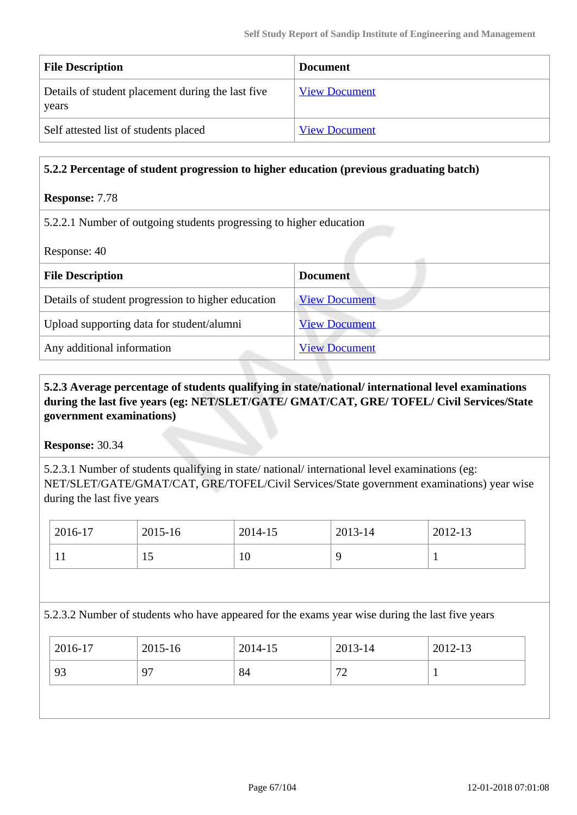| <b>File Description</b>                                    | <b>Document</b>      |
|------------------------------------------------------------|----------------------|
| Details of student placement during the last five<br>years | <b>View Document</b> |
| Self attested list of students placed                      | <b>View Document</b> |

#### **5.2.2 Percentage of student progression to higher education (previous graduating batch)**

**Response:** 7.78

5.2.2.1 Number of outgoing students progressing to higher education

Response: 40

| <b>File Description</b>                            | <b>Document</b>      |
|----------------------------------------------------|----------------------|
| Details of student progression to higher education | <b>View Document</b> |
| Upload supporting data for student/alumni          | <b>View Document</b> |
| Any additional information                         | <b>View Document</b> |

### **5.2.3 Average percentage of students qualifying in state/national/ international level examinations during the last five years (eg: NET/SLET/GATE/ GMAT/CAT, GRE/ TOFEL/ Civil Services/State government examinations)**

**Response:** 30.34

5.2.3.1 Number of students qualifying in state/ national/ international level examinations (eg: NET/SLET/GATE/GMAT/CAT, GRE/TOFEL/Civil Services/State government examinations) year wise during the last five years

| 2016-17 | 2015-16 | 2014-15 | 2013-14 | 2012-13 |
|---------|---------|---------|---------|---------|
| T T     | ΙJ      | 10      |         |         |

5.2.3.2 Number of students who have appeared for the exams year wise during the last five years

| 2016-17 | 2015-16 | 2014-15 | $2013 - 14$        | 2012-13 |
|---------|---------|---------|--------------------|---------|
| 93      | 97      | 84      | $\mathcal{L}$<br>∼ |         |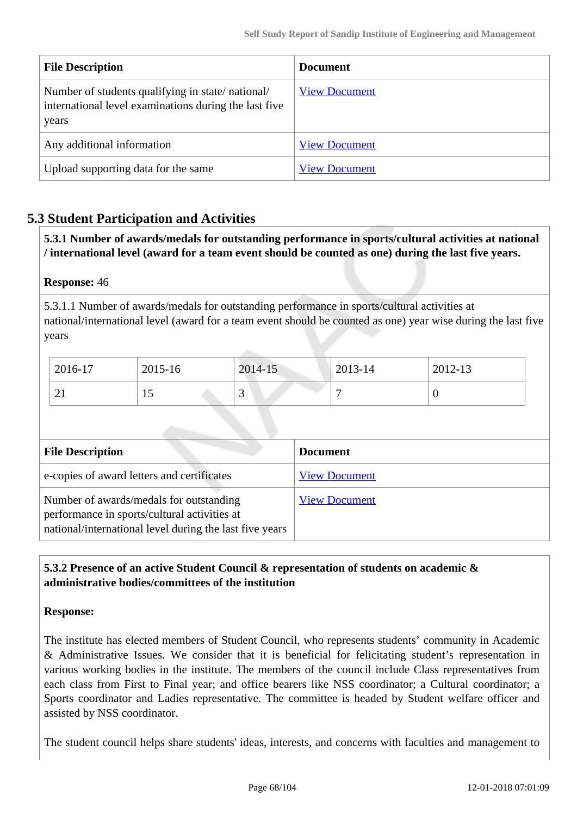| <b>File Description</b>                                                                                            | <b>Document</b>      |
|--------------------------------------------------------------------------------------------------------------------|----------------------|
| Number of students qualifying in state/national/<br>international level examinations during the last five<br>years | <b>View Document</b> |
| Any additional information                                                                                         | <b>View Document</b> |
| Upload supporting data for the same                                                                                | <b>View Document</b> |

### **5.3 Student Participation and Activities**

 **5.3.1 Number of awards/medals for outstanding performance in sports/cultural activities at national / international level (award for a team event should be counted as one) during the last five years.**

#### **Response:** 46

5.3.1.1 Number of awards/medals for outstanding performance in sports/cultural activities at national/international level (award for a team event should be counted as one) year wise during the last five years

| 2016-17  | 2015-16 | 2014-15 | 2013-14 | 2012-13 |
|----------|---------|---------|---------|---------|
| $\sim$ 1 |         | ັ       |         |         |

| <b>File Description</b>                                                                                                                            | <b>Document</b>      |
|----------------------------------------------------------------------------------------------------------------------------------------------------|----------------------|
| e-copies of award letters and certificates                                                                                                         | <b>View Document</b> |
| Number of awards/medals for outstanding<br>performance in sports/cultural activities at<br>national/international level during the last five years | <b>View Document</b> |

### **5.3.2 Presence of an active Student Council & representation of students on academic & administrative bodies/committees of the institution**

#### **Response:**

The institute has elected members of Student Council, who represents students' community in Academic & Administrative Issues. We consider that it is beneficial for felicitating student's representation in various working bodies in the institute. The members of the council include Class representatives from each class from First to Final year; and office bearers like NSS coordinator; a Cultural coordinator; a Sports coordinator and Ladies representative. The committee is headed by Student welfare officer and assisted by NSS coordinator.

The student council helps share students' ideas, interests, and concerns with faculties and management to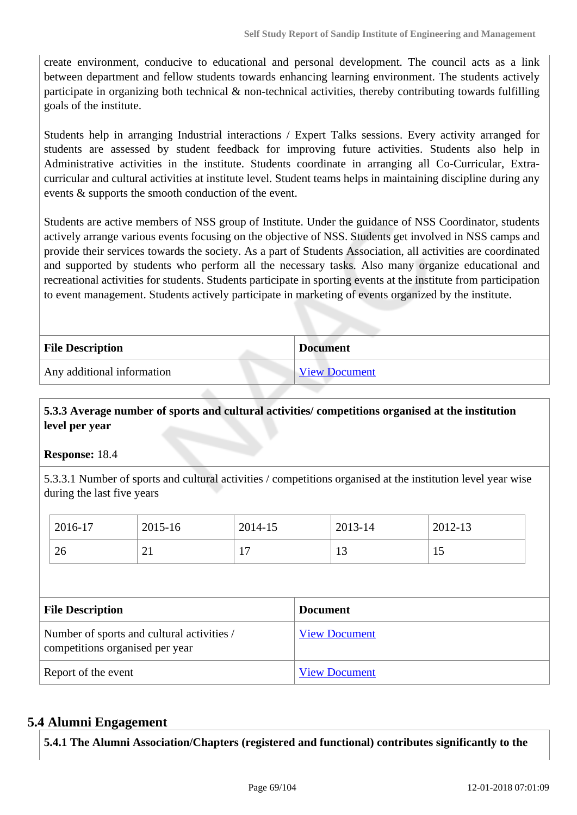create environment, conducive to educational and personal development. The council acts as a link between department and fellow students towards enhancing learning environment. The students actively participate in organizing both technical & non-technical activities, thereby contributing towards fulfilling goals of the institute.

Students help in arranging Industrial interactions / Expert Talks sessions. Every activity arranged for students are assessed by student feedback for improving future activities. Students also help in Administrative activities in the institute. Students coordinate in arranging all Co-Curricular, Extracurricular and cultural activities at institute level. Student teams helps in maintaining discipline during any events & supports the smooth conduction of the event.

Students are active members of NSS group of Institute. Under the guidance of NSS Coordinator, students actively arrange various events focusing on the objective of NSS. Students get involved in NSS camps and provide their services towards the society. As a part of Students Association, all activities are coordinated and supported by students who perform all the necessary tasks. Also many organize educational and recreational activities for students. Students participate in sporting events at the institute from participation to event management. Students actively participate in marketing of events organized by the institute.

| <b>File Description</b>    | <b>Document</b> |  |
|----------------------------|-----------------|--|
| Any additional information | View Document   |  |

### **5.3.3 Average number of sports and cultural activities/ competitions organised at the institution level per year**

**Response:** 18.4

5.3.3.1 Number of sports and cultural activities / competitions organised at the institution level year wise during the last five years

|                                                                               | 2016-17 | 2015-16 | 2014-15              |                 | 2013-14 | 2012-13 |  |
|-------------------------------------------------------------------------------|---------|---------|----------------------|-----------------|---------|---------|--|
|                                                                               | 26      | 21      | 17                   |                 | 13      | 15      |  |
|                                                                               |         |         |                      |                 |         |         |  |
| <b>File Description</b>                                                       |         |         |                      | <b>Document</b> |         |         |  |
| Number of sports and cultural activities /<br>competitions organised per year |         |         | <b>View Document</b> |                 |         |         |  |
| Report of the event                                                           |         |         | <b>View Document</b> |                 |         |         |  |

### **5.4 Alumni Engagement**

**5.4.1 The Alumni Association/Chapters (registered and functional) contributes significantly to the**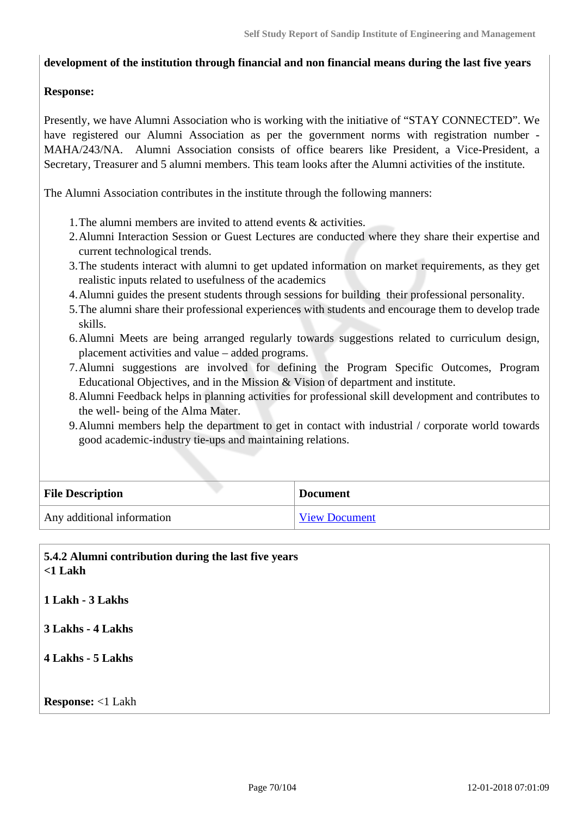#### **development of the institution through financial and non financial means during the last five years**

#### **Response:**

Presently, we have Alumni Association who is working with the initiative of "STAY CONNECTED". We have registered our Alumni Association as per the government norms with registration number -MAHA/243/NA. Alumni Association consists of office bearers like President, a Vice-President, a Secretary, Treasurer and 5 alumni members. This team looks after the Alumni activities of the institute.

The Alumni Association contributes in the institute through the following manners:

- 1.The alumni members are invited to attend events & activities.
- 2.Alumni Interaction Session or Guest Lectures are conducted where they share their expertise and current technological trends.
- 3.The students interact with alumni to get updated information on market requirements, as they get realistic inputs related to usefulness of the academics
- 4.Alumni guides the present students through sessions for building their professional personality.
- 5.The alumni share their professional experiences with students and encourage them to develop trade skills.
- 6.Alumni Meets are being arranged regularly towards suggestions related to curriculum design, placement activities and value – added programs.
- 7.Alumni suggestions are involved for defining the Program Specific Outcomes, Program Educational Objectives, and in the Mission & Vision of department and institute.
- 8.Alumni Feedback helps in planning activities for professional skill development and contributes to the well- being of the Alma Mater.
- 9.Alumni members help the department to get in contact with industrial / corporate world towards good academic-industry tie-ups and maintaining relations.

| <b>File Description</b>    | <b>Document</b>      |  |
|----------------------------|----------------------|--|
| Any additional information | <b>View Document</b> |  |

| 5.4.2 Alumni contribution during the last five years<br>$<$ 1 Lakh |
|--------------------------------------------------------------------|
| 1 Lakh - 3 Lakhs                                                   |
| 3 Lakhs - 4 Lakhs                                                  |
| 4 Lakhs - 5 Lakhs                                                  |
|                                                                    |
| <b>Response:</b> <1 Lakh                                           |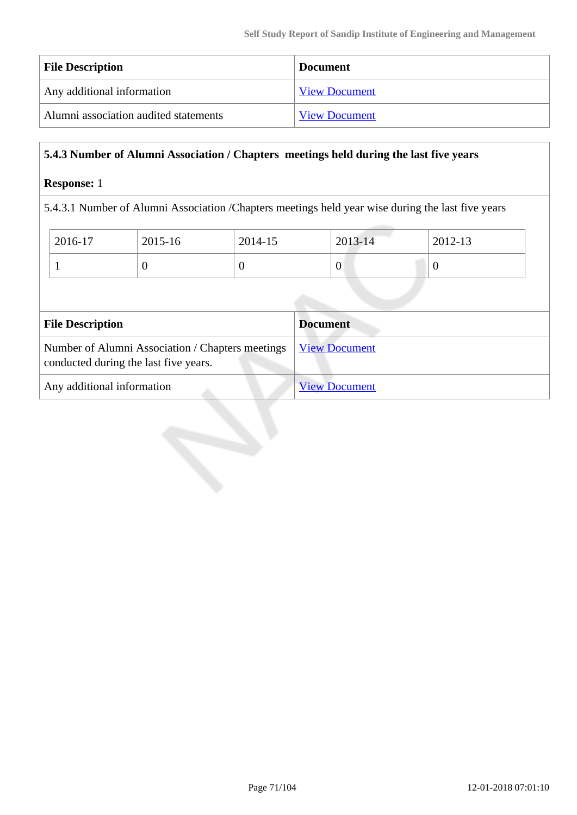| <b>File Description</b>               | <b>Document</b>      |
|---------------------------------------|----------------------|
| Any additional information            | <b>View Document</b> |
| Alumni association audited statements | <b>View Document</b> |

### **5.4.3 Number of Alumni Association / Chapters meetings held during the last five years**

#### **Response:** 1

5.4.3.1 Number of Alumni Association /Chapters meetings held year wise during the last five years

| 2016-17 | 2015-16 | 2014-15 | 2013-14          | 2012-13 |
|---------|---------|---------|------------------|---------|
|         | ີ       |         | $\boldsymbol{0}$ |         |

| <b>File Description</b>                                                                   | <b>Document</b>      |
|-------------------------------------------------------------------------------------------|----------------------|
| Number of Alumni Association / Chapters meetings<br>conducted during the last five years. | <b>View Document</b> |
| Any additional information                                                                | <b>View Document</b> |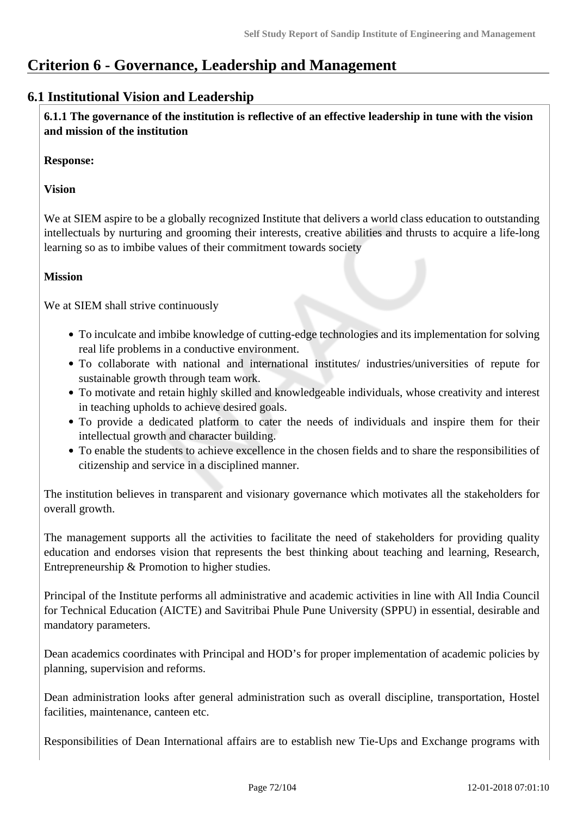# **Criterion 6 - Governance, Leadership and Management**

### **6.1 Institutional Vision and Leadership**

 **6.1.1 The governance of the institution is reflective of an effective leadership in tune with the vision and mission of the institution**

#### **Response:**

#### **Vision**

We at SIEM aspire to be a globally recognized Institute that delivers a world class education to outstanding intellectuals by nurturing and grooming their interests, creative abilities and thrusts to acquire a life-long learning so as to imbibe values of their commitment towards society

#### **Mission**

We at SIEM shall strive continuously

- To inculcate and imbibe knowledge of cutting-edge technologies and its implementation for solving real life problems in a conductive environment.
- To collaborate with national and international institutes/ industries/universities of repute for sustainable growth through team work.
- To motivate and retain highly skilled and knowledgeable individuals, whose creativity and interest in teaching upholds to achieve desired goals.
- To provide a dedicated platform to cater the needs of individuals and inspire them for their intellectual growth and character building.
- To enable the students to achieve excellence in the chosen fields and to share the responsibilities of citizenship and service in a disciplined manner.

The institution believes in transparent and visionary governance which motivates all the stakeholders for overall growth.

The management supports all the activities to facilitate the need of stakeholders for providing quality education and endorses vision that represents the best thinking about teaching and learning, Research, Entrepreneurship & Promotion to higher studies.

Principal of the Institute performs all administrative and academic activities in line with All India Council for Technical Education (AICTE) and Savitribai Phule Pune University (SPPU) in essential, desirable and mandatory parameters.

Dean academics coordinates with Principal and HOD's for proper implementation of academic policies by planning, supervision and reforms.

Dean administration looks after general administration such as overall discipline, transportation, Hostel facilities, maintenance, canteen etc.

Responsibilities of Dean International affairs are to establish new Tie-Ups and Exchange programs with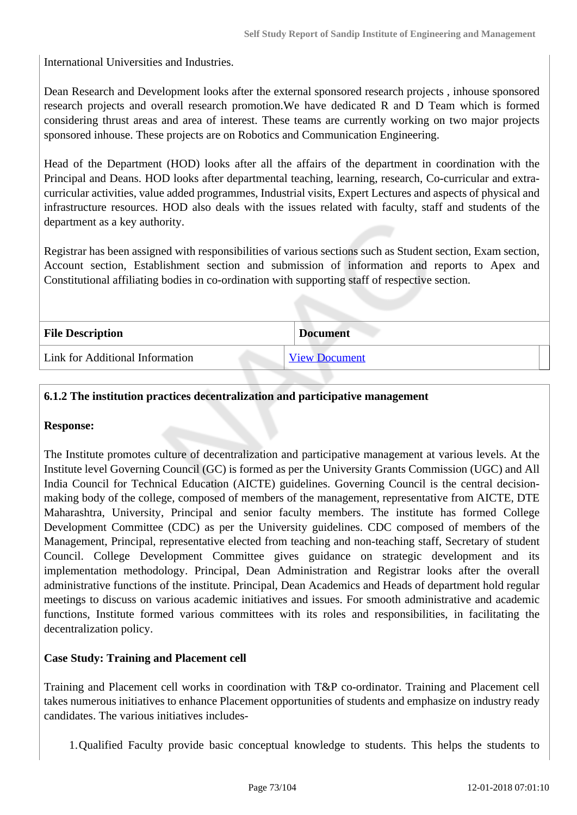International Universities and Industries.

Dean Research and Development looks after the external sponsored research projects , inhouse sponsored research projects and overall research promotion.We have dedicated R and D Team which is formed considering thrust areas and area of interest. These teams are currently working on two major projects sponsored inhouse. These projects are on Robotics and Communication Engineering.

Head of the Department (HOD) looks after all the affairs of the department in coordination with the Principal and Deans. HOD looks after departmental teaching, learning, research, Co-curricular and extracurricular activities, value added programmes, Industrial visits, Expert Lectures and aspects of physical and infrastructure resources. HOD also deals with the issues related with faculty, staff and students of the department as a key authority.

Registrar has been assigned with responsibilities of various sections such as Student section, Exam section, Account section, Establishment section and submission of information and reports to Apex and Constitutional affiliating bodies in co-ordination with supporting staff of respective section.

| <b>File Description</b>         | <b>Document</b>      |  |
|---------------------------------|----------------------|--|
| Link for Additional Information | <b>View Document</b> |  |

#### **6.1.2 The institution practices decentralization and participative management**

#### **Response:**

The Institute promotes culture of decentralization and participative management at various levels. At the Institute level Governing Council (GC) is formed as per the University Grants Commission (UGC) and All India Council for Technical Education (AICTE) guidelines. Governing Council is the central decisionmaking body of the college, composed of members of the management, representative from AICTE, DTE Maharashtra, University, Principal and senior faculty members. The institute has formed College Development Committee (CDC) as per the University guidelines. CDC composed of members of the Management, Principal, representative elected from teaching and non-teaching staff, Secretary of student Council. College Development Committee gives guidance on strategic development and its implementation methodology. Principal, Dean Administration and Registrar looks after the overall administrative functions of the institute. Principal, Dean Academics and Heads of department hold regular meetings to discuss on various academic initiatives and issues. For smooth administrative and academic functions, Institute formed various committees with its roles and responsibilities, in facilitating the decentralization policy.

#### **Case Study: Training and Placement cell**

Training and Placement cell works in coordination with T&P co-ordinator. Training and Placement cell takes numerous initiatives to enhance Placement opportunities of students and emphasize on industry ready candidates. The various initiatives includes-

1.Qualified Faculty provide basic conceptual knowledge to students. This helps the students to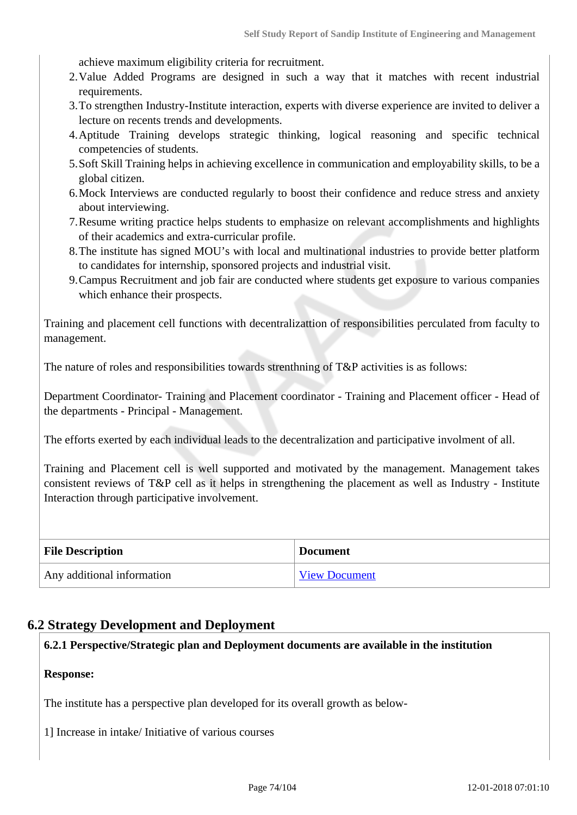achieve maximum eligibility criteria for recruitment.

- 2.Value Added Programs are designed in such a way that it matches with recent industrial requirements.
- 3.To strengthen Industry-Institute interaction, experts with diverse experience are invited to deliver a lecture on recents trends and developments.
- 4.Aptitude Training develops strategic thinking, logical reasoning and specific technical competencies of students.
- 5.Soft Skill Training helps in achieving excellence in communication and employability skills, to be a global citizen.
- 6.Mock Interviews are conducted regularly to boost their confidence and reduce stress and anxiety about interviewing.
- 7.Resume writing practice helps students to emphasize on relevant accomplishments and highlights of their academics and extra-curricular profile.
- 8.The institute has signed MOU's with local and multinational industries to provide better platform to candidates for internship, sponsored projects and industrial visit.
- 9.Campus Recruitment and job fair are conducted where students get exposure to various companies which enhance their prospects.

Training and placement cell functions with decentralizattion of responsibilities perculated from faculty to management.

The nature of roles and responsibilities towards strenthning of T&P activities is as follows:

Department Coordinator- Training and Placement coordinator - Training and Placement officer - Head of the departments - Principal - Management.

The efforts exerted by each individual leads to the decentralization and participative involment of all.

Training and Placement cell is well supported and motivated by the management. Management takes consistent reviews of T&P cell as it helps in strengthening the placement as well as Industry - Institute Interaction through participative involvement.

| <b>File Description</b>    | <b>Document</b>      |
|----------------------------|----------------------|
| Any additional information | <b>View Document</b> |

## **6.2 Strategy Development and Deployment**

#### **6.2.1 Perspective/Strategic plan and Deployment documents are available in the institution**

#### **Response:**

The institute has a perspective plan developed for its overall growth as below-

1] Increase in intake/ Initiative of various courses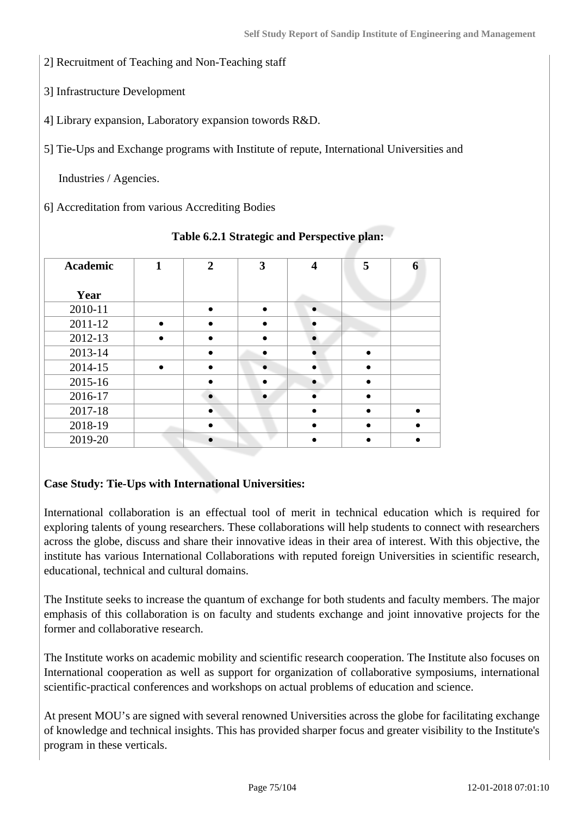- 2] Recruitment of Teaching and Non-Teaching staff
- 3] Infrastructure Development
- 4] Library expansion, Laboratory expansion towords R&D.
- 5] Tie-Ups and Exchange programs with Institute of repute, International Universities and

Industries / Agencies.

6] Accreditation from various Accrediting Bodies

| Academic | 1 | $\overline{2}$ | 3         | $\overline{\mathbf{4}}$ | 5 | 6 |
|----------|---|----------------|-----------|-------------------------|---|---|
| Year     |   |                |           |                         |   |   |
| 2010-11  |   |                |           | $\bullet$               |   |   |
| 2011-12  |   |                |           | $\bullet$               |   |   |
| 2012-13  |   |                |           | $\bullet$               |   |   |
| 2013-14  |   |                |           |                         |   |   |
| 2014-15  |   |                |           | ٠                       |   |   |
| 2015-16  |   |                |           | $\bullet$               |   |   |
| 2016-17  |   |                | $\bullet$ |                         |   |   |
| 2017-18  |   |                |           |                         |   |   |
| 2018-19  |   |                |           |                         |   |   |
| 2019-20  |   |                |           |                         |   |   |

**Table 6.2.1 Strategic and Perspective plan:** 

#### **Case Study: Tie-Ups with International Universities:**

International collaboration is an effectual tool of merit in technical education which is required for exploring talents of young researchers. These collaborations will help students to connect with researchers across the globe, discuss and share their innovative ideas in their area of interest. With this objective, the institute has various International Collaborations with reputed foreign Universities in scientific research, educational, technical and cultural domains.

The Institute seeks to increase the quantum of exchange for both students and faculty members. The major emphasis of this collaboration is on faculty and students exchange and joint innovative projects for the former and collaborative research.

The Institute works on academic mobility and scientific research cooperation. The Institute also focuses on International cooperation as well as support for organization of collaborative symposiums, international scientific-practical conferences and workshops on actual problems of education and science.

At present MOU's are signed with several renowned Universities across the globe for facilitating exchange of knowledge and technical insights. This has provided sharper focus and greater visibility to the Institute's program in these verticals.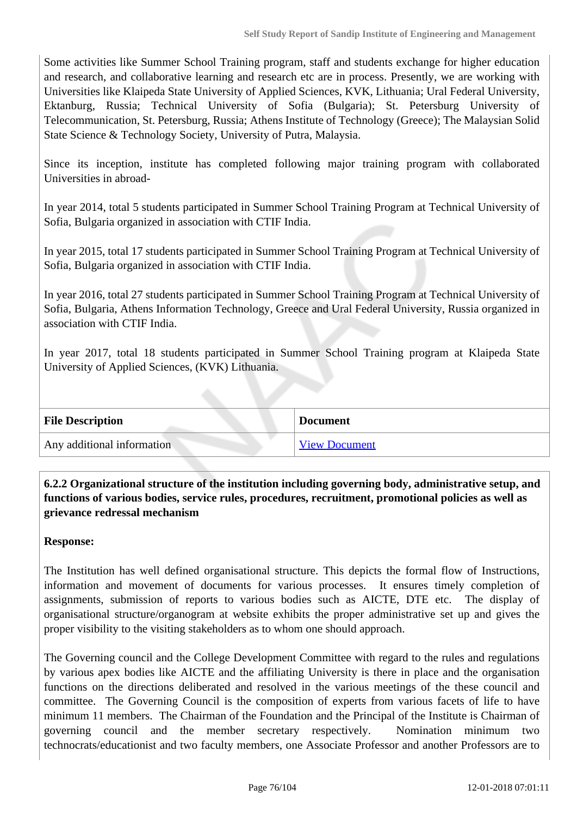Some activities like Summer School Training program, staff and students exchange for higher education and research, and collaborative learning and research etc are in process. Presently, we are working with Universities like Klaipeda State University of Applied Sciences, KVK, Lithuania; Ural Federal University, Ektanburg, Russia; Technical University of Sofia (Bulgaria); St. Petersburg University of Telecommunication, St. Petersburg, Russia; Athens Institute of Technology (Greece); The Malaysian Solid State Science & Technology Society, University of Putra, Malaysia.

Since its inception, institute has completed following major training program with collaborated Universities in abroad-

In year 2014, total 5 students participated in Summer School Training Program at Technical University of Sofia, Bulgaria organized in association with CTIF India.

In year 2015, total 17 students participated in Summer School Training Program at Technical University of Sofia, Bulgaria organized in association with CTIF India.

In year 2016, total 27 students participated in Summer School Training Program at Technical University of Sofia, Bulgaria, Athens Information Technology, Greece and Ural Federal University, Russia organized in association with CTIF India.

In year 2017, total 18 students participated in Summer School Training program at Klaipeda State University of Applied Sciences, (KVK) Lithuania.

| <b>File Description</b>    | <b>Document</b> |
|----------------------------|-----------------|
| Any additional information | View Document   |

 **6.2.2 Organizational structure of the institution including governing body, administrative setup, and functions of various bodies, service rules, procedures, recruitment, promotional policies as well as grievance redressal mechanism**

## **Response:**

The Institution has well defined organisational structure. This depicts the formal flow of Instructions, information and movement of documents for various processes. It ensures timely completion of assignments, submission of reports to various bodies such as AICTE, DTE etc. The display of organisational structure/organogram at website exhibits the proper administrative set up and gives the proper visibility to the visiting stakeholders as to whom one should approach.

The Governing council and the College Development Committee with regard to the rules and regulations by various apex bodies like AICTE and the affiliating University is there in place and the organisation functions on the directions deliberated and resolved in the various meetings of the these council and committee. The Governing Council is the composition of experts from various facets of life to have minimum 11 members. The Chairman of the Foundation and the Principal of the Institute is Chairman of governing council and the member secretary respectively. Nomination minimum two technocrats/educationist and two faculty members, one Associate Professor and another Professors are to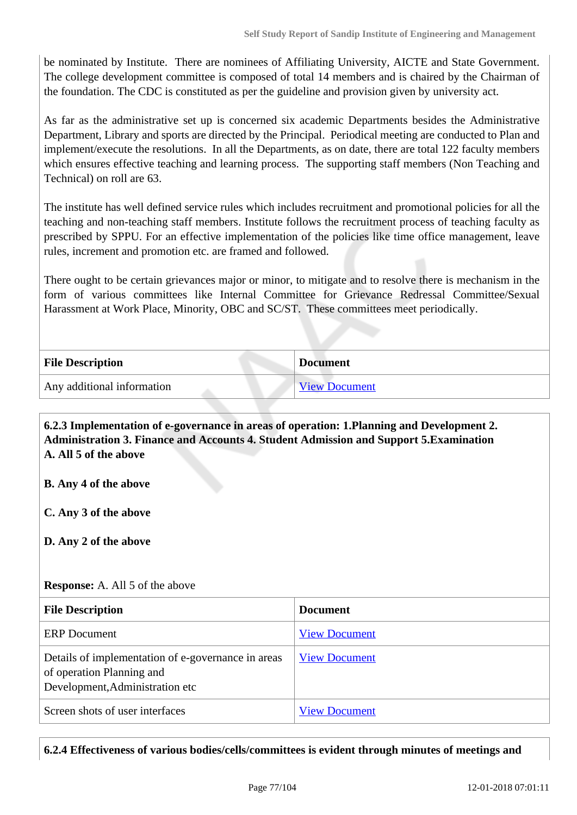be nominated by Institute. There are nominees of Affiliating University, AICTE and State Government. The college development committee is composed of total 14 members and is chaired by the Chairman of the foundation. The CDC is constituted as per the guideline and provision given by university act.

As far as the administrative set up is concerned six academic Departments besides the Administrative Department, Library and sports are directed by the Principal. Periodical meeting are conducted to Plan and implement/execute the resolutions. In all the Departments, as on date, there are total 122 faculty members which ensures effective teaching and learning process. The supporting staff members (Non Teaching and Technical) on roll are 63.

The institute has well defined service rules which includes recruitment and promotional policies for all the teaching and non-teaching staff members. Institute follows the recruitment process of teaching faculty as prescribed by SPPU. For an effective implementation of the policies like time office management, leave rules, increment and promotion etc. are framed and followed.

There ought to be certain grievances major or minor, to mitigate and to resolve there is mechanism in the form of various committees like Internal Committee for Grievance Redressal Committee/Sexual Harassment at Work Place, Minority, OBC and SC/ST. These committees meet periodically.

| <b>File Description</b>    | <b>Document</b>      |
|----------------------------|----------------------|
| Any additional information | <b>View Document</b> |

 **6.2.3 Implementation of e-governance in areas of operation: 1.Planning and Development 2. Administration 3. Finance and Accounts 4. Student Admission and Support 5.Examination A. All 5 of the above B. Any 4 of the above C. Any 3 of the above D. Any 2 of the above**

#### **Response:** A. All 5 of the above

| <b>File Description</b>                                                                                            | <b>Document</b>      |
|--------------------------------------------------------------------------------------------------------------------|----------------------|
| <b>ERP</b> Document                                                                                                | <b>View Document</b> |
| Details of implementation of e-governance in areas<br>of operation Planning and<br>Development, Administration etc | <b>View Document</b> |
| Screen shots of user interfaces                                                                                    | <b>View Document</b> |

**6.2.4 Effectiveness of various bodies/cells/committees is evident through minutes of meetings and**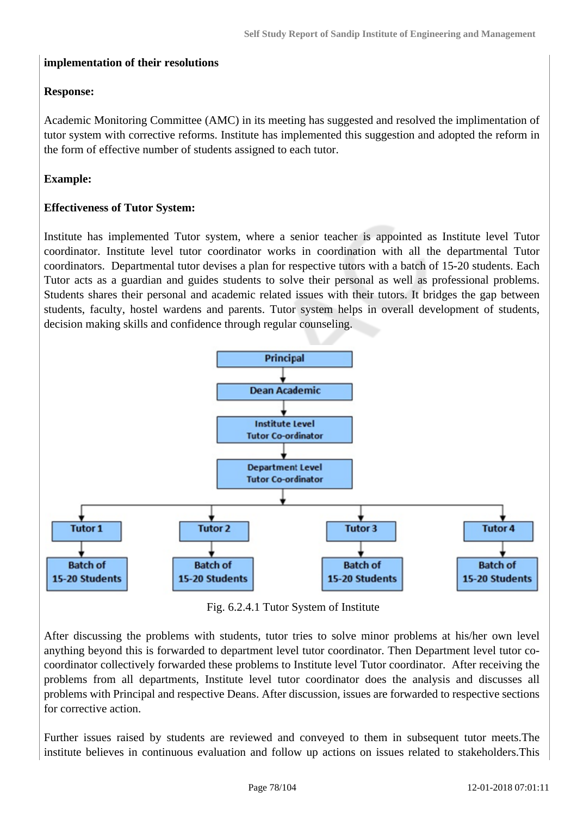#### **implementation of their resolutions**

## **Response:**

Academic Monitoring Committee (AMC) in its meeting has suggested and resolved the implimentation of tutor system with corrective reforms. Institute has implemented this suggestion and adopted the reform in the form of effective number of students assigned to each tutor.

## **Example:**

## **Effectiveness of Tutor System:**

Institute has implemented Tutor system, where a senior teacher is appointed as Institute level Tutor coordinator. Institute level tutor coordinator works in coordination with all the departmental Tutor coordinators. Departmental tutor devises a plan for respective tutors with a batch of 15-20 students. Each Tutor acts as a guardian and guides students to solve their personal as well as professional problems. Students shares their personal and academic related issues with their tutors. It bridges the gap between students, faculty, hostel wardens and parents. Tutor system helps in overall development of students, decision making skills and confidence through regular counseling.



Fig. 6.2.4.1 Tutor System of Institute

After discussing the problems with students, tutor tries to solve minor problems at his/her own level anything beyond this is forwarded to department level tutor coordinator. Then Department level tutor cocoordinator collectively forwarded these problems to Institute level Tutor coordinator. After receiving the problems from all departments, Institute level tutor coordinator does the analysis and discusses all problems with Principal and respective Deans. After discussion, issues are forwarded to respective sections for corrective action.

Further issues raised by students are reviewed and conveyed to them in subsequent tutor meets.The institute believes in continuous evaluation and follow up actions on issues related to stakeholders.This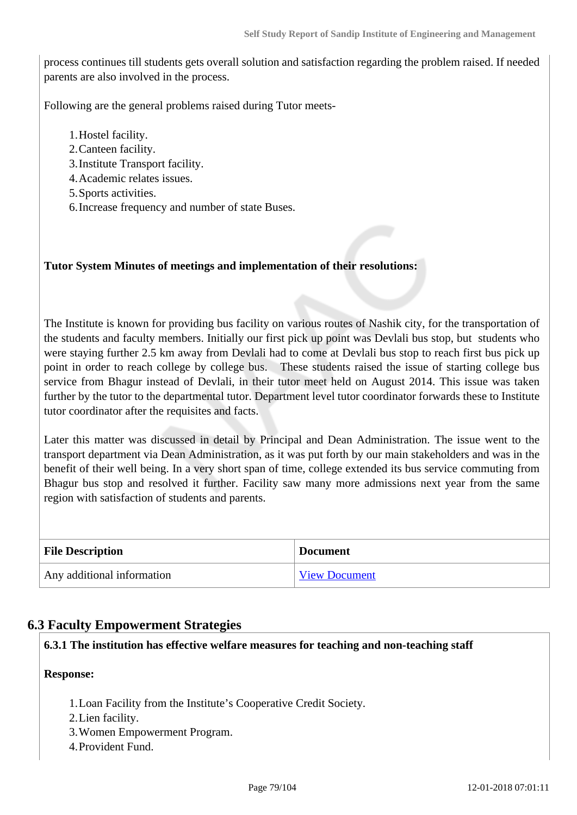process continues till students gets overall solution and satisfaction regarding the problem raised. If needed parents are also involved in the process.

Following are the general problems raised during Tutor meets-

- 1.Hostel facility.
- 2.Canteen facility.
- 3.Institute Transport facility.
- 4.Academic relates issues.
- 5.Sports activities.
- 6.Increase frequency and number of state Buses.

#### **Tutor System Minutes of meetings and implementation of their resolutions:**

The Institute is known for providing bus facility on various routes of Nashik city, for the transportation of the students and faculty members. Initially our first pick up point was Devlali bus stop, but students who were staying further 2.5 km away from Devlali had to come at Devlali bus stop to reach first bus pick up point in order to reach college by college bus. These students raised the issue of starting college bus service from Bhagur instead of Devlali, in their tutor meet held on August 2014. This issue was taken further by the tutor to the departmental tutor. Department level tutor coordinator forwards these to Institute tutor coordinator after the requisites and facts.

Later this matter was discussed in detail by Principal and Dean Administration. The issue went to the transport department via Dean Administration, as it was put forth by our main stakeholders and was in the benefit of their well being. In a very short span of time, college extended its bus service commuting from Bhagur bus stop and resolved it further. Facility saw many more admissions next year from the same region with satisfaction of students and parents.

| <b>File Description</b>    | <b>Document</b>      |
|----------------------------|----------------------|
| Any additional information | <b>View Document</b> |

## **6.3 Faculty Empowerment Strategies**

#### **6.3.1 The institution has effective welfare measures for teaching and non-teaching staff**

#### **Response:**

- 1.Loan Facility from the Institute's Cooperative Credit Society.
- 2.Lien facility.
- 3.Women Empowerment Program.
- 4.Provident Fund.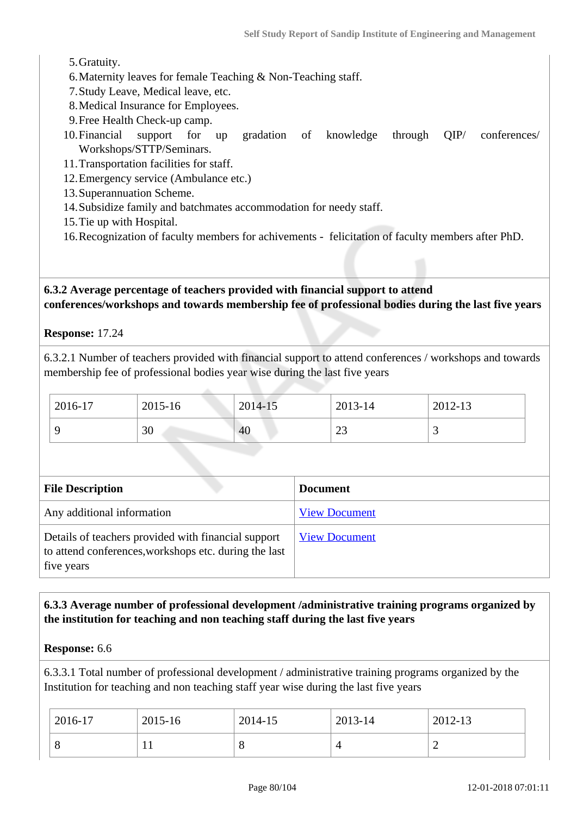#### 5.Gratuity.

- 6.Maternity leaves for female Teaching & Non-Teaching staff.
- 7.Study Leave, Medical leave, etc.
- 8.Medical Insurance for Employees.
- 9.Free Health Check-up camp.
- 10.Financial support for up gradation of knowledge through QIP/ conferences/ Workshops/STTP/Seminars.
- 11.Transportation facilities for staff.
- 12.Emergency service (Ambulance etc.)
- 13.Superannuation Scheme.
- 14.Subsidize family and batchmates accommodation for needy staff.
- 15.Tie up with Hospital.
- 16.Recognization of faculty members for achivements felicitation of faculty members after PhD.

## **6.3.2 Average percentage of teachers provided with financial support to attend conferences/workshops and towards membership fee of professional bodies during the last five years**

**Response:** 17.24

6.3.2.1 Number of teachers provided with financial support to attend conferences / workshops and towards membership fee of professional bodies year wise during the last five years

| 2016-17 | 2015-16 | 2014-15 | 2013-14         | 2012-13 |
|---------|---------|---------|-----------------|---------|
|         | 30      | 40      | $\bigcap$<br>رے | ັ       |

| <b>File Description</b>                                                                                                    | <b>Document</b>      |
|----------------------------------------------------------------------------------------------------------------------------|----------------------|
| Any additional information                                                                                                 | <b>View Document</b> |
| Details of teachers provided with financial support<br>to attend conferences, workshops etc. during the last<br>five years | <b>View Document</b> |

## **6.3.3 Average number of professional development /administrative training programs organized by the institution for teaching and non teaching staff during the last five years**

#### **Response:** 6.6

6.3.3.1 Total number of professional development / administrative training programs organized by the Institution for teaching and non teaching staff year wise during the last five years

| 2016-17 | 2015-16      | 2014-15 | 2013-14 | 2012-13 |
|---------|--------------|---------|---------|---------|
|         | $\mathbf{r}$ | $\circ$ |         | ∽       |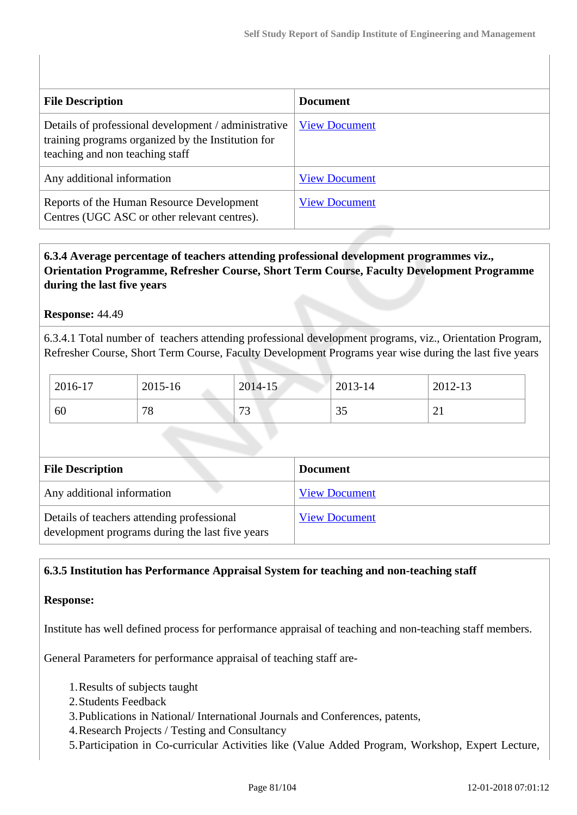| <b>File Description</b>                                                                                                                       | <b>Document</b>      |
|-----------------------------------------------------------------------------------------------------------------------------------------------|----------------------|
| Details of professional development / administrative<br>training programs organized by the Institution for<br>teaching and non teaching staff | <b>View Document</b> |
| Any additional information                                                                                                                    | <b>View Document</b> |
| Reports of the Human Resource Development<br>Centres (UGC ASC or other relevant centres).                                                     | <b>View Document</b> |

## **6.3.4 Average percentage of teachers attending professional development programmes viz., Orientation Programme, Refresher Course, Short Term Course, Faculty Development Programme during the last five years**

**Response:** 44.49

6.3.4.1 Total number of teachers attending professional development programs, viz., Orientation Program, Refresher Course, Short Term Course, Faculty Development Programs year wise during the last five years

| 2016-17 | 2015-16 | 2014-15             | 2013-14        | 2012-13               |
|---------|---------|---------------------|----------------|-----------------------|
| 60      | 78      | $\mathbf{z}$<br>ر ، | $\Omega$<br>JJ | $\bigcap$<br>$\sim$ 1 |

| <b>File Description</b>                                                                       | <b>Document</b>      |
|-----------------------------------------------------------------------------------------------|----------------------|
| Any additional information                                                                    | <b>View Document</b> |
| Details of teachers attending professional<br>development programs during the last five years | <b>View Document</b> |

## **6.3.5 Institution has Performance Appraisal System for teaching and non-teaching staff**

#### **Response:**

Institute has well defined process for performance appraisal of teaching and non-teaching staff members.

General Parameters for performance appraisal of teaching staff are-

- 1.Results of subjects taught
- 2.Students Feedback
- 3.Publications in National/ International Journals and Conferences, patents,
- 4.Research Projects / Testing and Consultancy
- 5.Participation in Co-curricular Activities like (Value Added Program, Workshop, Expert Lecture,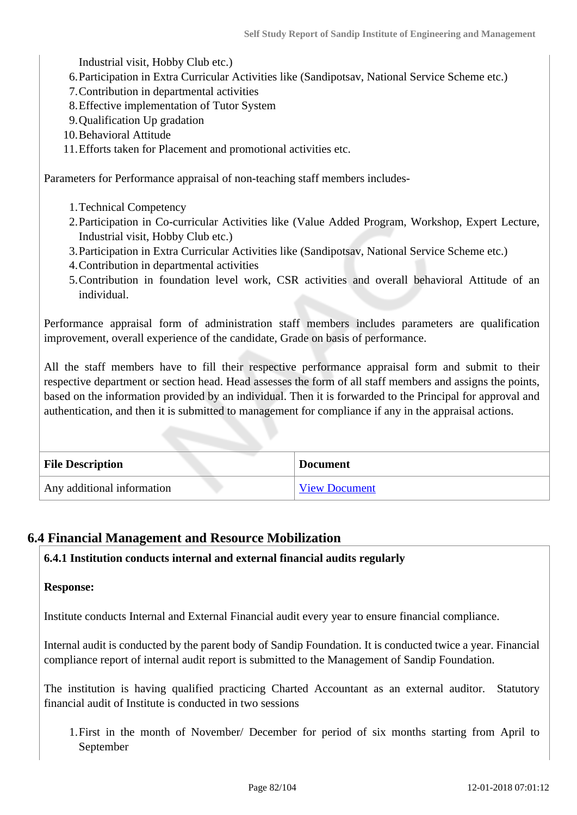Industrial visit, Hobby Club etc.)

- 6.Participation in Extra Curricular Activities like (Sandipotsav, National Service Scheme etc.)
- 7.Contribution in departmental activities
- 8.Effective implementation of Tutor System
- 9.Qualification Up gradation
- 10.Behavioral Attitude
- 11.Efforts taken for Placement and promotional activities etc.

Parameters for Performance appraisal of non-teaching staff members includes-

- 1.Technical Competency
- 2.Participation in Co-curricular Activities like (Value Added Program, Workshop, Expert Lecture, Industrial visit, Hobby Club etc.)
- 3.Participation in Extra Curricular Activities like (Sandipotsav, National Service Scheme etc.)
- 4.Contribution in departmental activities
- 5.Contribution in foundation level work, CSR activities and overall behavioral Attitude of an individual.

Performance appraisal form of administration staff members includes parameters are qualification improvement, overall experience of the candidate, Grade on basis of performance.

All the staff members have to fill their respective performance appraisal form and submit to their respective department or section head. Head assesses the form of all staff members and assigns the points, based on the information provided by an individual. Then it is forwarded to the Principal for approval and authentication, and then it is submitted to management for compliance if any in the appraisal actions.

| <b>File Description</b>    | <b>Document</b> |
|----------------------------|-----------------|
| Any additional information | View Document   |

## **6.4 Financial Management and Resource Mobilization**

#### **6.4.1 Institution conducts internal and external financial audits regularly**

#### **Response:**

Institute conducts Internal and External Financial audit every year to ensure financial compliance.

Internal audit is conducted by the parent body of Sandip Foundation. It is conducted twice a year. Financial compliance report of internal audit report is submitted to the Management of Sandip Foundation.

The institution is having qualified practicing Charted Accountant as an external auditor. Statutory financial audit of Institute is conducted in two sessions

1.First in the month of November/ December for period of six months starting from April to September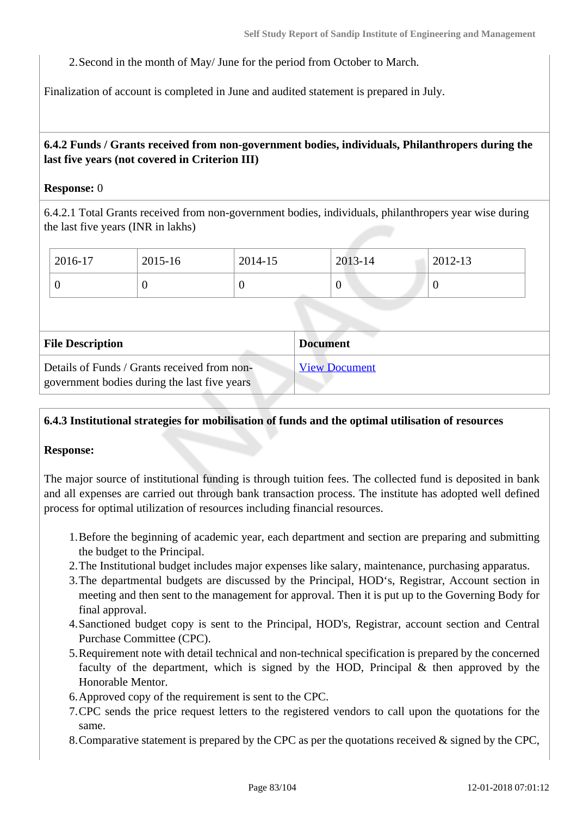2.Second in the month of May/ June for the period from October to March.

Finalization of account is completed in June and audited statement is prepared in July.

## **6.4.2 Funds / Grants received from non-government bodies, individuals, Philanthropers during the last five years (not covered in Criterion III)**

#### **Response:** 0

6.4.2.1 Total Grants received from non-government bodies, individuals, philanthropers year wise during the last five years (INR in lakhs)

| 2016-17 | 2015-16 | 2014-15 | 2013-14 | 2012-13 |
|---------|---------|---------|---------|---------|
|         | ິ       |         | U       |         |

| <b>File Description</b>                                                                      | <b>Document</b>      |
|----------------------------------------------------------------------------------------------|----------------------|
| Details of Funds / Grants received from non-<br>government bodies during the last five years | <b>View Document</b> |

#### **6.4.3 Institutional strategies for mobilisation of funds and the optimal utilisation of resources**

#### **Response:**

The major source of institutional funding is through tuition fees. The collected fund is deposited in bank and all expenses are carried out through bank transaction process. The institute has adopted well defined process for optimal utilization of resources including financial resources.

- 1.Before the beginning of academic year, each department and section are preparing and submitting the budget to the Principal.
- 2.The Institutional budget includes major expenses like salary, maintenance, purchasing apparatus.
- 3.The departmental budgets are discussed by the Principal, HOD's, Registrar, Account section in meeting and then sent to the management for approval. Then it is put up to the Governing Body for final approval.
- 4.Sanctioned budget copy is sent to the Principal, HOD's, Registrar, account section and Central Purchase Committee (CPC).
- 5.Requirement note with detail technical and non-technical specification is prepared by the concerned faculty of the department, which is signed by the HOD, Principal & then approved by the Honorable Mentor.
- 6.Approved copy of the requirement is sent to the CPC.
- 7.CPC sends the price request letters to the registered vendors to call upon the quotations for the same.
- 8.Comparative statement is prepared by the CPC as per the quotations received & signed by the CPC,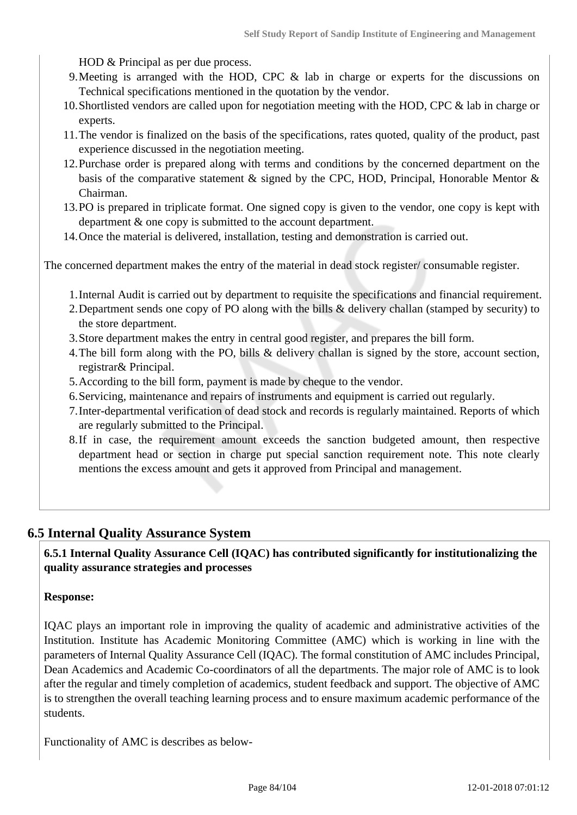HOD & Principal as per due process.

- 9.Meeting is arranged with the HOD, CPC & lab in charge or experts for the discussions on Technical specifications mentioned in the quotation by the vendor.
- 10.Shortlisted vendors are called upon for negotiation meeting with the HOD, CPC & lab in charge or experts.
- 11.The vendor is finalized on the basis of the specifications, rates quoted, quality of the product, past experience discussed in the negotiation meeting.
- 12.Purchase order is prepared along with terms and conditions by the concerned department on the basis of the comparative statement & signed by the CPC, HOD, Principal, Honorable Mentor & Chairman.
- 13.PO is prepared in triplicate format. One signed copy is given to the vendor, one copy is kept with department & one copy is submitted to the account department.
- 14.Once the material is delivered, installation, testing and demonstration is carried out.

The concerned department makes the entry of the material in dead stock register/ consumable register.

- 1.Internal Audit is carried out by department to requisite the specifications and financial requirement.
- 2.Department sends one copy of PO along with the bills & delivery challan (stamped by security) to the store department.
- 3.Store department makes the entry in central good register, and prepares the bill form.
- 4.The bill form along with the PO, bills & delivery challan is signed by the store, account section, registrar& Principal.
- 5.According to the bill form, payment is made by cheque to the vendor.
- 6.Servicing, maintenance and repairs of instruments and equipment is carried out regularly.
- 7.Inter-departmental verification of dead stock and records is regularly maintained. Reports of which are regularly submitted to the Principal.
- 8.If in case, the requirement amount exceeds the sanction budgeted amount, then respective department head or section in charge put special sanction requirement note. This note clearly mentions the excess amount and gets it approved from Principal and management.

## **6.5 Internal Quality Assurance System**

 **6.5.1 Internal Quality Assurance Cell (IQAC) has contributed significantly for institutionalizing the quality assurance strategies and processes**

#### **Response:**

IQAC plays an important role in improving the quality of academic and administrative activities of the Institution. Institute has Academic Monitoring Committee (AMC) which is working in line with the parameters of Internal Quality Assurance Cell (IQAC). The formal constitution of AMC includes Principal, Dean Academics and Academic Co-coordinators of all the departments. The major role of AMC is to look after the regular and timely completion of academics, student feedback and support. The objective of AMC is to strengthen the overall teaching learning process and to ensure maximum academic performance of the students.

Functionality of AMC is describes as below-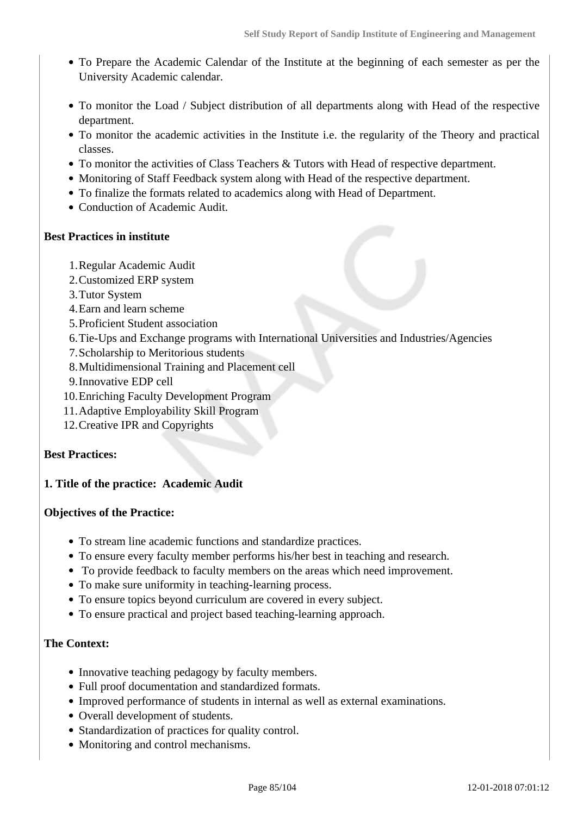- To Prepare the Academic Calendar of the Institute at the beginning of each semester as per the University Academic calendar.
- To monitor the Load / Subject distribution of all departments along with Head of the respective department.
- To monitor the academic activities in the Institute i.e. the regularity of the Theory and practical classes.
- To monitor the activities of Class Teachers & Tutors with Head of respective department.
- Monitoring of Staff Feedback system along with Head of the respective department.
- To finalize the formats related to academics along with Head of Department.
- Conduction of Academic Audit.

### **Best Practices in institute**

- 1.Regular Academic Audit
- 2.Customized ERP system
- 3.Tutor System
- 4.Earn and learn scheme
- 5.Proficient Student association
- 6.Tie-Ups and Exchange programs with International Universities and Industries/Agencies
- 7.Scholarship to Meritorious students
- 8.Multidimensional Training and Placement cell
- 9.Innovative EDP cell
- 10.Enriching Faculty Development Program
- 11.Adaptive Employability Skill Program
- 12.Creative IPR and Copyrights

#### **Best Practices:**

#### **1. Title of the practice: Academic Audit**

#### **Objectives of the Practice:**

- To stream line academic functions and standardize practices.
- To ensure every faculty member performs his/her best in teaching and research.
- To provide feedback to faculty members on the areas which need improvement.
- To make sure uniformity in teaching-learning process.
- To ensure topics beyond curriculum are covered in every subject.
- To ensure practical and project based teaching-learning approach.

#### **The Context:**

- Innovative teaching pedagogy by faculty members.
- Full proof documentation and standardized formats.
- Improved performance of students in internal as well as external examinations.
- Overall development of students.
- Standardization of practices for quality control.
- Monitoring and control mechanisms.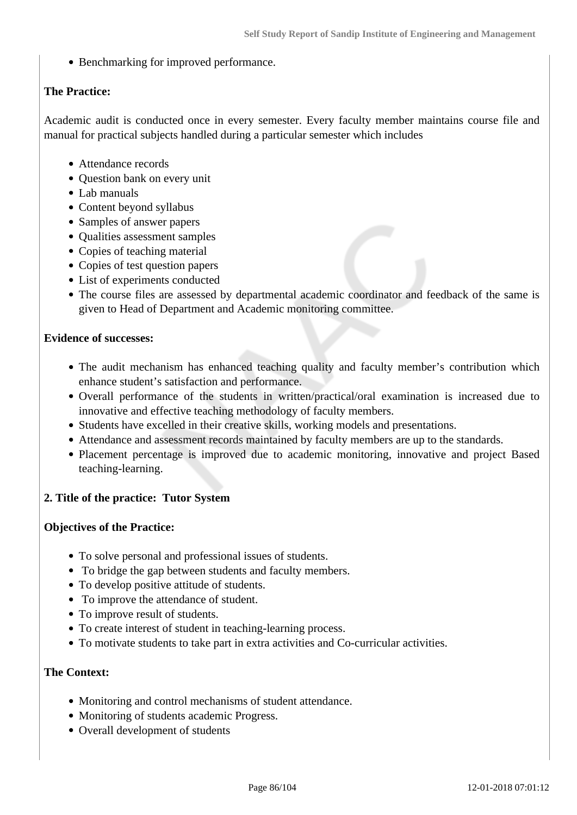• Benchmarking for improved performance.

## **The Practice:**

Academic audit is conducted once in every semester. Every faculty member maintains course file and manual for practical subjects handled during a particular semester which includes

- Attendance records
- Question bank on every unit
- Lab manuals
- Content beyond syllabus
- Samples of answer papers
- Qualities assessment samples
- Copies of teaching material
- Copies of test question papers
- List of experiments conducted
- The course files are assessed by departmental academic coordinator and feedback of the same is given to Head of Department and Academic monitoring committee.

#### **Evidence of successes:**

- The audit mechanism has enhanced teaching quality and faculty member's contribution which enhance student's satisfaction and performance.
- Overall performance of the students in written/practical/oral examination is increased due to innovative and effective teaching methodology of faculty members.
- Students have excelled in their creative skills, working models and presentations.
- Attendance and assessment records maintained by faculty members are up to the standards.
- Placement percentage is improved due to academic monitoring, innovative and project Based teaching-learning.

#### **2. Title of the practice: Tutor System**

#### **Objectives of the Practice:**

- To solve personal and professional issues of students.
- To bridge the gap between students and faculty members.
- To develop positive attitude of students.
- To improve the attendance of student.
- To improve result of students.
- To create interest of student in teaching-learning process.
- To motivate students to take part in extra activities and Co-curricular activities.

#### **The Context:**

- Monitoring and control mechanisms of student attendance.
- Monitoring of students academic Progress.
- Overall development of students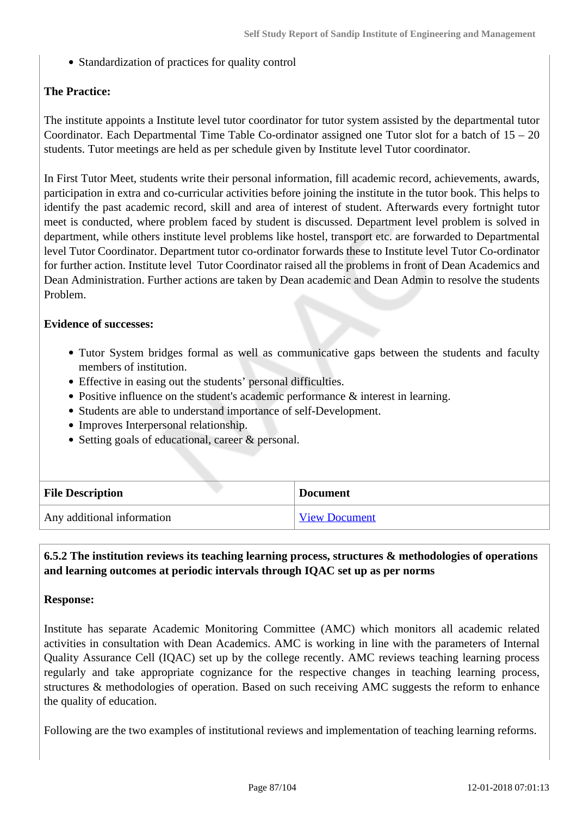• Standardization of practices for quality control

## **The Practice:**

The institute appoints a Institute level tutor coordinator for tutor system assisted by the departmental tutor Coordinator. Each Departmental Time Table Co-ordinator assigned one Tutor slot for a batch of  $15 - 20$ students. Tutor meetings are held as per schedule given by Institute level Tutor coordinator.

In First Tutor Meet, students write their personal information, fill academic record, achievements, awards, participation in extra and co-curricular activities before joining the institute in the tutor book. This helps to identify the past academic record, skill and area of interest of student. Afterwards every fortnight tutor meet is conducted, where problem faced by student is discussed. Department level problem is solved in department, while others institute level problems like hostel, transport etc. are forwarded to Departmental level Tutor Coordinator. Department tutor co-ordinator forwards these to Institute level Tutor Co-ordinator for further action. Institute level Tutor Coordinator raised all the problems in front of Dean Academics and Dean Administration. Further actions are taken by Dean academic and Dean Admin to resolve the students Problem.

#### **Evidence of successes:**

- Tutor System bridges formal as well as communicative gaps between the students and faculty members of institution.
- Effective in easing out the students' personal difficulties.
- Positive influence on the student's academic performance  $\&$  interest in learning.
- Students are able to understand importance of self-Development.
- Improves Interpersonal relationship.
- Setting goals of educational, career & personal.

| <b>File Description</b>    | <b>Document</b>      |
|----------------------------|----------------------|
| Any additional information | <b>View Document</b> |

## **6.5.2 The institution reviews its teaching learning process, structures & methodologies of operations and learning outcomes at periodic intervals through IQAC set up as per norms**

#### **Response:**

Institute has separate Academic Monitoring Committee (AMC) which monitors all academic related activities in consultation with Dean Academics. AMC is working in line with the parameters of Internal Quality Assurance Cell (IQAC) set up by the college recently. AMC reviews teaching learning process regularly and take appropriate cognizance for the respective changes in teaching learning process, structures & methodologies of operation. Based on such receiving AMC suggests the reform to enhance the quality of education.

Following are the two examples of institutional reviews and implementation of teaching learning reforms.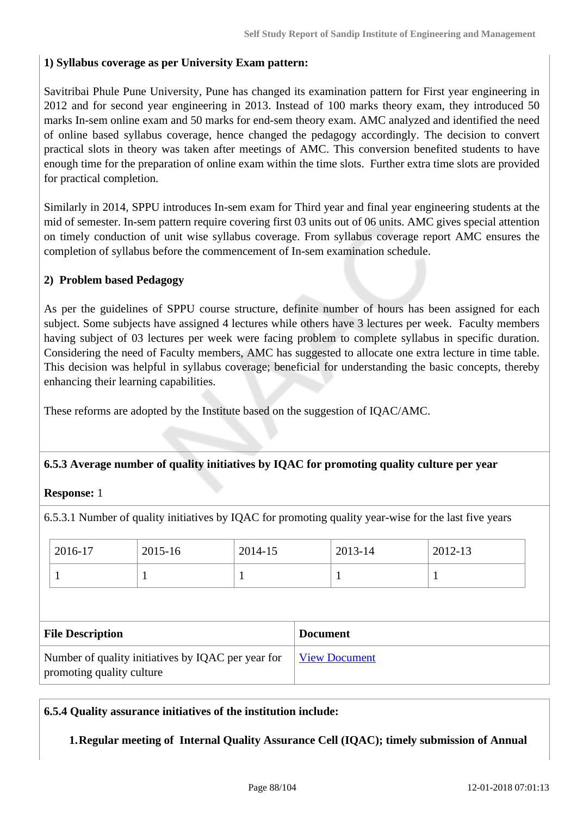#### **1) Syllabus coverage as per University Exam pattern:**

Savitribai Phule Pune University, Pune has changed its examination pattern for First year engineering in 2012 and for second year engineering in 2013. Instead of 100 marks theory exam, they introduced 50 marks In-sem online exam and 50 marks for end-sem theory exam. AMC analyzed and identified the need of online based syllabus coverage, hence changed the pedagogy accordingly. The decision to convert practical slots in theory was taken after meetings of AMC. This conversion benefited students to have enough time for the preparation of online exam within the time slots. Further extra time slots are provided for practical completion.

Similarly in 2014, SPPU introduces In-sem exam for Third year and final year engineering students at the mid of semester. In-sem pattern require covering first 03 units out of 06 units. AMC gives special attention on timely conduction of unit wise syllabus coverage. From syllabus coverage report AMC ensures the completion of syllabus before the commencement of In-sem examination schedule.

#### **2) Problem based Pedagogy**

As per the guidelines of SPPU course structure, definite number of hours has been assigned for each subject. Some subjects have assigned 4 lectures while others have 3 lectures per week. Faculty members having subject of 03 lectures per week were facing problem to complete syllabus in specific duration. Considering the need of Faculty members, AMC has suggested to allocate one extra lecture in time table. This decision was helpful in syllabus coverage; beneficial for understanding the basic concepts, thereby enhancing their learning capabilities.

These reforms are adopted by the Institute based on the suggestion of IQAC/AMC.

#### **6.5.3 Average number of quality initiatives by IQAC for promoting quality culture per year**

#### **Response:** 1

6.5.3.1 Number of quality initiatives by IQAC for promoting quality year-wise for the last five years

| 2016-17 | 2015-16 | 2014-15 | 2013-14 | 2012-13 |
|---------|---------|---------|---------|---------|
|         |         |         |         |         |

| <b>File Description</b>                                                         | <b>Document</b> |
|---------------------------------------------------------------------------------|-----------------|
| Number of quality initiatives by IQAC per year for<br>promoting quality culture | View Document   |

#### **6.5.4 Quality assurance initiatives of the institution include:**

**1.Regular meeting of Internal Quality Assurance Cell (IQAC); timely submission of Annual**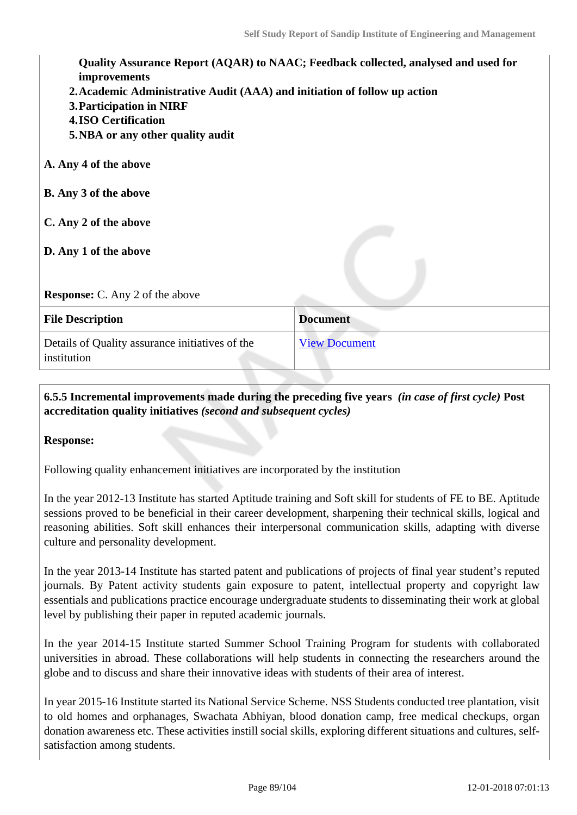| Quality Assurance Report (AQAR) to NAAC; Feedback collected, analysed and used for<br>improvements<br>2. Academic Administrative Audit (AAA) and initiation of follow up action<br>3. Participation in NIRF<br><b>4.ISO Certification</b><br>5. NBA or any other quality audit |                      |  |
|--------------------------------------------------------------------------------------------------------------------------------------------------------------------------------------------------------------------------------------------------------------------------------|----------------------|--|
| A. Any 4 of the above                                                                                                                                                                                                                                                          |                      |  |
| <b>B.</b> Any 3 of the above                                                                                                                                                                                                                                                   |                      |  |
| C. Any 2 of the above                                                                                                                                                                                                                                                          |                      |  |
| D. Any 1 of the above<br><b>Response:</b> C. Any 2 of the above                                                                                                                                                                                                                |                      |  |
| <b>File Description</b>                                                                                                                                                                                                                                                        | <b>Document</b>      |  |
| Details of Quality assurance initiatives of the<br>institution                                                                                                                                                                                                                 | <b>View Document</b> |  |

## **6.5.5 Incremental improvements made during the preceding five years** *(in case of first cycle)* **Post accreditation quality initiatives** *(second and subsequent cycles)*

**Response:** 

Following quality enhancement initiatives are incorporated by the institution

In the year 2012-13 Institute has started Aptitude training and Soft skill for students of FE to BE. Aptitude sessions proved to be beneficial in their career development, sharpening their technical skills, logical and reasoning abilities. Soft skill enhances their interpersonal communication skills, adapting with diverse culture and personality development.

In the year 2013-14 Institute has started patent and publications of projects of final year student's reputed journals. By Patent activity students gain exposure to patent, intellectual property and copyright law essentials and publications practice encourage undergraduate students to disseminating their work at global level by publishing their paper in reputed academic journals.

In the year 2014-15 Institute started Summer School Training Program for students with collaborated universities in abroad. These collaborations will help students in connecting the researchers around the globe and to discuss and share their innovative ideas with students of their area of interest.

In year 2015-16 Institute started its National Service Scheme. NSS Students conducted tree plantation, visit to old homes and orphanages, Swachata Abhiyan, blood donation camp, free medical checkups, organ donation awareness etc. These activities instill social skills, exploring different situations and cultures, selfsatisfaction among students.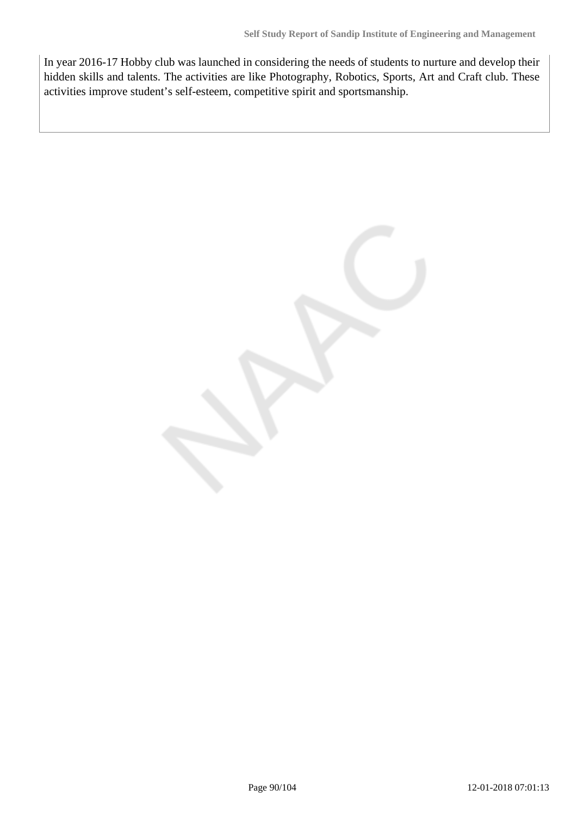In year 2016-17 Hobby club was launched in considering the needs of students to nurture and develop their hidden skills and talents. The activities are like Photography, Robotics, Sports, Art and Craft club. These activities improve student's self-esteem, competitive spirit and sportsmanship.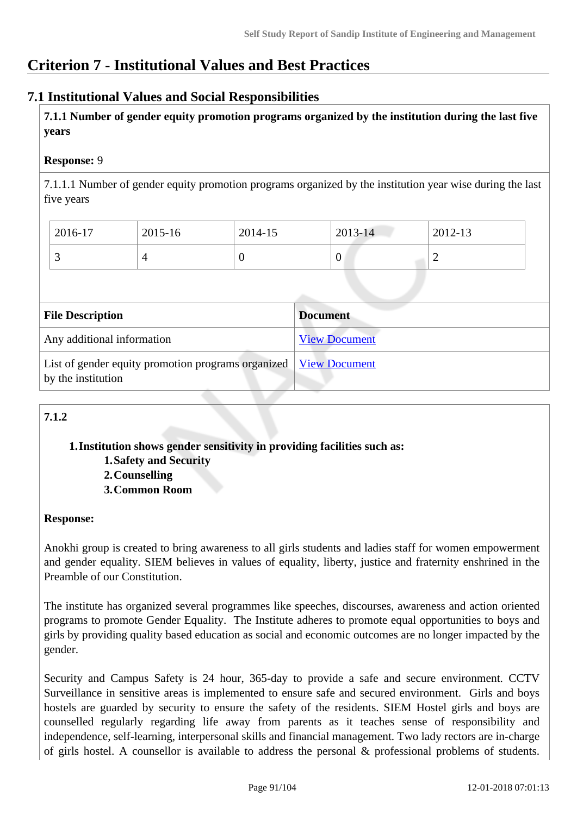# **Criterion 7 - Institutional Values and Best Practices**

## **7.1 Institutional Values and Social Responsibilities**

 **7.1.1 Number of gender equity promotion programs organized by the institution during the last five years** 

## **Response:** 9

7.1.1.1 Number of gender equity promotion programs organized by the institution year wise during the last five years

| 2016-17 | 2015-16 | 2014-15 | 2013-14 | 2012-13 |
|---------|---------|---------|---------|---------|
|         |         | ν       | 0       | ∽       |

| <b>File Description</b>                                                                       | <b>Document</b>      |
|-----------------------------------------------------------------------------------------------|----------------------|
| Any additional information                                                                    | <b>View Document</b> |
| List of gender equity promotion programs organized <u>View Document</u><br>by the institution |                      |

## **7.1.2**

#### **1.Institution shows gender sensitivity in providing facilities such as: 1.Safety and Security 2.Counselling**

**3.Common Room**

#### **Response:**

Anokhi group is created to bring awareness to all girls students and ladies staff for women empowerment and gender equality. SIEM believes in values of equality, liberty, justice and fraternity enshrined in the Preamble of our Constitution.

The institute has organized several programmes like speeches, discourses, awareness and action oriented programs to promote Gender Equality. The Institute adheres to promote equal opportunities to boys and girls by providing quality based education as social and economic outcomes are no longer impacted by the gender.

Security and Campus Safety is 24 hour, 365-day to provide a safe and secure environment. CCTV Surveillance in sensitive areas is implemented to ensure safe and secured environment. Girls and boys hostels are guarded by security to ensure the safety of the residents. SIEM Hostel girls and boys are counselled regularly regarding life away from parents as it teaches sense of responsibility and independence, self-learning, interpersonal skills and financial management. Two lady rectors are in-charge of girls hostel. A counsellor is available to address the personal & professional problems of students.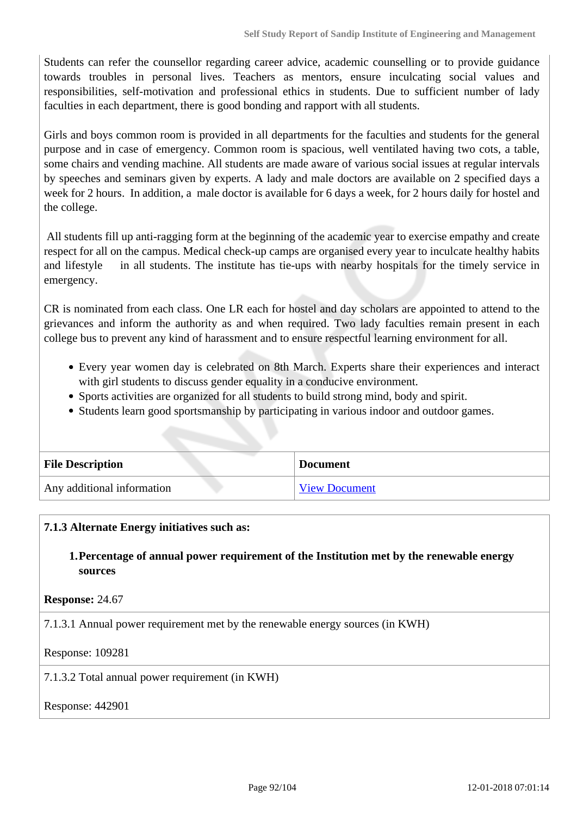Students can refer the counsellor regarding career advice, academic counselling or to provide guidance towards troubles in personal lives. Teachers as mentors, ensure inculcating social values and responsibilities, self-motivation and professional ethics in students. Due to sufficient number of lady faculties in each department, there is good bonding and rapport with all students.

Girls and boys common room is provided in all departments for the faculties and students for the general purpose and in case of emergency. Common room is spacious, well ventilated having two cots, a table, some chairs and vending machine. All students are made aware of various social issues at regular intervals by speeches and seminars given by experts. A lady and male doctors are available on 2 specified days a week for 2 hours. In addition, a male doctor is available for 6 days a week, for 2 hours daily for hostel and the college.

 All students fill up anti-ragging form at the beginning of the academic year to exercise empathy and create respect for all on the campus. Medical check-up camps are organised every year to inculcate healthy habits and lifestyle in all students. The institute has tie-ups with nearby hospitals for the timely service in emergency.

CR is nominated from each class. One LR each for hostel and day scholars are appointed to attend to the grievances and inform the authority as and when required. Two lady faculties remain present in each college bus to prevent any kind of harassment and to ensure respectful learning environment for all.

- Every year women day is celebrated on 8th March. Experts share their experiences and interact with girl students to discuss gender equality in a conducive environment.
- Sports activities are organized for all students to build strong mind, body and spirit.
- Students learn good sportsmanship by participating in various indoor and outdoor games.

| <b>File Description</b>    | <b>Document</b>      |
|----------------------------|----------------------|
| Any additional information | <b>View Document</b> |

#### **7.1.3 Alternate Energy initiatives such as:**

## **1.Percentage of annual power requirement of the Institution met by the renewable energy sources**

#### **Response:** 24.67

7.1.3.1 Annual power requirement met by the renewable energy sources (in KWH)

#### Response: 109281

7.1.3.2 Total annual power requirement (in KWH)

#### Response: 442901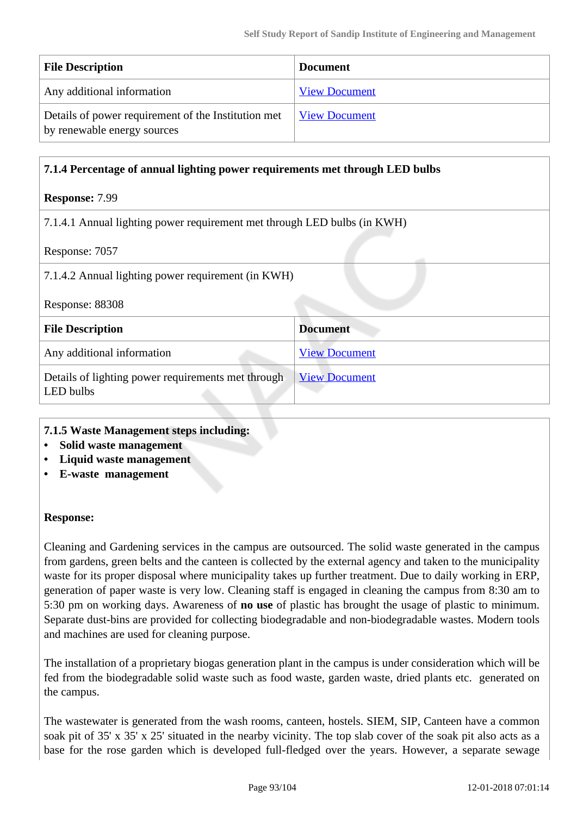| <b>File Description</b>                                                            | <b>Document</b>      |
|------------------------------------------------------------------------------------|----------------------|
| Any additional information                                                         | <b>View Document</b> |
| Details of power requirement of the Institution met<br>by renewable energy sources | <b>View Document</b> |

#### **7.1.4 Percentage of annual lighting power requirements met through LED bulbs**

#### **Response:** 7.99

7.1.4.1 Annual lighting power requirement met through LED bulbs (in KWH)

Response: 7057

| 7.1.4.2 Annual lighting power requirement (in KWH) |  |
|----------------------------------------------------|--|
| Response: 88308                                    |  |

| <b>File Description</b>                                         | <b>Document</b>      |
|-----------------------------------------------------------------|----------------------|
| Any additional information                                      | <b>View Document</b> |
| Details of lighting power requirements met through<br>LED bulbs | <b>View Document</b> |

#### **7.1.5 Waste Management steps including:**

- **Solid waste management**
- **Liquid waste management**
- **E-waste management**

#### **Response:**

Cleaning and Gardening services in the campus are outsourced. The solid waste generated in the campus from gardens, green belts and the canteen is collected by the external agency and taken to the municipality waste for its proper disposal where municipality takes up further treatment. Due to daily working in ERP, generation of paper waste is very low. Cleaning staff is engaged in cleaning the campus from 8:30 am to 5:30 pm on working days. Awareness of **no use** of plastic has brought the usage of plastic to minimum. Separate dust-bins are provided for collecting biodegradable and non-biodegradable wastes. Modern tools and machines are used for cleaning purpose.

The installation of a proprietary biogas generation plant in the campus is under consideration which will be fed from the biodegradable solid waste such as food waste, garden waste, dried plants etc. generated on the campus.

The wastewater is generated from the wash rooms, canteen, hostels. SIEM, SIP, Canteen have a common soak pit of 35' x 35' x 25' situated in the nearby vicinity. The top slab cover of the soak pit also acts as a base for the rose garden which is developed full-fledged over the years. However, a separate sewage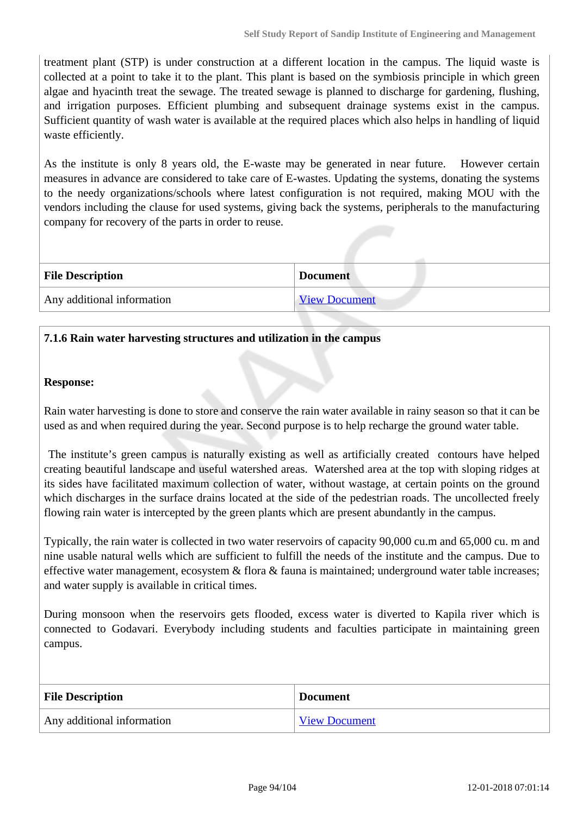treatment plant (STP) is under construction at a different location in the campus. The liquid waste is collected at a point to take it to the plant. This plant is based on the symbiosis principle in which green algae and hyacinth treat the sewage. The treated sewage is planned to discharge for gardening, flushing, and irrigation purposes. Efficient plumbing and subsequent drainage systems exist in the campus. Sufficient quantity of wash water is available at the required places which also helps in handling of liquid waste efficiently.

As the institute is only 8 years old, the E-waste may be generated in near future. However certain measures in advance are considered to take care of E-wastes. Updating the systems, donating the systems to the needy organizations/schools where latest configuration is not required, making MOU with the vendors including the clause for used systems, giving back the systems, peripherals to the manufacturing company for recovery of the parts in order to reuse.

| <b>File Description</b>    | <b>Document</b>      |
|----------------------------|----------------------|
| Any additional information | <b>View Document</b> |

## **7.1.6 Rain water harvesting structures and utilization in the campus**

#### **Response:**

Rain water harvesting is done to store and conserve the rain water available in rainy season so that it can be used as and when required during the year. Second purpose is to help recharge the ground water table.

 The institute's green campus is naturally existing as well as artificially created contours have helped creating beautiful landscape and useful watershed areas. Watershed area at the top with sloping ridges at its sides have facilitated maximum collection of water, without wastage, at certain points on the ground which discharges in the surface drains located at the side of the pedestrian roads. The uncollected freely flowing rain water is intercepted by the green plants which are present abundantly in the campus.

Typically, the rain water is collected in two water reservoirs of capacity 90,000 cu.m and 65,000 cu. m and nine usable natural wells which are sufficient to fulfill the needs of the institute and the campus. Due to effective water management, ecosystem & flora & fauna is maintained; underground water table increases; and water supply is available in critical times.

During monsoon when the reservoirs gets flooded, excess water is diverted to Kapila river which is connected to Godavari. Everybody including students and faculties participate in maintaining green campus.

| <b>File Description</b>    | <b>Document</b>      |
|----------------------------|----------------------|
| Any additional information | <b>View Document</b> |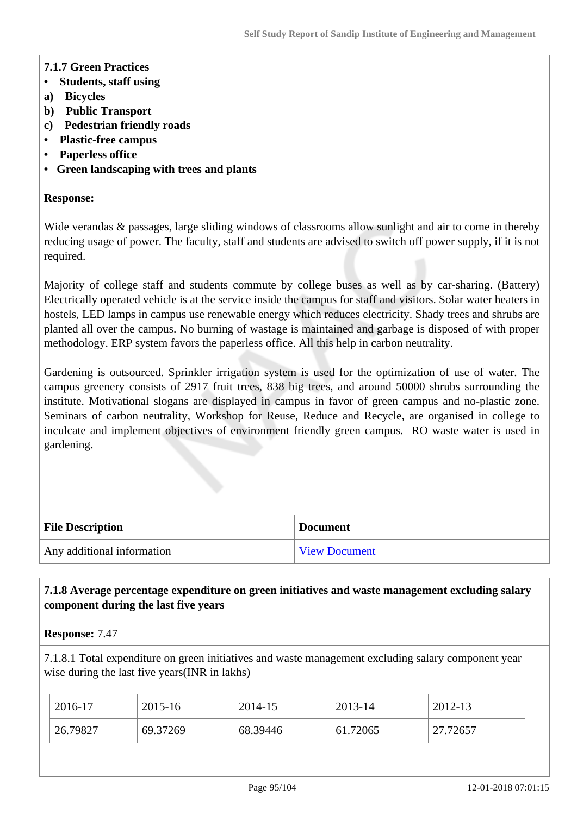#### **7.1.7 Green Practices**

- **Students, staff using**
- **a) Bicycles**
- **b) Public Transport**
- **c) Pedestrian friendly roads**
- **Plastic-free campus**
- **Paperless office**
- **Green landscaping with trees and plants**

#### **Response:**

Wide verandas & passages, large sliding windows of classrooms allow sunlight and air to come in thereby reducing usage of power. The faculty, staff and students are advised to switch off power supply, if it is not required.

Majority of college staff and students commute by college buses as well as by car-sharing. (Battery) Electrically operated vehicle is at the service inside the campus for staff and visitors. Solar water heaters in hostels, LED lamps in campus use renewable energy which reduces electricity. Shady trees and shrubs are planted all over the campus. No burning of wastage is maintained and garbage is disposed of with proper methodology. ERP system favors the paperless office. All this help in carbon neutrality.

Gardening is outsourced. Sprinkler irrigation system is used for the optimization of use of water. The campus greenery consists of 2917 fruit trees, 838 big trees, and around 50000 shrubs surrounding the institute. Motivational slogans are displayed in campus in favor of green campus and no-plastic zone. Seminars of carbon neutrality, Workshop for Reuse, Reduce and Recycle, are organised in college to inculcate and implement objectives of environment friendly green campus. RO waste water is used in gardening.

| <b>File Description</b>    | <b>Document</b>      |
|----------------------------|----------------------|
| Any additional information | <b>View Document</b> |

## **7.1.8 Average percentage expenditure on green initiatives and waste management excluding salary component during the last five years**

#### **Response:** 7.47

7.1.8.1 Total expenditure on green initiatives and waste management excluding salary component year wise during the last five years(INR in lakhs)

| 2016-17  | 2015-16  | 2014-15  | 2013-14  | 2012-13  |
|----------|----------|----------|----------|----------|
| 26.79827 | 69.37269 | 68.39446 | 61.72065 | 27.72657 |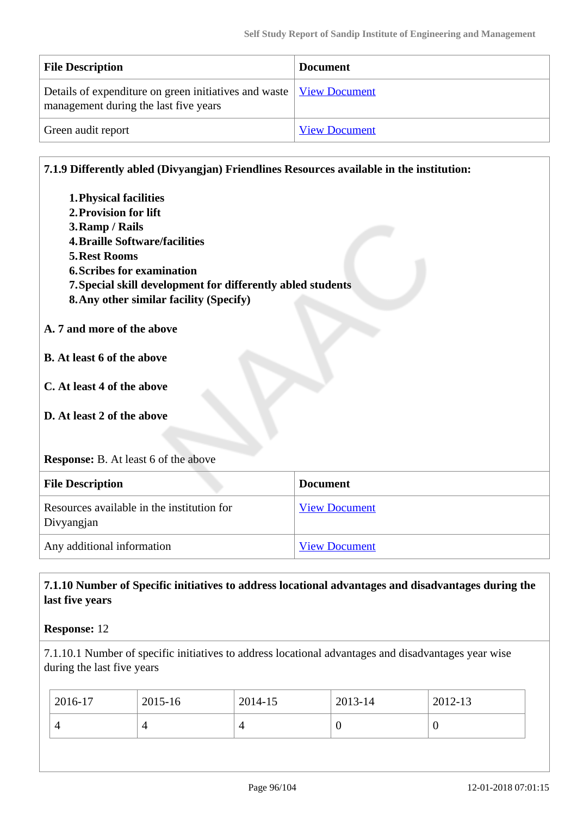| <b>File Description</b>                                                                                        | <b>Document</b>      |
|----------------------------------------------------------------------------------------------------------------|----------------------|
| Details of expenditure on green initiatives and waste   View Document<br>management during the last five years |                      |
| Green audit report                                                                                             | <b>View Document</b> |

| 7.1.9 Differently abled (Divyangjan) Friendlines Resources available in the institution:                                    |                      |
|-----------------------------------------------------------------------------------------------------------------------------|----------------------|
| 1. Physical facilities                                                                                                      |                      |
| 2. Provision for lift                                                                                                       |                      |
| 3. Ramp / Rails                                                                                                             |                      |
| <b>4. Braille Software/facilities</b>                                                                                       |                      |
| <b>5. Rest Rooms</b>                                                                                                        |                      |
| <b>6. Scribes for examination</b>                                                                                           |                      |
| 7. Special skill development for differently abled students                                                                 |                      |
| 8. Any other similar facility (Specify)                                                                                     |                      |
| A. 7 and more of the above<br><b>B.</b> At least 6 of the above<br>C. At least 4 of the above<br>D. At least 2 of the above |                      |
| <b>Response:</b> B. At least 6 of the above                                                                                 |                      |
| <b>File Description</b>                                                                                                     | <b>Document</b>      |
| Resources available in the institution for<br>Divyangjan                                                                    | <b>View Document</b> |
| Any additional information                                                                                                  | <b>View Document</b> |
|                                                                                                                             |                      |

## **7.1.10 Number of Specific initiatives to address locational advantages and disadvantages during the last five years**

## **Response:** 12

7.1.10.1 Number of specific initiatives to address locational advantages and disadvantages year wise during the last five years

|        | 2016-17 | 2015-16 | 2014-15 | 2013-14 | 2012-13 |
|--------|---------|---------|---------|---------|---------|
| ິ<br>ν |         |         |         |         |         |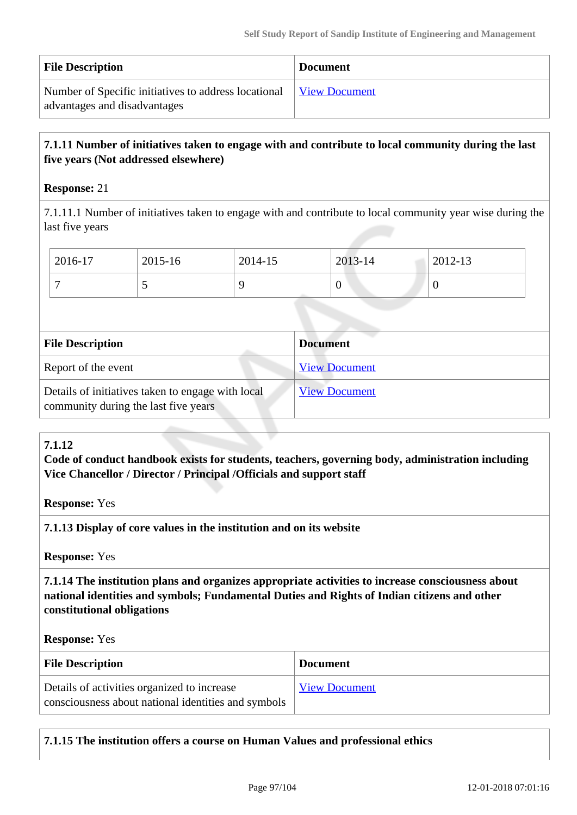| <b>File Description</b>                                                              | <b>Document</b> |
|--------------------------------------------------------------------------------------|-----------------|
| Number of Specific initiatives to address locational<br>advantages and disadvantages | View Document   |

## **7.1.11 Number of initiatives taken to engage with and contribute to local community during the last five years (Not addressed elsewhere)**

#### **Response:** 21

7.1.11.1 Number of initiatives taken to engage with and contribute to local community year wise during the last five years

| 2016-17 | 2015-16 | 2014-15 | 2013-14 | 2012-13 |
|---------|---------|---------|---------|---------|
|         | ັ       |         |         | ν       |

| <b>File Description</b>                                                                   | <b>Document</b>      |
|-------------------------------------------------------------------------------------------|----------------------|
| Report of the event                                                                       | <b>View Document</b> |
| Details of initiatives taken to engage with local<br>community during the last five years | <b>View Document</b> |

## **7.1.12**

**Code of conduct handbook exists for students, teachers, governing body, administration including Vice Chancellor / Director / Principal /Officials and support staff**

**Response:** Yes

**7.1.13 Display of core values in the institution and on its website**

**Response:** Yes

 **7.1.14 The institution plans and organizes appropriate activities to increase consciousness about national identities and symbols; Fundamental Duties and Rights of Indian citizens and other constitutional obligations**

**Response:** Yes

| <b>File Description</b>                                                                            | <b>Document</b>      |
|----------------------------------------------------------------------------------------------------|----------------------|
| Details of activities organized to increase<br>consciousness about national identities and symbols | <b>View Document</b> |

## **7.1.15 The institution offers a course on Human Values and professional ethics**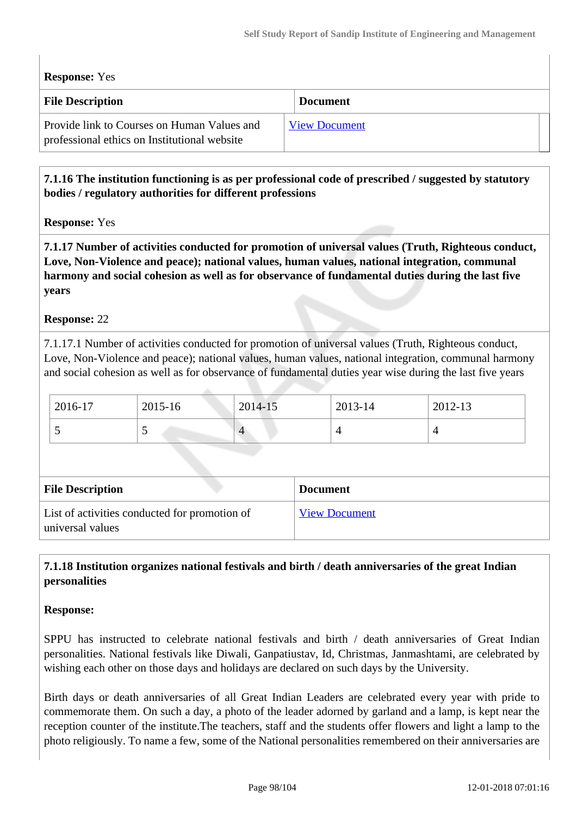| <b>Response:</b> Yes                                                                        |                      |
|---------------------------------------------------------------------------------------------|----------------------|
| <b>File Description</b>                                                                     | <b>Document</b>      |
| Provide link to Courses on Human Values and<br>professional ethics on Institutional website | <b>View Document</b> |

## **7.1.16 The institution functioning is as per professional code of prescribed / suggested by statutory bodies / regulatory authorities for different professions**

## **Response:** Yes

 **7.1.17 Number of activities conducted for promotion of universal values (Truth, Righteous conduct, Love, Non-Violence and peace); national values, human values, national integration, communal harmony and social cohesion as well as for observance of fundamental duties during the last five years**

## **Response:** 22

7.1.17.1 Number of activities conducted for promotion of universal values (Truth, Righteous conduct, Love, Non-Violence and peace); national values, human values, national integration, communal harmony and social cohesion as well as for observance of fundamental duties year wise during the last five years

| 2016-17 | 2015-16 | 2014-15  | 2013-14 | 2012-13 |
|---------|---------|----------|---------|---------|
| ັ       |         | $\Delta$ | ⊣       |         |

| <b>File Description</b>                                           | <b>Document</b>      |
|-------------------------------------------------------------------|----------------------|
| List of activities conducted for promotion of<br>universal values | <b>View Document</b> |

## **7.1.18 Institution organizes national festivals and birth / death anniversaries of the great Indian personalities**

#### **Response:**

SPPU has instructed to celebrate national festivals and birth / death anniversaries of Great Indian personalities. National festivals like Diwali, Ganpatiustav, Id, Christmas, Janmashtami, are celebrated by wishing each other on those days and holidays are declared on such days by the University.

Birth days or death anniversaries of all Great Indian Leaders are celebrated every year with pride to commemorate them. On such a day, a photo of the leader adorned by garland and a lamp, is kept near the reception counter of the institute.The teachers, staff and the students offer flowers and light a lamp to the photo religiously. To name a few, some of the National personalities remembered on their anniversaries are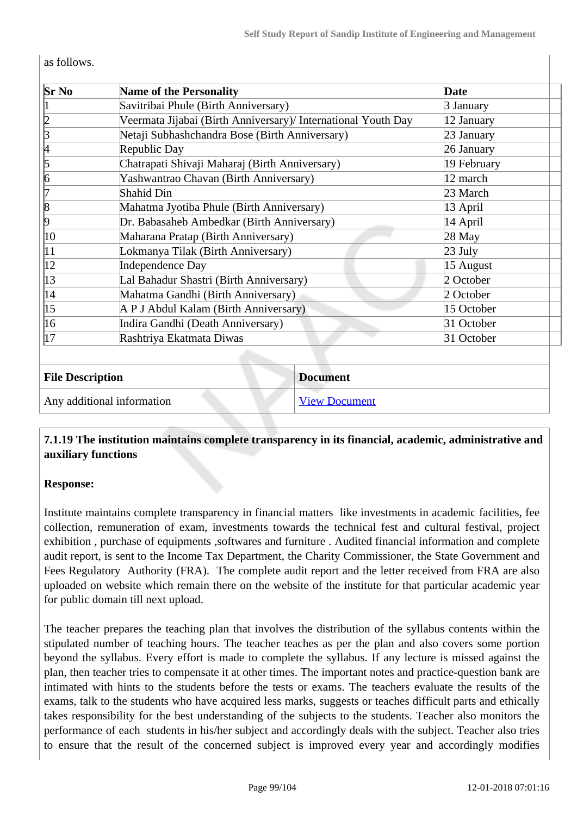as follows.

| <b>Sr No</b> | <b>Name of the Personality</b>                                | Date        |
|--------------|---------------------------------------------------------------|-------------|
|              | Savitribai Phule (Birth Anniversary)                          | 3 January   |
|              | Veermata Jijabai (Birth Anniversary)/ International Youth Day | 12 January  |
|              | Netaji Subhashchandra Bose (Birth Anniversary)                | 23 January  |
|              | Republic Day                                                  | 26 January  |
|              | Chatrapati Shivaji Maharaj (Birth Anniversary)                | 19 February |
|              | Yashwantrao Chavan (Birth Anniversary)                        | 12 march    |
|              | Shahid Din                                                    | 23 March    |
|              | Mahatma Jyotiba Phule (Birth Anniversary)                     | 13 April    |
|              | Dr. Babasaheb Ambedkar (Birth Anniversary)                    | 14 April    |
| 10           | Maharana Pratap (Birth Anniversary)                           | $28$ May    |
| 11           | Lokmanya Tilak (Birth Anniversary)                            | $23$ July   |
| $ 12\rangle$ | <b>Independence Day</b>                                       | 15 August   |
| 13           | Lal Bahadur Shastri (Birth Anniversary)                       | 2 October   |
| 14           | Mahatma Gandhi (Birth Anniversary)                            | 2 October   |
| 15           | A P J Abdul Kalam (Birth Anniversary)                         | 15 October  |
| 16           | Indira Gandhi (Death Anniversary)                             | 31 October  |
| 17           | Rashtriya Ekatmata Diwas                                      | 31 October  |

| <b>File Description</b>    | <b>Document</b>      |
|----------------------------|----------------------|
| Any additional information | <b>View Document</b> |

## **7.1.19 The institution maintains complete transparency in its financial, academic, administrative and auxiliary functions**

#### **Response:**

Institute maintains complete transparency in financial matters like investments in academic facilities, fee collection, remuneration of exam, investments towards the technical fest and cultural festival, project exhibition , purchase of equipments ,softwares and furniture . Audited financial information and complete audit report, is sent to the Income Tax Department, the Charity Commissioner, the State Government and Fees Regulatory Authority (FRA). The complete audit report and the letter received from FRA are also uploaded on website which remain there on the website of the institute for that particular academic year for public domain till next upload.

The teacher prepares the teaching plan that involves the distribution of the syllabus contents within the stipulated number of teaching hours. The teacher teaches as per the plan and also covers some portion beyond the syllabus. Every effort is made to complete the syllabus. If any lecture is missed against the plan, then teacher tries to compensate it at other times. The important notes and practice-question bank are intimated with hints to the students before the tests or exams. The teachers evaluate the results of the exams, talk to the students who have acquired less marks, suggests or teaches difficult parts and ethically takes responsibility for the best understanding of the subjects to the students. Teacher also monitors the performance of each students in his/her subject and accordingly deals with the subject. Teacher also tries to ensure that the result of the concerned subject is improved every year and accordingly modifies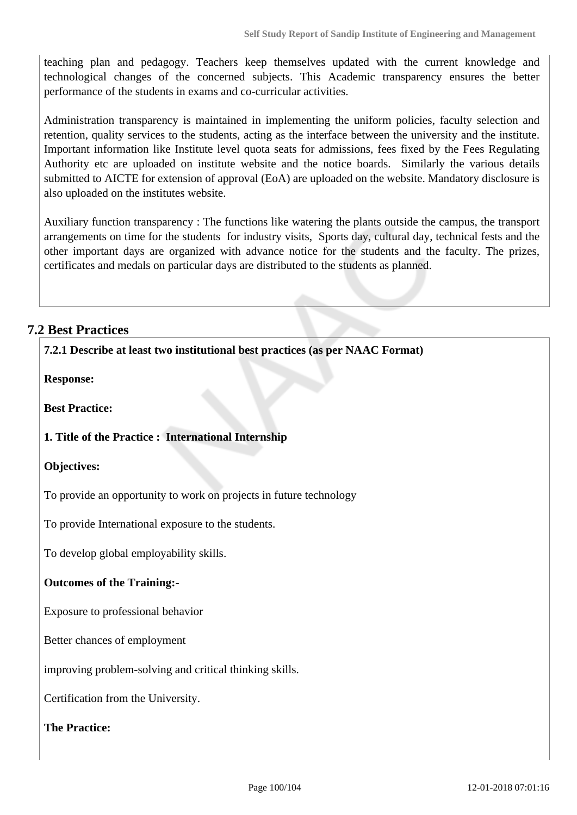teaching plan and pedagogy. Teachers keep themselves updated with the current knowledge and technological changes of the concerned subjects. This Academic transparency ensures the better performance of the students in exams and co-curricular activities.

Administration transparency is maintained in implementing the uniform policies, faculty selection and retention, quality services to the students, acting as the interface between the university and the institute. Important information like Institute level quota seats for admissions, fees fixed by the Fees Regulating Authority etc are uploaded on institute website and the notice boards. Similarly the various details submitted to AICTE for extension of approval (EoA) are uploaded on the website. Mandatory disclosure is also uploaded on the institutes website.

Auxiliary function transparency : The functions like watering the plants outside the campus, the transport arrangements on time for the students for industry visits, Sports day, cultural day, technical fests and the other important days are organized with advance notice for the students and the faculty. The prizes, certificates and medals on particular days are distributed to the students as planned.

## **7.2 Best Practices**

| 7.2.1 Describe at least two institutional best practices (as per NAAC Format) |
|-------------------------------------------------------------------------------|
| <b>Response:</b>                                                              |
| <b>Best Practice:</b>                                                         |
| 1. Title of the Practice : International Internship                           |
| Objectives:                                                                   |
| To provide an opportunity to work on projects in future technology            |
| To provide International exposure to the students.                            |
| To develop global employability skills.                                       |
| <b>Outcomes of the Training:-</b>                                             |
| Exposure to professional behavior                                             |
| Better chances of employment                                                  |
| improving problem-solving and critical thinking skills.                       |
| Certification from the University.                                            |
| <b>The Practice:</b>                                                          |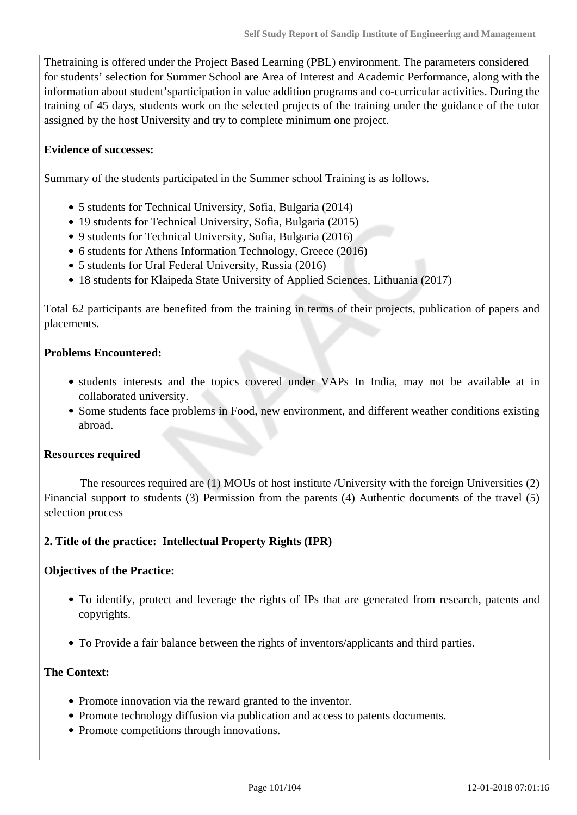Thetraining is offered under the Project Based Learning (PBL) environment. The parameters considered for students' selection for Summer School are Area of Interest and Academic Performance, along with the information about student'sparticipation in value addition programs and co-curricular activities. During the training of 45 days, students work on the selected projects of the training under the guidance of the tutor assigned by the host University and try to complete minimum one project.

#### **Evidence of successes:**

Summary of the students participated in the Summer school Training is as follows.

- 5 students for Technical University, Sofia, Bulgaria (2014)
- 19 students for Technical University, Sofia, Bulgaria (2015)
- 9 students for Technical University, Sofia, Bulgaria (2016)
- 6 students for Athens Information Technology, Greece (2016)
- 5 students for Ural Federal University, Russia (2016)
- 18 students for Klaipeda State University of Applied Sciences, Lithuania (2017)

Total 62 participants are benefited from the training in terms of their projects, publication of papers and placements.

#### **Problems Encountered:**

- students interests and the topics covered under VAPs In India, may not be available at in collaborated university.
- Some students face problems in Food, new environment, and different weather conditions existing abroad.

#### **Resources required**

 The resources required are (1) MOUs of host institute /University with the foreign Universities (2) Financial support to students (3) Permission from the parents (4) Authentic documents of the travel (5) selection process

#### **2. Title of the practice: Intellectual Property Rights (IPR)**

#### **Objectives of the Practice:**

- To identify, protect and leverage the rights of IPs that are generated from research, patents and copyrights.
- To Provide a fair balance between the rights of inventors/applicants and third parties.

#### **The Context:**

- Promote innovation via the reward granted to the inventor.
- Promote technology diffusion via publication and access to patents documents.
- Promote competitions through innovations.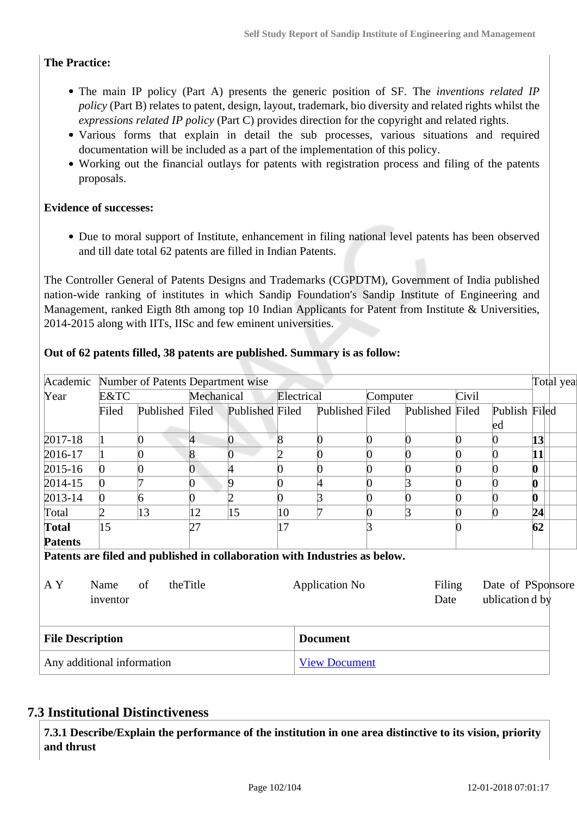## **The Practice:**

- The main IP policy (Part A) presents the generic position of SF. The *inventions related IP policy* (Part B) relates to patent, design, layout, trademark, bio diversity and related rights whilst the *expressions related IP policy* (Part C) provides direction for the copyright and related rights.
- Various forms that explain in detail the sub processes, various situations and required documentation will be included as a part of the implementation of this policy.
- Working out the financial outlays for patents with registration process and filing of the patents proposals.

## **Evidence of successes:**

Due to moral support of Institute, enhancement in filing national level patents has been observed and till date total 62 patents are filled in Indian Patents.

The Controller General of Patents Designs and Trademarks (CGPDTM), Government of India published nation-wide ranking of institutes in which Sandip Foundation's Sandip Institute of Engineering and Management, ranked Eigth 8th among top 10 Indian Applicants for Patent from Institute & Universities, 2014-2015 along with IITs, IISc and few eminent universities.

| Academic                   | Number of Patents Department wise  |                                                                            |            |                        |                      |                                         |          |                 | Total yea |                                      |    |
|----------------------------|------------------------------------|----------------------------------------------------------------------------|------------|------------------------|----------------------|-----------------------------------------|----------|-----------------|-----------|--------------------------------------|----|
| Year                       | E&TC                               |                                                                            | Mechanical |                        | Electrical           |                                         | Computer |                 | Civil     |                                      |    |
|                            | Filed                              | Published Filed                                                            |            | <b>Published Filed</b> |                      | Published Filed                         |          | Published Filed |           | Publish Filed<br>ed                  |    |
| $2017 - 18$                |                                    |                                                                            | 4          | $\overline{0}$         | $\overline{8}$       |                                         |          |                 |           |                                      | 13 |
| 2016-17                    |                                    |                                                                            | $\vert 8$  |                        |                      |                                         |          |                 |           |                                      | 11 |
| $2015 - 16$                | 0                                  |                                                                            |            | 4                      |                      |                                         |          |                 |           |                                      |    |
| $2014 - 15$                | 0                                  |                                                                            |            | 9                      |                      |                                         |          | 13              |           |                                      | N  |
| $2013 - 14$                | 0                                  | 6                                                                          |            |                        |                      |                                         |          |                 |           |                                      | 0  |
| Total                      |                                    | 13                                                                         | 12         | 15                     | 10                   |                                         |          | 3               |           | $\overline{0}$                       | 24 |
| Total                      | 15                                 |                                                                            | 27         |                        | 17                   |                                         |          |                 |           |                                      | 62 |
| <b>Patents</b>             |                                    |                                                                            |            |                        |                      |                                         |          |                 |           |                                      |    |
|                            |                                    | Patents are filed and published in collaboration with Industries as below. |            |                        |                      |                                         |          |                 |           |                                      |    |
| A Y                        | theTitle<br>Name<br>of<br>inventor |                                                                            |            |                        |                      | Filing<br><b>Application No</b><br>Date |          |                 |           | Date of PSponsore<br>ublication d by |    |
| <b>File Description</b>    |                                    |                                                                            |            |                        | <b>Document</b>      |                                         |          |                 |           |                                      |    |
| Any additional information |                                    |                                                                            |            |                        | <b>View Document</b> |                                         |          |                 |           |                                      |    |
|                            |                                    |                                                                            |            |                        |                      |                                         |          |                 |           |                                      |    |

## **Out of 62 patents filled, 38 patents are published. Summary is as follow:**

## **7.3 Institutional Distinctiveness**

 **7.3.1 Describe/Explain the performance of the institution in one area distinctive to its vision, priority and thrust**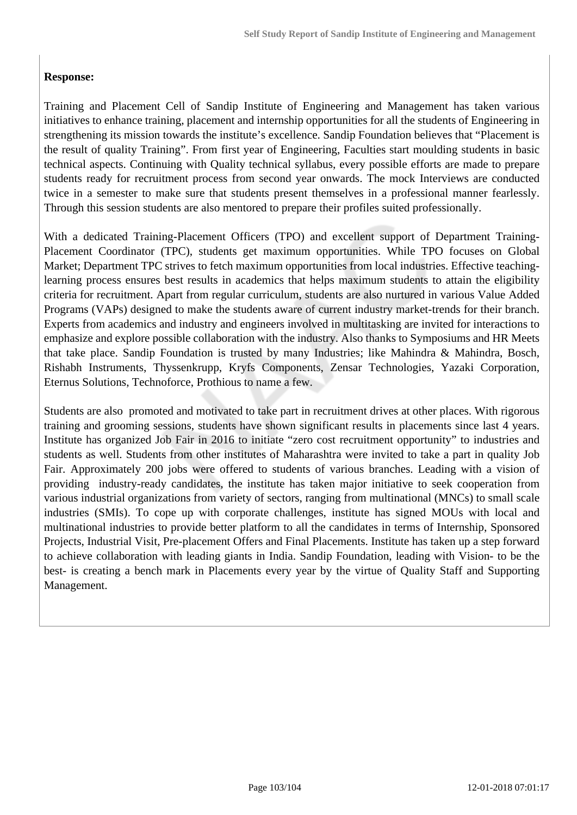## **Response:**

Training and Placement Cell of Sandip Institute of Engineering and Management has taken various initiatives to enhance training, placement and internship opportunities for all the students of Engineering in strengthening its mission towards the institute's excellence. Sandip Foundation believes that "Placement is the result of quality Training". From first year of Engineering, Faculties start moulding students in basic technical aspects. Continuing with Quality technical syllabus, every possible efforts are made to prepare students ready for recruitment process from second year onwards. The mock Interviews are conducted twice in a semester to make sure that students present themselves in a professional manner fearlessly. Through this session students are also mentored to prepare their profiles suited professionally.

With a dedicated Training-Placement Officers (TPO) and excellent support of Department Training-Placement Coordinator (TPC), students get maximum opportunities. While TPO focuses on Global Market; Department TPC strives to fetch maximum opportunities from local industries. Effective teachinglearning process ensures best results in academics that helps maximum students to attain the eligibility criteria for recruitment. Apart from regular curriculum, students are also nurtured in various Value Added Programs (VAPs) designed to make the students aware of current industry market-trends for their branch. Experts from academics and industry and engineers involved in multitasking are invited for interactions to emphasize and explore possible collaboration with the industry. Also thanks to Symposiums and HR Meets that take place. Sandip Foundation is trusted by many Industries; like Mahindra & Mahindra, Bosch, Rishabh Instruments, Thyssenkrupp, Kryfs Components, Zensar Technologies, Yazaki Corporation, Eternus Solutions, Technoforce, Prothious to name a few.

Students are also promoted and motivated to take part in recruitment drives at other places. With rigorous training and grooming sessions, students have shown significant results in placements since last 4 years. Institute has organized Job Fair in 2016 to initiate "zero cost recruitment opportunity" to industries and students as well. Students from other institutes of Maharashtra were invited to take a part in quality Job Fair. Approximately 200 jobs were offered to students of various branches. Leading with a vision of providing industry-ready candidates, the institute has taken major initiative to seek cooperation from various industrial organizations from variety of sectors, ranging from multinational (MNCs) to small scale industries (SMIs). To cope up with corporate challenges, institute has signed MOUs with local and multinational industries to provide better platform to all the candidates in terms of Internship, Sponsored Projects, Industrial Visit, Pre-placement Offers and Final Placements. Institute has taken up a step forward to achieve collaboration with leading giants in India. Sandip Foundation, leading with Vision- to be the best- is creating a bench mark in Placements every year by the virtue of Quality Staff and Supporting Management.